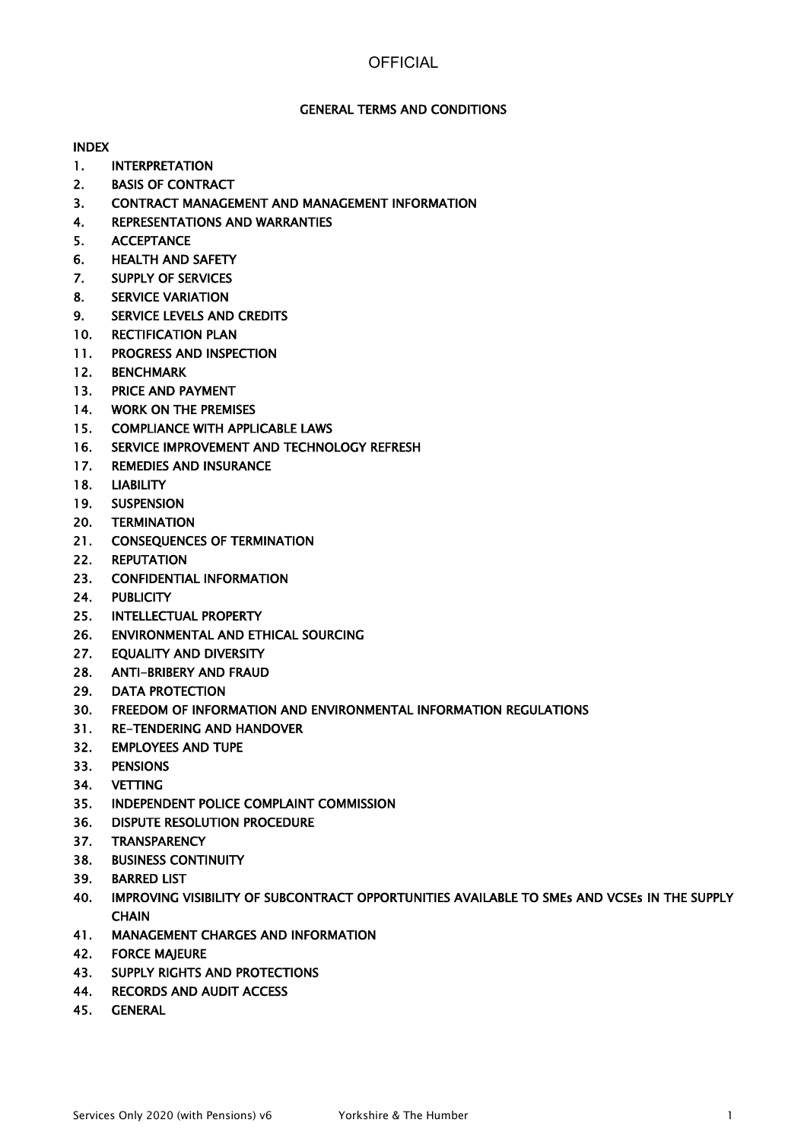### GENERAL TERMS AND CONDITIONS

INDEX

- 1. INTERPRETATION
- 2. BASIS OF CONTRACT
- 3. CONTRACT MANAGEMENT AND MANAGEMENT INFORMATION
- 4. REPRESENTATIONS AND WARRANTIES
- 5. ACCEPTANCE
- 6. HEALTH AND SAFETY
- 7. SUPPLY OF SERVICES
- 8. SERVICE VARIATION
- 9. SERVICE LEVELS AND CREDITS
- 10. RECTIFICATION PLAN
- 11. PROGRESS AND INSPECTION
- 12. BENCHMARK
- 13. PRICE AND PAYMENT
- 14. WORK ON THE PREMISES
- 15. COMPLIANCE WITH APPLICABLE LAWS
- 16. SERVICE IMPROVEMENT AND TECHNOLOGY REFRESH
- 17. REMEDIES AND INSURANCE
- 18. LIABILITY
- 19. SUSPENSION
- 20. TERMINATION
- 21. CONSEQUENCES OF TERMINATION
- 22. REPUTATION
- 23. CONFIDENTIAL INFORMATION
- 24. PUBLICITY
- 25. INTELLECTUAL PROPERTY
- 26. ENVIRONMENTAL AND ETHICAL SOURCING
- 27. EQUALITY AND DIVERSITY
- 28. ANTI-BRIBERY AND FRAUD
- 29. DATA PROTECTION
- 30. FREEDOM OF INFORMATION AND ENVIRONMENTAL INFORMATION REGULATIONS
- 31. RE-TENDERING AND HANDOVER
- 32. EMPLOYEES AND TUPE
- 33. PENSIONS
- 34. VETTING
- 35. INDEPENDENT POLICE COMPLAINT COMMISSION
- 36. DISPUTE RESOLUTION PROCEDURE
- 37. TRANSPARENCY
- 38. BUSINESS CONTINUITY
- 39. BARRED LIST
- 40. IMPROVING VISIBILITY OF SUBCONTRACT OPPORTUNITIES AVAILABLE TO SMEs AND VCSEs IN THE SUPPLY **CHAIN**
- 41. MANAGEMENT CHARGES AND INFORMATION
- 42. FORCE MAJEURE
- 43. SUPPLY RIGHTS AND PROTECTIONS
- 44. RECORDS AND AUDIT ACCESS
- 45. GENERAL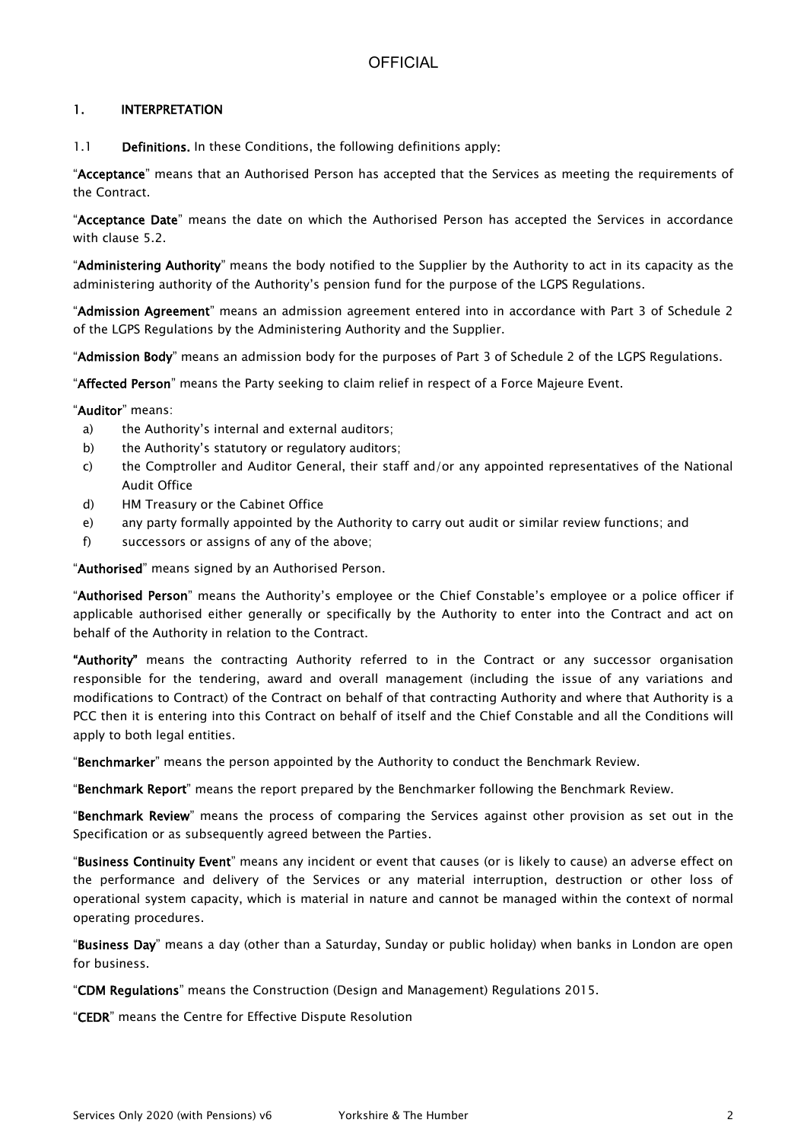### 1. INTERPRETATION

1.1 Definitions. In these Conditions, the following definitions apply:

"Acceptance" means that an Authorised Person has accepted that the Services as meeting the requirements of the Contract.

"Acceptance Date" means the date on which the Authorised Person has accepted the Services in accordance with clause 5.2.

"Administering Authority" means the body notified to the Supplier by the Authority to act in its capacity as the administering authority of the Authority's pension fund for the purpose of the LGPS Regulations.

"Admission Agreement" means an admission agreement entered into in accordance with Part 3 of Schedule 2 of the LGPS Regulations by the Administering Authority and the Supplier.

"Admission Body" means an admission body for the purposes of Part 3 of Schedule 2 of the LGPS Regulations.

"Affected Person" means the Party seeking to claim relief in respect of a Force Majeure Event.

"Auditor" means:

- a) the Authority's internal and external auditors;
- b) the Authority's statutory or regulatory auditors;
- c) the Comptroller and Auditor General, their staff and/or any appointed representatives of the National Audit Office
- d) HM Treasury or the Cabinet Office
- e) any party formally appointed by the Authority to carry out audit or similar review functions; and
- f) successors or assigns of any of the above;

"Authorised" means signed by an Authorised Person.

"Authorised Person" means the Authority's employee or the Chief Constable's employee or a police officer if applicable authorised either generally or specifically by the Authority to enter into the Contract and act on behalf of the Authority in relation to the Contract.

"Authority" means the contracting Authority referred to in the Contract or any successor organisation responsible for the tendering, award and overall management (including the issue of any variations and modifications to Contract) of the Contract on behalf of that contracting Authority and where that Authority is a PCC then it is entering into this Contract on behalf of itself and the Chief Constable and all the Conditions will apply to both legal entities.

"Benchmarker" means the person appointed by the Authority to conduct the Benchmark Review.

"Benchmark Report" means the report prepared by the Benchmarker following the Benchmark Review.

"Benchmark Review" means the process of comparing the Services against other provision as set out in the Specification or as subsequently agreed between the Parties.

"Business Continuity Event" means any incident or event that causes (or is likely to cause) an adverse effect on the performance and delivery of the Services or any material interruption, destruction or other loss of operational system capacity, which is material in nature and cannot be managed within the context of normal operating procedures.

"Business Day" means a day (other than a Saturday, Sunday or public holiday) when banks in London are open for business.

"CDM Regulations" means the Construction (Design and Management) Regulations 2015.

"CEDR" means the Centre for Effective Dispute Resolution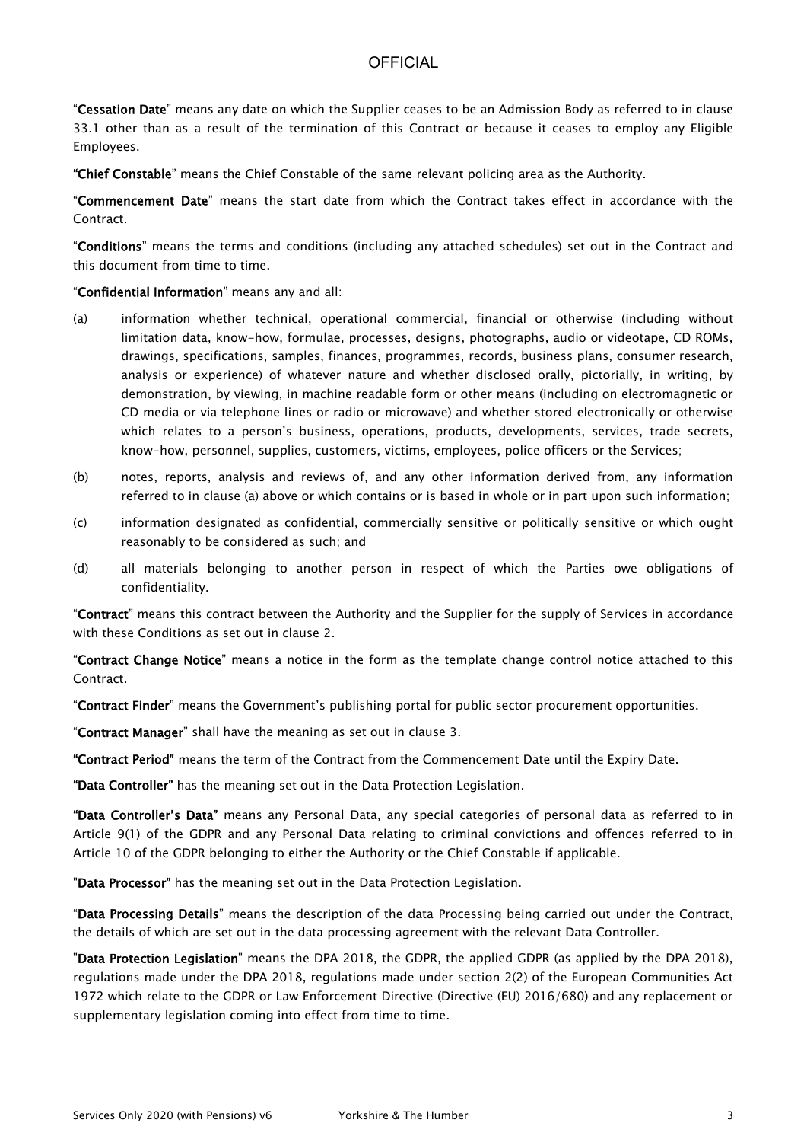"Cessation Date" means any date on which the Supplier ceases to be an Admission Body as referred to in clause 33.1 other than as a result of the termination of this Contract or because it ceases to employ any Eligible Employees.

"Chief Constable" means the Chief Constable of the same relevant policing area as the Authority.

"Commencement Date" means the start date from which the Contract takes effect in accordance with the Contract.

"Conditions" means the terms and conditions (including any attached schedules) set out in the Contract and this document from time to time.

#### "Confidential Information" means any and all:

- (a) information whether technical, operational commercial, financial or otherwise (including without limitation data, know-how, formulae, processes, designs, photographs, audio or videotape, CD ROMs, drawings, specifications, samples, finances, programmes, records, business plans, consumer research, analysis or experience) of whatever nature and whether disclosed orally, pictorially, in writing, by demonstration, by viewing, in machine readable form or other means (including on electromagnetic or CD media or via telephone lines or radio or microwave) and whether stored electronically or otherwise which relates to a person's business, operations, products, developments, services, trade secrets, know-how, personnel, supplies, customers, victims, employees, police officers or the Services;
- (b) notes, reports, analysis and reviews of, and any other information derived from, any information referred to in clause (a) above or which contains or is based in whole or in part upon such information;
- (c) information designated as confidential, commercially sensitive or politically sensitive or which ought reasonably to be considered as such; and
- (d) all materials belonging to another person in respect of which the Parties owe obligations of confidentiality.

"Contract" means this contract between the Authority and the Supplier for the supply of Services in accordance with these Conditions as set out in clause 2.

"Contract Change Notice" means a notice in the form as the template change control notice attached to this Contract.

"Contract Finder" means the Government's publishing portal for public sector procurement opportunities.

"Contract Manager" shall have the meaning as set out in clause 3.

"Contract Period" means the term of the Contract from the Commencement Date until the Expiry Date.

"Data Controller" has the meaning set out in the Data Protection Legislation.

"Data Controller's Data" means any Personal Data, any special categories of personal data as referred to in Article 9(1) of the GDPR and any Personal Data relating to criminal convictions and offences referred to in Article 10 of the GDPR belonging to either the Authority or the Chief Constable if applicable.

"Data Processor" has the meaning set out in the Data Protection Legislation.

"Data Processing Details" means the description of the data Processing being carried out under the Contract, the details of which are set out in the data processing agreement with the relevant Data Controller.

"Data Protection Legislation" means the DPA 2018, the GDPR, the applied GDPR (as applied by the DPA 2018), regulations made under the DPA 2018, regulations made under section 2(2) of the European Communities Act 1972 which relate to the GDPR or Law Enforcement Directive (Directive (EU) 2016/680) and any replacement or supplementary legislation coming into effect from time to time.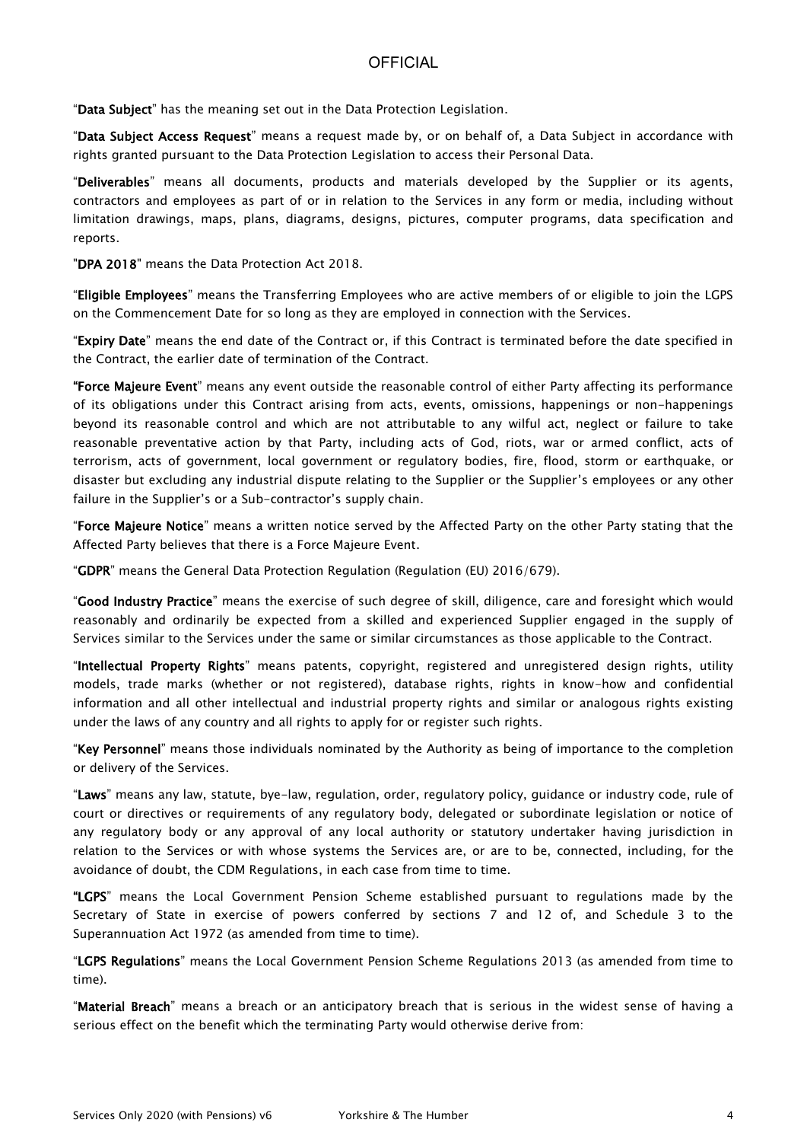"Data Subject" has the meaning set out in the Data Protection Legislation.

"Data Subject Access Request" means a request made by, or on behalf of, a Data Subject in accordance with rights granted pursuant to the Data Protection Legislation to access their Personal Data.

"Deliverables" means all documents, products and materials developed by the Supplier or its agents, contractors and employees as part of or in relation to the Services in any form or media, including without limitation drawings, maps, plans, diagrams, designs, pictures, computer programs, data specification and reports.

"DPA 2018" means the Data Protection Act 2018.

"Eligible Employees" means the Transferring Employees who are active members of or eligible to join the LGPS on the Commencement Date for so long as they are employed in connection with the Services.

"Expiry Date" means the end date of the Contract or, if this Contract is terminated before the date specified in the Contract, the earlier date of termination of the Contract.

"Force Majeure Event" means any event outside the reasonable control of either Party affecting its performance of its obligations under this Contract arising from acts, events, omissions, happenings or non-happenings beyond its reasonable control and which are not attributable to any wilful act, neglect or failure to take reasonable preventative action by that Party, including acts of God, riots, war or armed conflict, acts of terrorism, acts of government, local government or regulatory bodies, fire, flood, storm or earthquake, or disaster but excluding any industrial dispute relating to the Supplier or the Supplier's employees or any other failure in the Supplier's or a Sub-contractor's supply chain.

"Force Majeure Notice" means a written notice served by the Affected Party on the other Party stating that the Affected Party believes that there is a Force Majeure Event.

"GDPR" means the General Data Protection Regulation (Regulation (EU) 2016/679).

"Good Industry Practice" means the exercise of such degree of skill, diligence, care and foresight which would reasonably and ordinarily be expected from a skilled and experienced Supplier engaged in the supply of Services similar to the Services under the same or similar circumstances as those applicable to the Contract.

"Intellectual Property Rights" means patents, copyright, registered and unregistered design rights, utility models, trade marks (whether or not registered), database rights, rights in know-how and confidential information and all other intellectual and industrial property rights and similar or analogous rights existing under the laws of any country and all rights to apply for or register such rights.

"Key Personnel" means those individuals nominated by the Authority as being of importance to the completion or delivery of the Services.

"Laws" means any law, statute, bye-law, regulation, order, regulatory policy, guidance or industry code, rule of court or directives or requirements of any regulatory body, delegated or subordinate legislation or notice of any regulatory body or any approval of any local authority or statutory undertaker having jurisdiction in relation to the Services or with whose systems the Services are, or are to be, connected, including, for the avoidance of doubt, the CDM Regulations, in each case from time to time.

"LGPS" means the Local Government Pension Scheme established pursuant to regulations made by the Secretary of State in exercise of powers conferred by sections 7 and 12 of, and Schedule 3 to the Superannuation Act 1972 (as amended from time to time).

"LGPS Regulations" means the Local Government Pension Scheme Regulations 2013 (as amended from time to time).

"Material Breach" means a breach or an anticipatory breach that is serious in the widest sense of having a serious effect on the benefit which the terminating Party would otherwise derive from: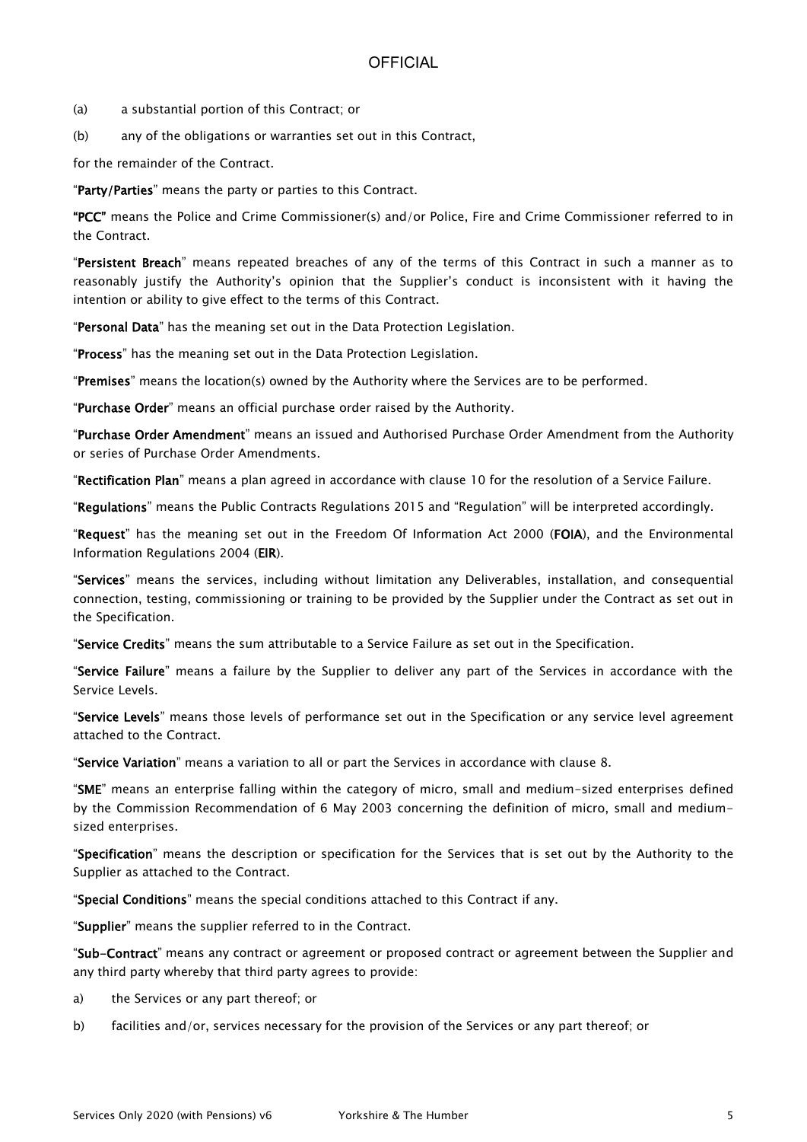- (a) a substantial portion of this Contract; or
- (b) any of the obligations or warranties set out in this Contract,

for the remainder of the Contract.

"Party/Parties" means the party or parties to this Contract.

"PCC" means the Police and Crime Commissioner(s) and/or Police, Fire and Crime Commissioner referred to in the Contract.

"Persistent Breach" means repeated breaches of any of the terms of this Contract in such a manner as to reasonably justify the Authority's opinion that the Supplier's conduct is inconsistent with it having the intention or ability to give effect to the terms of this Contract.

"Personal Data" has the meaning set out in the Data Protection Legislation.

"Process" has the meaning set out in the Data Protection Legislation.

"Premises" means the location(s) owned by the Authority where the Services are to be performed.

"Purchase Order" means an official purchase order raised by the Authority.

"Purchase Order Amendment" means an issued and Authorised Purchase Order Amendment from the Authority or series of Purchase Order Amendments.

"Rectification Plan" means a plan agreed in accordance with clause 10 for the resolution of a Service Failure.

"Regulations" means the Public Contracts Regulations 2015 and "Regulation" will be interpreted accordingly.

"Request" has the meaning set out in the Freedom Of Information Act 2000 (FOIA), and the Environmental Information Regulations 2004 (EIR).

"Services" means the services, including without limitation any Deliverables, installation, and consequential connection, testing, commissioning or training to be provided by the Supplier under the Contract as set out in the Specification.

"Service Credits" means the sum attributable to a Service Failure as set out in the Specification.

"Service Failure" means a failure by the Supplier to deliver any part of the Services in accordance with the Service Levels.

"Service Levels" means those levels of performance set out in the Specification or any service level agreement attached to the Contract.

"Service Variation" means a variation to all or part the Services in accordance with clause 8.

"SME" means an enterprise falling within the category of micro, small and medium-sized enterprises defined by the Commission Recommendation of 6 May 2003 concerning the definition of micro, small and mediumsized enterprises.

"Specification" means the description or specification for the Services that is set out by the Authority to the Supplier as attached to the Contract.

"Special Conditions" means the special conditions attached to this Contract if any.

"Supplier" means the supplier referred to in the Contract.

"Sub-Contract" means any contract or agreement or proposed contract or agreement between the Supplier and any third party whereby that third party agrees to provide:

- a) the Services or any part thereof; or
- b) facilities and/or, services necessary for the provision of the Services or any part thereof; or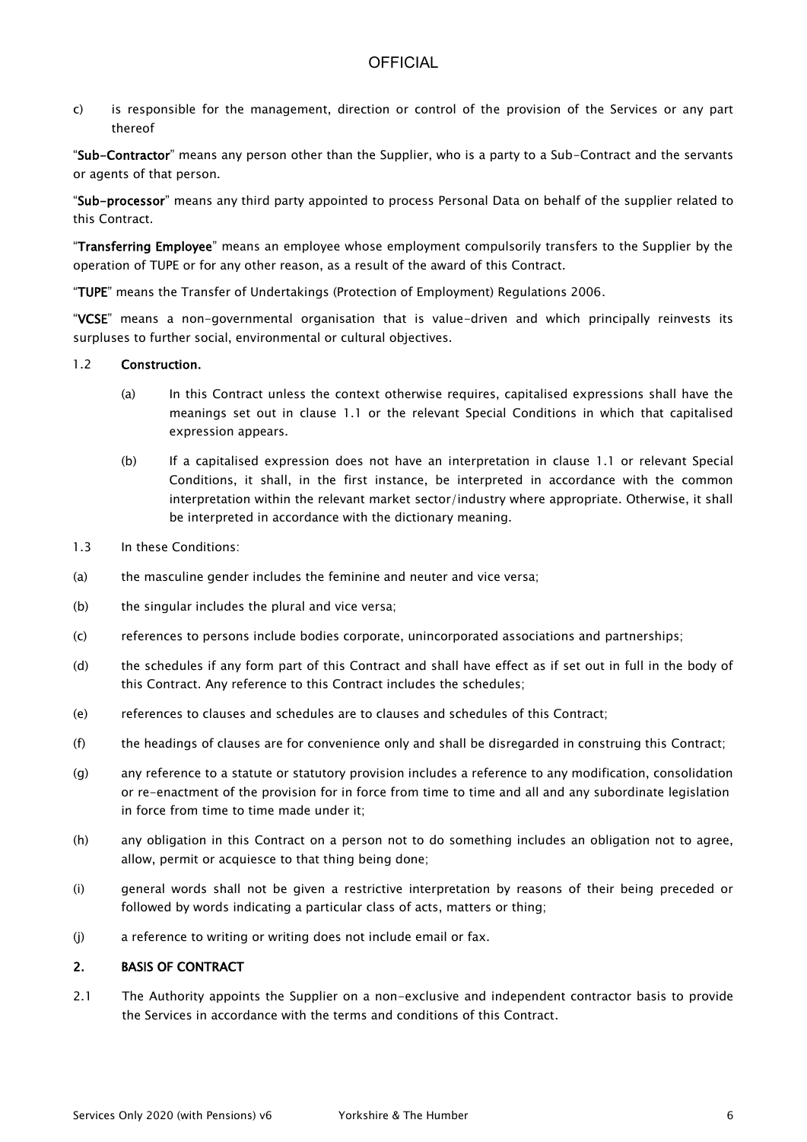c) is responsible for the management, direction or control of the provision of the Services or any part thereof

"Sub-Contractor" means any person other than the Supplier, who is a party to a Sub-Contract and the servants or agents of that person.

"Sub-processor" means any third party appointed to process Personal Data on behalf of the supplier related to this Contract.

"Transferring Employee" means an employee whose employment compulsorily transfers to the Supplier by the operation of TUPE or for any other reason, as a result of the award of this Contract.

"TUPE" means the Transfer of Undertakings (Protection of Employment) Regulations 2006.

"VCSE" means a non-governmental organisation that is value-driven and which principally reinvests its surpluses to further social, environmental or cultural objectives.

#### 1.2 Construction.

- (a) In this Contract unless the context otherwise requires, capitalised expressions shall have the meanings set out in clause 1.1 or the relevant Special Conditions in which that capitalised expression appears.
- (b) If a capitalised expression does not have an interpretation in clause 1.1 or relevant Special Conditions, it shall, in the first instance, be interpreted in accordance with the common interpretation within the relevant market sector/industry where appropriate. Otherwise, it shall be interpreted in accordance with the dictionary meaning.
- 1.3 In these Conditions:
- (a) the masculine gender includes the feminine and neuter and vice versa;
- (b) the singular includes the plural and vice versa;
- (c) references to persons include bodies corporate, unincorporated associations and partnerships;
- (d) the schedules if any form part of this Contract and shall have effect as if set out in full in the body of this Contract. Any reference to this Contract includes the schedules;
- (e) references to clauses and schedules are to clauses and schedules of this Contract;
- (f) the headings of clauses are for convenience only and shall be disregarded in construing this Contract;
- (g) any reference to a statute or statutory provision includes a reference to any modification, consolidation or re-enactment of the provision for in force from time to time and all and any subordinate legislation in force from time to time made under it;
- (h) any obligation in this Contract on a person not to do something includes an obligation not to agree, allow, permit or acquiesce to that thing being done;
- (i) general words shall not be given a restrictive interpretation by reasons of their being preceded or followed by words indicating a particular class of acts, matters or thing;
- (j) a reference to writing or writing does not include email or fax.

#### 2. BASIS OF CONTRACT

2.1 The Authority appoints the Supplier on a non-exclusive and independent contractor basis to provide the Services in accordance with the terms and conditions of this Contract.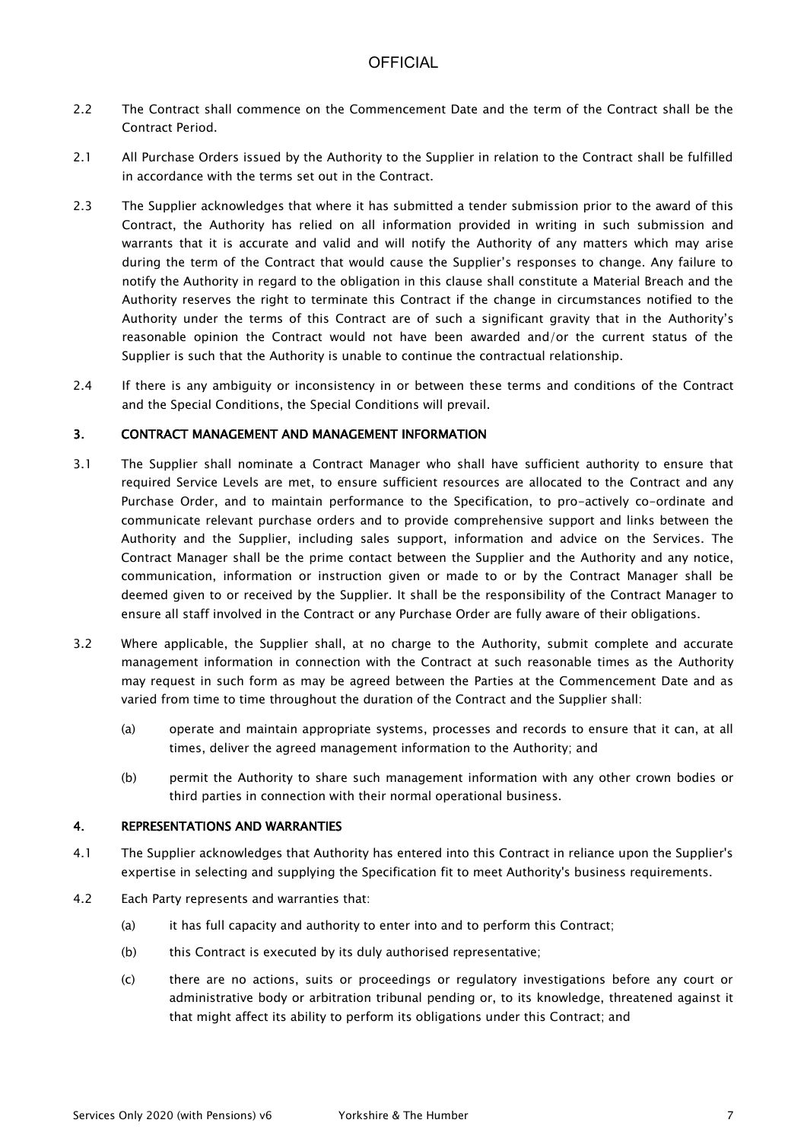- 2.2 The Contract shall commence on the Commencement Date and the term of the Contract shall be the Contract Period.
- 2.1 All Purchase Orders issued by the Authority to the Supplier in relation to the Contract shall be fulfilled in accordance with the terms set out in the Contract.
- 2.3 The Supplier acknowledges that where it has submitted a tender submission prior to the award of this Contract, the Authority has relied on all information provided in writing in such submission and warrants that it is accurate and valid and will notify the Authority of any matters which may arise during the term of the Contract that would cause the Supplier's responses to change. Any failure to notify the Authority in regard to the obligation in this clause shall constitute a Material Breach and the Authority reserves the right to terminate this Contract if the change in circumstances notified to the Authority under the terms of this Contract are of such a significant gravity that in the Authority's reasonable opinion the Contract would not have been awarded and/or the current status of the Supplier is such that the Authority is unable to continue the contractual relationship.
- 2.4 If there is any ambiguity or inconsistency in or between these terms and conditions of the Contract and the Special Conditions, the Special Conditions will prevail.

### 3. CONTRACT MANAGEMENT AND MANAGEMENT INFORMATION

- 3.1 The Supplier shall nominate a Contract Manager who shall have sufficient authority to ensure that required Service Levels are met, to ensure sufficient resources are allocated to the Contract and any Purchase Order, and to maintain performance to the Specification, to pro-actively co-ordinate and communicate relevant purchase orders and to provide comprehensive support and links between the Authority and the Supplier, including sales support, information and advice on the Services. The Contract Manager shall be the prime contact between the Supplier and the Authority and any notice, communication, information or instruction given or made to or by the Contract Manager shall be deemed given to or received by the Supplier. It shall be the responsibility of the Contract Manager to ensure all staff involved in the Contract or any Purchase Order are fully aware of their obligations.
- 3.2 Where applicable, the Supplier shall, at no charge to the Authority, submit complete and accurate management information in connection with the Contract at such reasonable times as the Authority may request in such form as may be agreed between the Parties at the Commencement Date and as varied from time to time throughout the duration of the Contract and the Supplier shall:
	- (a) operate and maintain appropriate systems, processes and records to ensure that it can, at all times, deliver the agreed management information to the Authority; and
	- (b) permit the Authority to share such management information with any other crown bodies or third parties in connection with their normal operational business.

#### 4. REPRESENTATIONS AND WARRANTIES

- 4.1 The Supplier acknowledges that Authority has entered into this Contract in reliance upon the Supplier's expertise in selecting and supplying the Specification fit to meet Authority's business requirements.
- 4.2 Each Party represents and warranties that:
	- (a) it has full capacity and authority to enter into and to perform this Contract;
	- (b) this Contract is executed by its duly authorised representative;
	- (c) there are no actions, suits or proceedings or regulatory investigations before any court or administrative body or arbitration tribunal pending or, to its knowledge, threatened against it that might affect its ability to perform its obligations under this Contract; and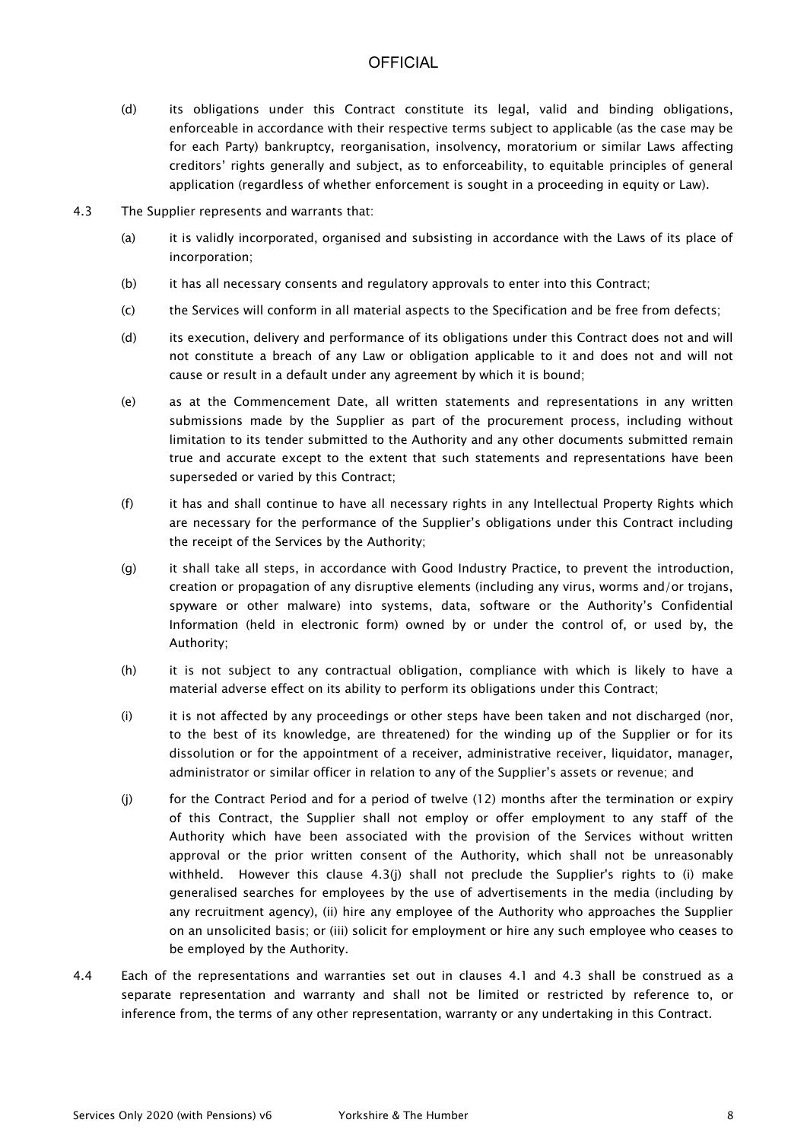- (d) its obligations under this Contract constitute its legal, valid and binding obligations, enforceable in accordance with their respective terms subject to applicable (as the case may be for each Party) bankruptcy, reorganisation, insolvency, moratorium or similar Laws affecting creditors' rights generally and subject, as to enforceability, to equitable principles of general application (regardless of whether enforcement is sought in a proceeding in equity or Law).
- 4.3 The Supplier represents and warrants that:
	- (a) it is validly incorporated, organised and subsisting in accordance with the Laws of its place of incorporation;
	- (b) it has all necessary consents and regulatory approvals to enter into this Contract;
	- (c) the Services will conform in all material aspects to the Specification and be free from defects;
	- (d) its execution, delivery and performance of its obligations under this Contract does not and will not constitute a breach of any Law or obligation applicable to it and does not and will not cause or result in a default under any agreement by which it is bound;
	- (e) as at the Commencement Date, all written statements and representations in any written submissions made by the Supplier as part of the procurement process, including without limitation to its tender submitted to the Authority and any other documents submitted remain true and accurate except to the extent that such statements and representations have been superseded or varied by this Contract;
	- (f) it has and shall continue to have all necessary rights in any Intellectual Property Rights which are necessary for the performance of the Supplier's obligations under this Contract including the receipt of the Services by the Authority;
	- (g) it shall take all steps, in accordance with Good Industry Practice, to prevent the introduction, creation or propagation of any disruptive elements (including any virus, worms and/or trojans, spyware or other malware) into systems, data, software or the Authority's Confidential Information (held in electronic form) owned by or under the control of, or used by, the Authority;
	- (h) it is not subject to any contractual obligation, compliance with which is likely to have a material adverse effect on its ability to perform its obligations under this Contract;
	- (i) it is not affected by any proceedings or other steps have been taken and not discharged (nor, to the best of its knowledge, are threatened) for the winding up of the Supplier or for its dissolution or for the appointment of a receiver, administrative receiver, liquidator, manager, administrator or similar officer in relation to any of the Supplier's assets or revenue; and
	- (j) for the Contract Period and for a period of twelve (12) months after the termination or expiry of this Contract, the Supplier shall not employ or offer employment to any staff of the Authority which have been associated with the provision of the Services without written approval or the prior written consent of the Authority, which shall not be unreasonably withheld. However this clause 4.3(j) shall not preclude the Supplier's rights to (i) make generalised searches for employees by the use of advertisements in the media (including by any recruitment agency), (ii) hire any employee of the Authority who approaches the Supplier on an unsolicited basis; or (iii) solicit for employment or hire any such employee who ceases to be employed by the Authority.
- 4.4 Each of the representations and warranties set out in clauses 4.1 and 4.3 shall be construed as a separate representation and warranty and shall not be limited or restricted by reference to, or inference from, the terms of any other representation, warranty or any undertaking in this Contract.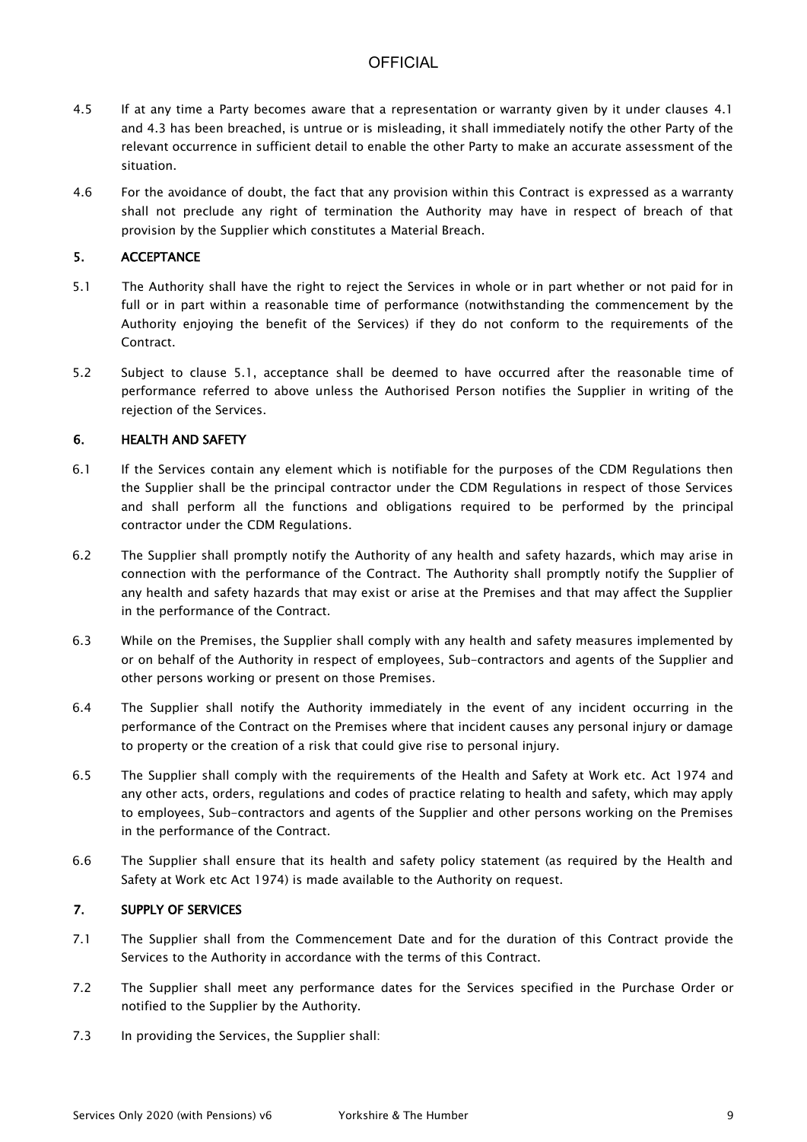- 4.5 If at any time a Party becomes aware that a representation or warranty given by it under clauses 4.1 and 4.3 has been breached, is untrue or is misleading, it shall immediately notify the other Party of the relevant occurrence in sufficient detail to enable the other Party to make an accurate assessment of the situation.
- 4.6 For the avoidance of doubt, the fact that any provision within this Contract is expressed as a warranty shall not preclude any right of termination the Authority may have in respect of breach of that provision by the Supplier which constitutes a Material Breach.

### 5. ACCEPTANCE

- 5.1 The Authority shall have the right to reject the Services in whole or in part whether or not paid for in full or in part within a reasonable time of performance (notwithstanding the commencement by the Authority enjoying the benefit of the Services) if they do not conform to the requirements of the Contract.
- 5.2 Subject to clause 5.1, acceptance shall be deemed to have occurred after the reasonable time of performance referred to above unless the Authorised Person notifies the Supplier in writing of the rejection of the Services.

### 6. HEALTH AND SAFETY

- 6.1 If the Services contain any element which is notifiable for the purposes of the CDM Regulations then the Supplier shall be the principal contractor under the CDM Regulations in respect of those Services and shall perform all the functions and obligations required to be performed by the principal contractor under the CDM Regulations.
- 6.2 The Supplier shall promptly notify the Authority of any health and safety hazards, which may arise in connection with the performance of the Contract. The Authority shall promptly notify the Supplier of any health and safety hazards that may exist or arise at the Premises and that may affect the Supplier in the performance of the Contract.
- 6.3 While on the Premises, the Supplier shall comply with any health and safety measures implemented by or on behalf of the Authority in respect of employees, Sub-contractors and agents of the Supplier and other persons working or present on those Premises.
- 6.4 The Supplier shall notify the Authority immediately in the event of any incident occurring in the performance of the Contract on the Premises where that incident causes any personal injury or damage to property or the creation of a risk that could give rise to personal injury.
- 6.5 The Supplier shall comply with the requirements of the Health and Safety at Work etc. Act 1974 and any other acts, orders, regulations and codes of practice relating to health and safety, which may apply to employees, Sub-contractors and agents of the Supplier and other persons working on the Premises in the performance of the Contract.
- 6.6 The Supplier shall ensure that its health and safety policy statement (as required by the Health and Safety at Work etc Act 1974) is made available to the Authority on request.

### 7. SUPPLY OF SERVICES

- 7.1 The Supplier shall from the Commencement Date and for the duration of this Contract provide the Services to the Authority in accordance with the terms of this Contract.
- 7.2 The Supplier shall meet any performance dates for the Services specified in the Purchase Order or notified to the Supplier by the Authority.
- 7.3 In providing the Services, the Supplier shall: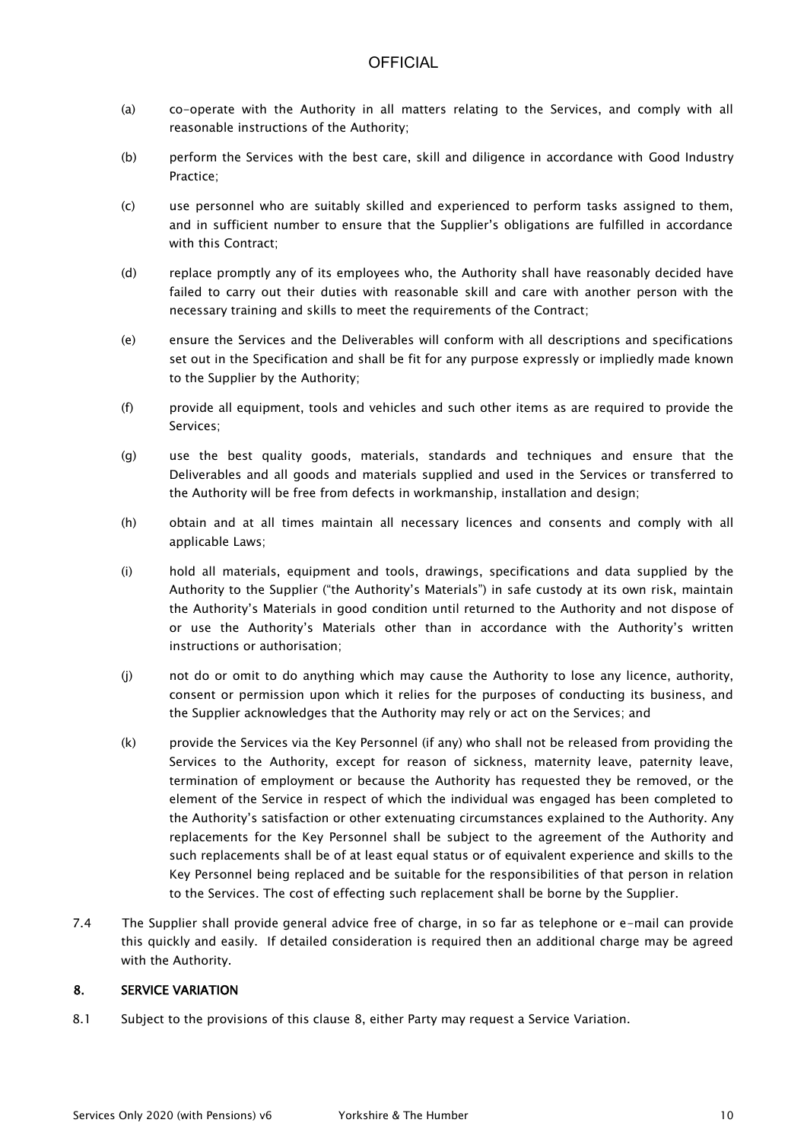- (a) co-operate with the Authority in all matters relating to the Services, and comply with all reasonable instructions of the Authority;
- (b) perform the Services with the best care, skill and diligence in accordance with Good Industry Practice;
- (c) use personnel who are suitably skilled and experienced to perform tasks assigned to them, and in sufficient number to ensure that the Supplier's obligations are fulfilled in accordance with this Contract;
- (d) replace promptly any of its employees who, the Authority shall have reasonably decided have failed to carry out their duties with reasonable skill and care with another person with the necessary training and skills to meet the requirements of the Contract;
- (e) ensure the Services and the Deliverables will conform with all descriptions and specifications set out in the Specification and shall be fit for any purpose expressly or impliedly made known to the Supplier by the Authority;
- (f) provide all equipment, tools and vehicles and such other items as are required to provide the Services;
- (g) use the best quality goods, materials, standards and techniques and ensure that the Deliverables and all goods and materials supplied and used in the Services or transferred to the Authority will be free from defects in workmanship, installation and design;
- (h) obtain and at all times maintain all necessary licences and consents and comply with all applicable Laws;
- (i) hold all materials, equipment and tools, drawings, specifications and data supplied by the Authority to the Supplier ("the Authority's Materials") in safe custody at its own risk, maintain the Authority's Materials in good condition until returned to the Authority and not dispose of or use the Authority's Materials other than in accordance with the Authority's written instructions or authorisation;
- (j) not do or omit to do anything which may cause the Authority to lose any licence, authority, consent or permission upon which it relies for the purposes of conducting its business, and the Supplier acknowledges that the Authority may rely or act on the Services; and
- (k) provide the Services via the Key Personnel (if any) who shall not be released from providing the Services to the Authority, except for reason of sickness, maternity leave, paternity leave, termination of employment or because the Authority has requested they be removed, or the element of the Service in respect of which the individual was engaged has been completed to the Authority's satisfaction or other extenuating circumstances explained to the Authority. Any replacements for the Key Personnel shall be subject to the agreement of the Authority and such replacements shall be of at least equal status or of equivalent experience and skills to the Key Personnel being replaced and be suitable for the responsibilities of that person in relation to the Services. The cost of effecting such replacement shall be borne by the Supplier.
- 7.4 The Supplier shall provide general advice free of charge, in so far as telephone or e-mail can provide this quickly and easily. If detailed consideration is required then an additional charge may be agreed with the Authority.

### 8. SERVICE VARIATION

8.1 Subject to the provisions of this clause 8, either Party may request a Service Variation.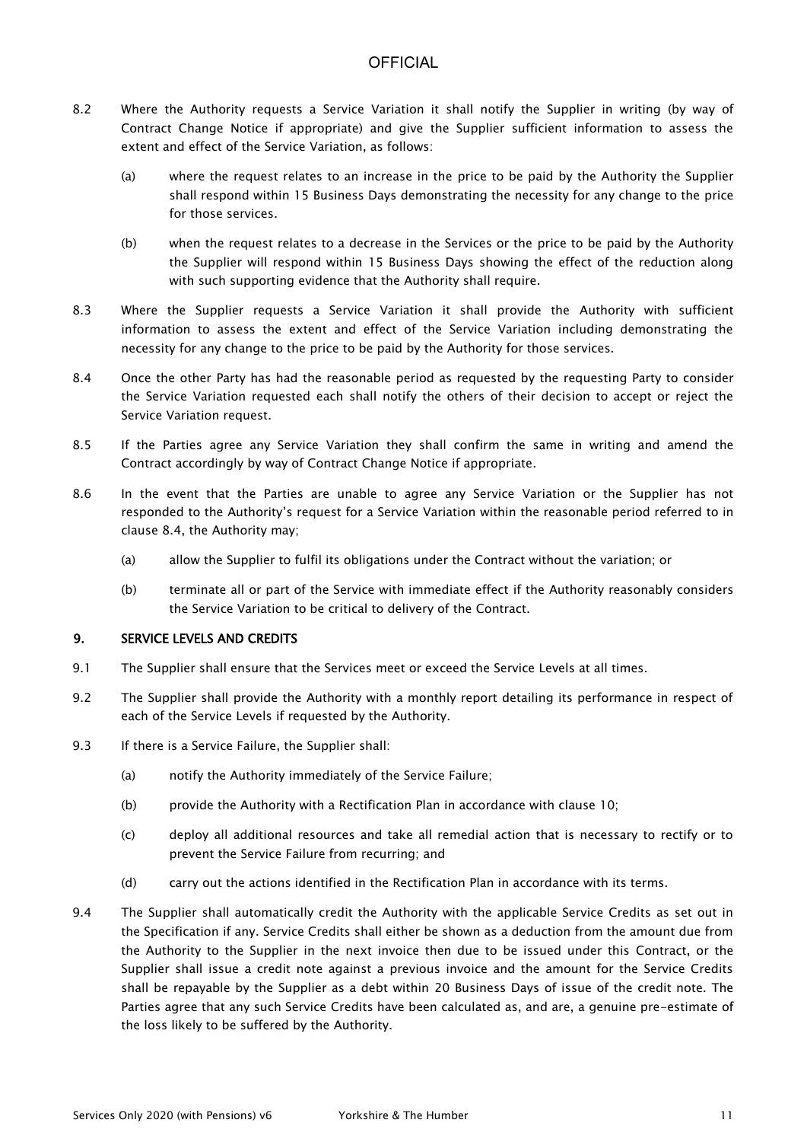- 8.2 Where the Authority requests a Service Variation it shall notify the Supplier in writing (by way of Contract Change Notice if appropriate) and give the Supplier sufficient information to assess the extent and effect of the Service Variation, as follows:
	- (a) where the request relates to an increase in the price to be paid by the Authority the Supplier shall respond within 15 Business Days demonstrating the necessity for any change to the price for those services.
	- (b) when the request relates to a decrease in the Services or the price to be paid by the Authority the Supplier will respond within 15 Business Days showing the effect of the reduction along with such supporting evidence that the Authority shall require.
- 8.3 Where the Supplier requests a Service Variation it shall provide the Authority with sufficient information to assess the extent and effect of the Service Variation including demonstrating the necessity for any change to the price to be paid by the Authority for those services.
- 8.4 Once the other Party has had the reasonable period as requested by the requesting Party to consider the Service Variation requested each shall notify the others of their decision to accept or reject the Service Variation request.
- 8.5 If the Parties agree any Service Variation they shall confirm the same in writing and amend the Contract accordingly by way of Contract Change Notice if appropriate.
- 8.6 In the event that the Parties are unable to agree any Service Variation or the Supplier has not responded to the Authority's request for a Service Variation within the reasonable period referred to in clause 8.4, the Authority may;
	- (a) allow the Supplier to fulfil its obligations under the Contract without the variation; or
	- (b) terminate all or part of the Service with immediate effect if the Authority reasonably considers the Service Variation to be critical to delivery of the Contract.

### 9. SERVICE LEVELS AND CREDITS

- 9.1 The Supplier shall ensure that the Services meet or exceed the Service Levels at all times.
- 9.2 The Supplier shall provide the Authority with a monthly report detailing its performance in respect of each of the Service Levels if requested by the Authority.
- 9.3 If there is a Service Failure, the Supplier shall:
	- (a) notify the Authority immediately of the Service Failure;
	- (b) provide the Authority with a Rectification Plan in accordance with clause 10;
	- (c) deploy all additional resources and take all remedial action that is necessary to rectify or to prevent the Service Failure from recurring; and
	- (d) carry out the actions identified in the Rectification Plan in accordance with its terms.
- 9.4 The Supplier shall automatically credit the Authority with the applicable Service Credits as set out in the Specification if any. Service Credits shall either be shown as a deduction from the amount due from the Authority to the Supplier in the next invoice then due to be issued under this Contract, or the Supplier shall issue a credit note against a previous invoice and the amount for the Service Credits shall be repayable by the Supplier as a debt within 20 Business Days of issue of the credit note. The Parties agree that any such Service Credits have been calculated as, and are, a genuine pre-estimate of the loss likely to be suffered by the Authority.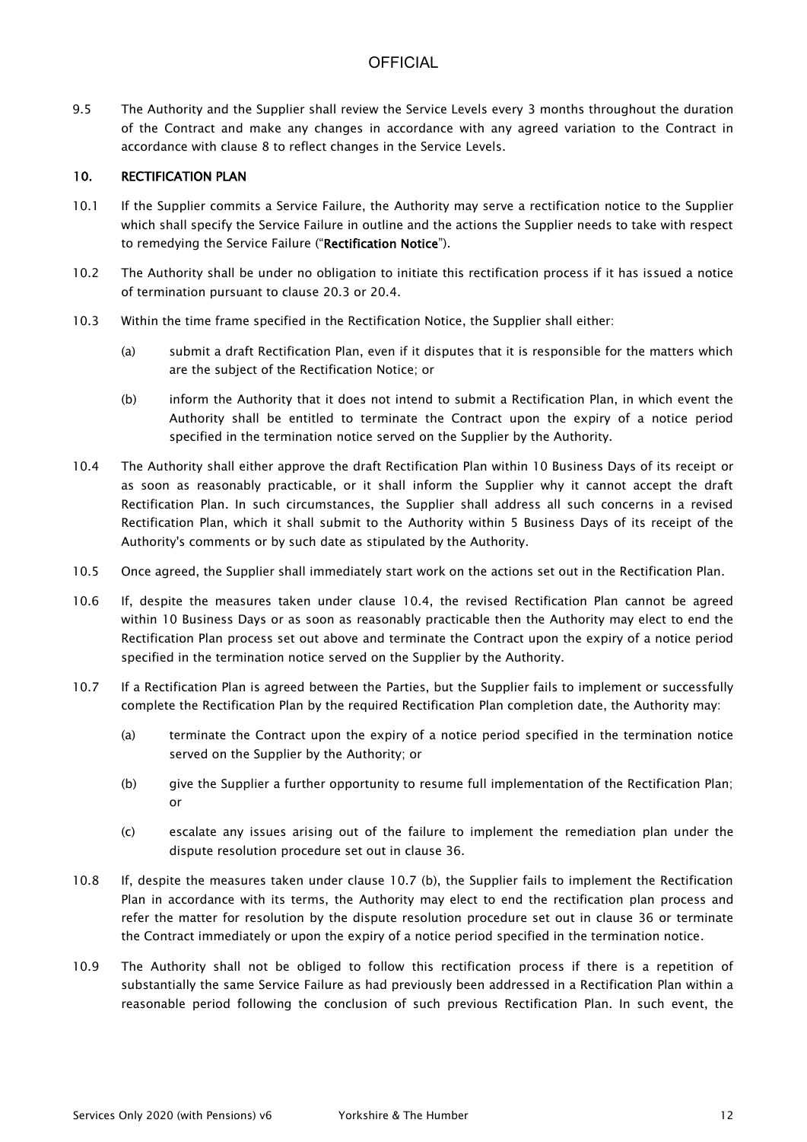9.5 The Authority and the Supplier shall review the Service Levels every 3 months throughout the duration of the Contract and make any changes in accordance with any agreed variation to the Contract in accordance with clause 8 to reflect changes in the Service Levels.

### 10. RECTIFICATION PLAN

- 10.1 If the Supplier commits a Service Failure, the Authority may serve a rectification notice to the Supplier which shall specify the Service Failure in outline and the actions the Supplier needs to take with respect to remedying the Service Failure ("Rectification Notice").
- 10.2 The Authority shall be under no obligation to initiate this rectification process if it has issued a notice of termination pursuant to clause 20.3 or 20.4.
- 10.3 Within the time frame specified in the Rectification Notice, the Supplier shall either:
	- (a) submit a draft Rectification Plan, even if it disputes that it is responsible for the matters which are the subject of the Rectification Notice; or
	- (b) inform the Authority that it does not intend to submit a Rectification Plan, in which event the Authority shall be entitled to terminate the Contract upon the expiry of a notice period specified in the termination notice served on the Supplier by the Authority.
- 10.4 The Authority shall either approve the draft Rectification Plan within 10 Business Days of its receipt or as soon as reasonably practicable, or it shall inform the Supplier why it cannot accept the draft Rectification Plan. In such circumstances, the Supplier shall address all such concerns in a revised Rectification Plan, which it shall submit to the Authority within 5 Business Days of its receipt of the Authority's comments or by such date as stipulated by the Authority.
- 10.5 Once agreed, the Supplier shall immediately start work on the actions set out in the Rectification Plan.
- 10.6 If, despite the measures taken under clause 10.4, the revised Rectification Plan cannot be agreed within 10 Business Days or as soon as reasonably practicable then the Authority may elect to end the Rectification Plan process set out above and terminate the Contract upon the expiry of a notice period specified in the termination notice served on the Supplier by the Authority.
- 10.7 If a Rectification Plan is agreed between the Parties, but the Supplier fails to implement or successfully complete the Rectification Plan by the required Rectification Plan completion date, the Authority may:
	- (a) terminate the Contract upon the expiry of a notice period specified in the termination notice served on the Supplier by the Authority; or
	- (b) give the Supplier a further opportunity to resume full implementation of the Rectification Plan; or
	- (c) escalate any issues arising out of the failure to implement the remediation plan under the dispute resolution procedure set out in clause 36.
- 10.8 If, despite the measures taken under clause 10.7 (b), the Supplier fails to implement the Rectification Plan in accordance with its terms, the Authority may elect to end the rectification plan process and refer the matter for resolution by the dispute resolution procedure set out in clause 36 or terminate the Contract immediately or upon the expiry of a notice period specified in the termination notice.
- 10.9 The Authority shall not be obliged to follow this rectification process if there is a repetition of substantially the same Service Failure as had previously been addressed in a Rectification Plan within a reasonable period following the conclusion of such previous Rectification Plan. In such event, the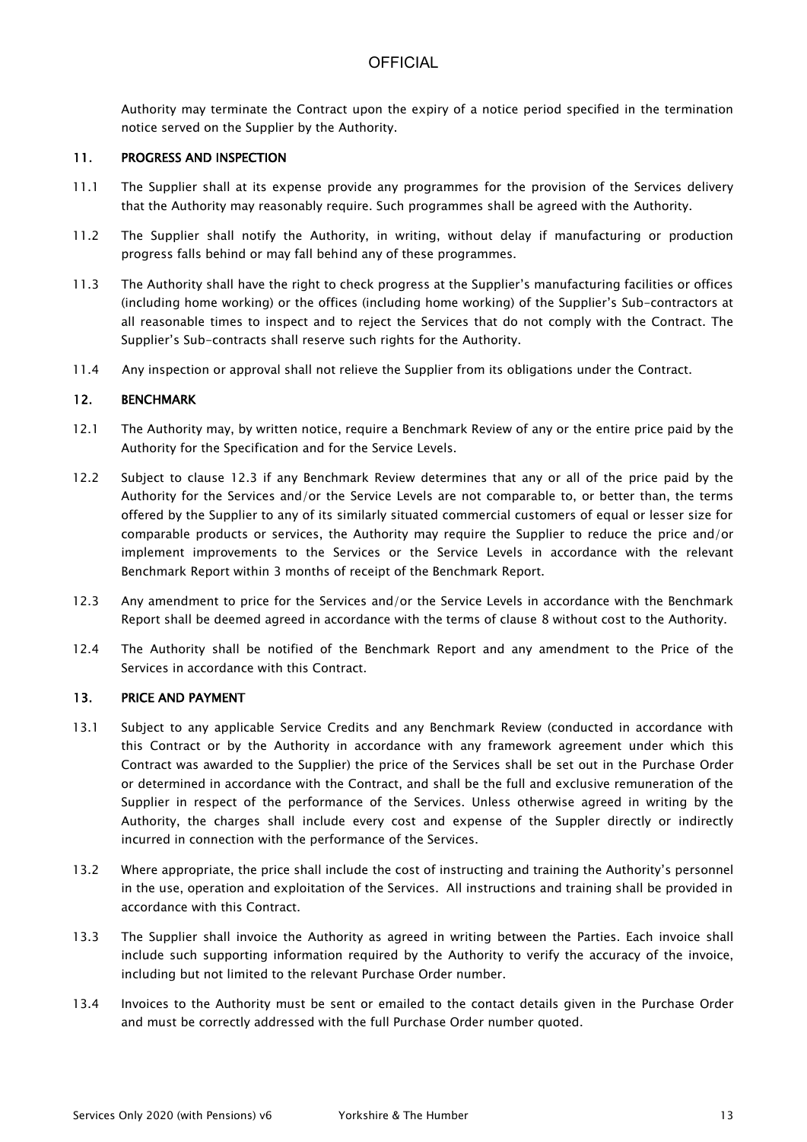Authority may terminate the Contract upon the expiry of a notice period specified in the termination notice served on the Supplier by the Authority.

#### 11. PROGRESS AND INSPECTION

- 11.1 The Supplier shall at its expense provide any programmes for the provision of the Services delivery that the Authority may reasonably require. Such programmes shall be agreed with the Authority.
- 11.2 The Supplier shall notify the Authority, in writing, without delay if manufacturing or production progress falls behind or may fall behind any of these programmes.
- 11.3 The Authority shall have the right to check progress at the Supplier's manufacturing facilities or offices (including home working) or the offices (including home working) of the Supplier's Sub-contractors at all reasonable times to inspect and to reject the Services that do not comply with the Contract. The Supplier's Sub-contracts shall reserve such rights for the Authority.
- 11.4 Any inspection or approval shall not relieve the Supplier from its obligations under the Contract.

#### 12. BENCHMARK

- 12.1 The Authority may, by written notice, require a Benchmark Review of any or the entire price paid by the Authority for the Specification and for the Service Levels.
- 12.2 Subject to clause 12.3 if any Benchmark Review determines that any or all of the price paid by the Authority for the Services and/or the Service Levels are not comparable to, or better than, the terms offered by the Supplier to any of its similarly situated commercial customers of equal or lesser size for comparable products or services, the Authority may require the Supplier to reduce the price and/or implement improvements to the Services or the Service Levels in accordance with the relevant Benchmark Report within 3 months of receipt of the Benchmark Report.
- 12.3 Any amendment to price for the Services and/or the Service Levels in accordance with the Benchmark Report shall be deemed agreed in accordance with the terms of clause 8 without cost to the Authority.
- 12.4 The Authority shall be notified of the Benchmark Report and any amendment to the Price of the Services in accordance with this Contract.

### 13. PRICE AND PAYMENT

- 13.1 Subject to any applicable Service Credits and any Benchmark Review (conducted in accordance with this Contract or by the Authority in accordance with any framework agreement under which this Contract was awarded to the Supplier) the price of the Services shall be set out in the Purchase Order or determined in accordance with the Contract, and shall be the full and exclusive remuneration of the Supplier in respect of the performance of the Services. Unless otherwise agreed in writing by the Authority, the charges shall include every cost and expense of the Suppler directly or indirectly incurred in connection with the performance of the Services.
- 13.2 Where appropriate, the price shall include the cost of instructing and training the Authority's personnel in the use, operation and exploitation of the Services. All instructions and training shall be provided in accordance with this Contract.
- 13.3 The Supplier shall invoice the Authority as agreed in writing between the Parties. Each invoice shall include such supporting information required by the Authority to verify the accuracy of the invoice, including but not limited to the relevant Purchase Order number.
- 13.4 Invoices to the Authority must be sent or emailed to the contact details given in the Purchase Order and must be correctly addressed with the full Purchase Order number quoted.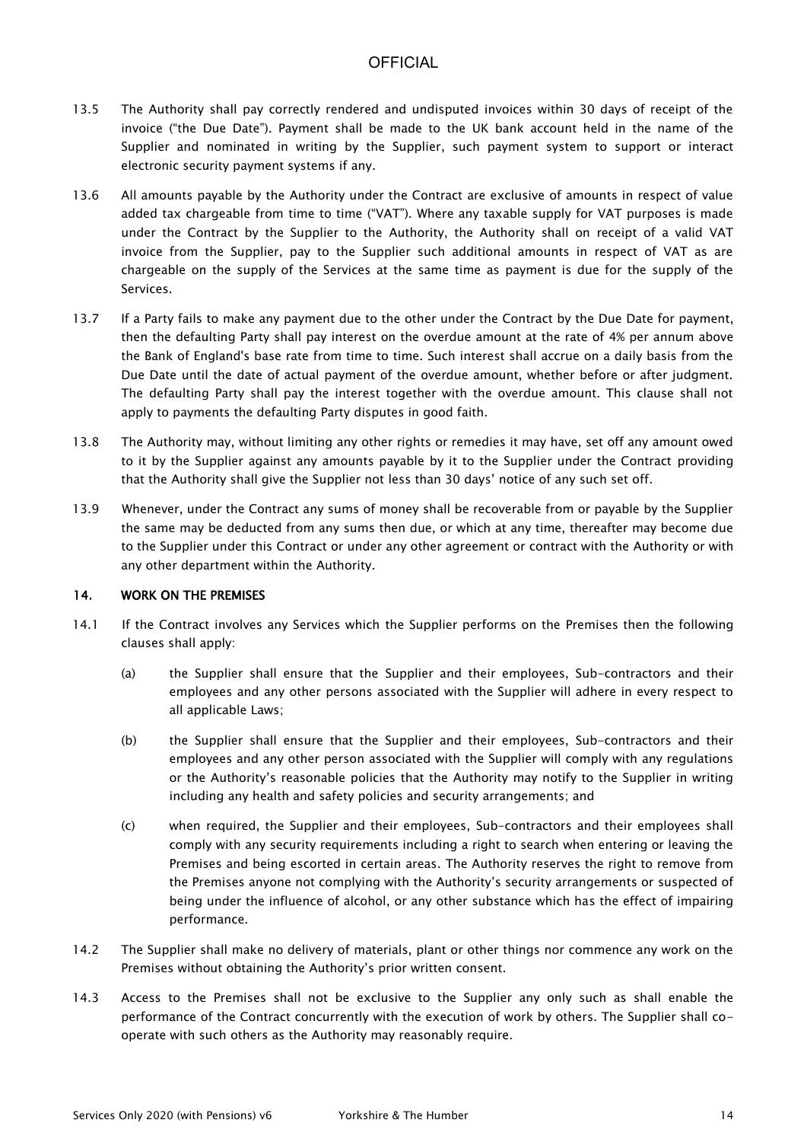- 13.5 The Authority shall pay correctly rendered and undisputed invoices within 30 days of receipt of the invoice ("the Due Date"). Payment shall be made to the UK bank account held in the name of the Supplier and nominated in writing by the Supplier, such payment system to support or interact electronic security payment systems if any.
- 13.6 All amounts payable by the Authority under the Contract are exclusive of amounts in respect of value added tax chargeable from time to time ("VAT"). Where any taxable supply for VAT purposes is made under the Contract by the Supplier to the Authority, the Authority shall on receipt of a valid VAT invoice from the Supplier, pay to the Supplier such additional amounts in respect of VAT as are chargeable on the supply of the Services at the same time as payment is due for the supply of the Services.
- 13.7 If a Party fails to make any payment due to the other under the Contract by the Due Date for payment, then the defaulting Party shall pay interest on the overdue amount at the rate of 4% per annum above the Bank of England's base rate from time to time. Such interest shall accrue on a daily basis from the Due Date until the date of actual payment of the overdue amount, whether before or after judgment. The defaulting Party shall pay the interest together with the overdue amount. This clause shall not apply to payments the defaulting Party disputes in good faith.
- 13.8 The Authority may, without limiting any other rights or remedies it may have, set off any amount owed to it by the Supplier against any amounts payable by it to the Supplier under the Contract providing that the Authority shall give the Supplier not less than 30 days' notice of any such set off.
- 13.9 Whenever, under the Contract any sums of money shall be recoverable from or payable by the Supplier the same may be deducted from any sums then due, or which at any time, thereafter may become due to the Supplier under this Contract or under any other agreement or contract with the Authority or with any other department within the Authority.

### 14. WORK ON THE PREMISES

- 14.1 If the Contract involves any Services which the Supplier performs on the Premises then the following clauses shall apply:
	- (a) the Supplier shall ensure that the Supplier and their employees, Sub-contractors and their employees and any other persons associated with the Supplier will adhere in every respect to all applicable Laws;
	- (b) the Supplier shall ensure that the Supplier and their employees, Sub-contractors and their employees and any other person associated with the Supplier will comply with any regulations or the Authority's reasonable policies that the Authority may notify to the Supplier in writing including any health and safety policies and security arrangements; and
	- (c) when required, the Supplier and their employees, Sub-contractors and their employees shall comply with any security requirements including a right to search when entering or leaving the Premises and being escorted in certain areas. The Authority reserves the right to remove from the Premises anyone not complying with the Authority's security arrangements or suspected of being under the influence of alcohol, or any other substance which has the effect of impairing performance.
- 14.2 The Supplier shall make no delivery of materials, plant or other things nor commence any work on the Premises without obtaining the Authority's prior written consent.
- 14.3 Access to the Premises shall not be exclusive to the Supplier any only such as shall enable the performance of the Contract concurrently with the execution of work by others. The Supplier shall cooperate with such others as the Authority may reasonably require.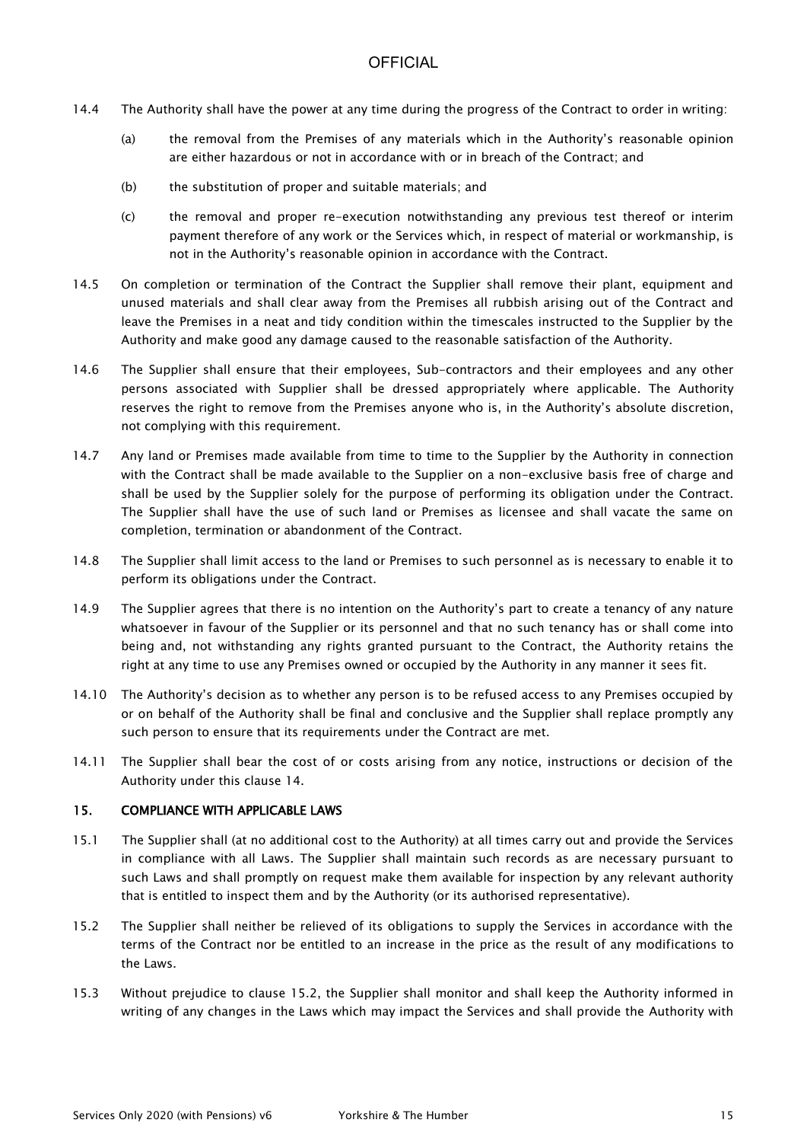- 14.4 The Authority shall have the power at any time during the progress of the Contract to order in writing:
	- (a) the removal from the Premises of any materials which in the Authority's reasonable opinion are either hazardous or not in accordance with or in breach of the Contract; and
	- (b) the substitution of proper and suitable materials; and
	- (c) the removal and proper re-execution notwithstanding any previous test thereof or interim payment therefore of any work or the Services which, in respect of material or workmanship, is not in the Authority's reasonable opinion in accordance with the Contract.
- 14.5 On completion or termination of the Contract the Supplier shall remove their plant, equipment and unused materials and shall clear away from the Premises all rubbish arising out of the Contract and leave the Premises in a neat and tidy condition within the timescales instructed to the Supplier by the Authority and make good any damage caused to the reasonable satisfaction of the Authority.
- 14.6 The Supplier shall ensure that their employees, Sub-contractors and their employees and any other persons associated with Supplier shall be dressed appropriately where applicable. The Authority reserves the right to remove from the Premises anyone who is, in the Authority's absolute discretion, not complying with this requirement.
- 14.7 Any land or Premises made available from time to time to the Supplier by the Authority in connection with the Contract shall be made available to the Supplier on a non-exclusive basis free of charge and shall be used by the Supplier solely for the purpose of performing its obligation under the Contract. The Supplier shall have the use of such land or Premises as licensee and shall vacate the same on completion, termination or abandonment of the Contract.
- 14.8 The Supplier shall limit access to the land or Premises to such personnel as is necessary to enable it to perform its obligations under the Contract.
- 14.9 The Supplier agrees that there is no intention on the Authority's part to create a tenancy of any nature whatsoever in favour of the Supplier or its personnel and that no such tenancy has or shall come into being and, not withstanding any rights granted pursuant to the Contract, the Authority retains the right at any time to use any Premises owned or occupied by the Authority in any manner it sees fit.
- 14.10 The Authority's decision as to whether any person is to be refused access to any Premises occupied by or on behalf of the Authority shall be final and conclusive and the Supplier shall replace promptly any such person to ensure that its requirements under the Contract are met.
- 14.11 The Supplier shall bear the cost of or costs arising from any notice, instructions or decision of the Authority under this clause 14.

### 15. COMPLIANCE WITH APPLICABLE LAWS

- 15.1 The Supplier shall (at no additional cost to the Authority) at all times carry out and provide the Services in compliance with all Laws. The Supplier shall maintain such records as are necessary pursuant to such Laws and shall promptly on request make them available for inspection by any relevant authority that is entitled to inspect them and by the Authority (or its authorised representative).
- 15.2 The Supplier shall neither be relieved of its obligations to supply the Services in accordance with the terms of the Contract nor be entitled to an increase in the price as the result of any modifications to the Laws.
- 15.3 Without prejudice to clause 15.2, the Supplier shall monitor and shall keep the Authority informed in writing of any changes in the Laws which may impact the Services and shall provide the Authority with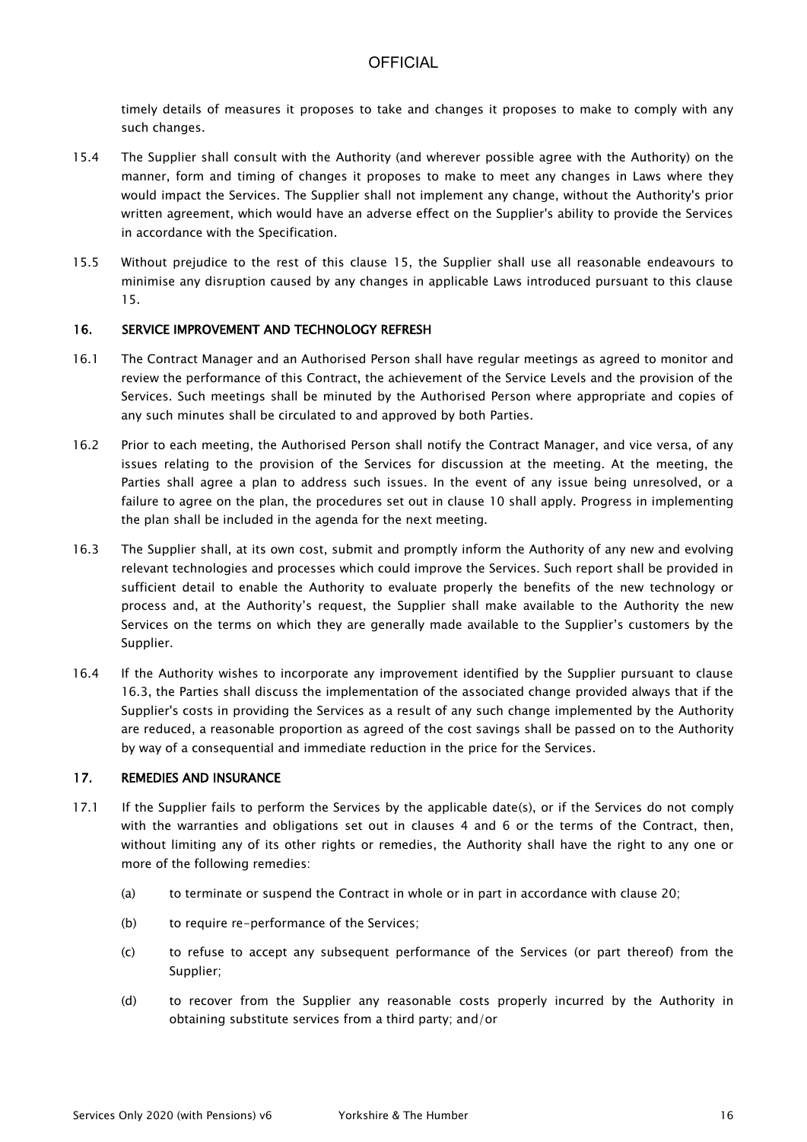timely details of measures it proposes to take and changes it proposes to make to comply with any such changes.

- 15.4 The Supplier shall consult with the Authority (and wherever possible agree with the Authority) on the manner, form and timing of changes it proposes to make to meet any changes in Laws where they would impact the Services. The Supplier shall not implement any change, without the Authority's prior written agreement, which would have an adverse effect on the Supplier's ability to provide the Services in accordance with the Specification.
- 15.5 Without prejudice to the rest of this clause 15, the Supplier shall use all reasonable endeavours to minimise any disruption caused by any changes in applicable Laws introduced pursuant to this clause 15.

### 16. SERVICE IMPROVEMENT AND TECHNOLOGY REFRESH

- 16.1 The Contract Manager and an Authorised Person shall have regular meetings as agreed to monitor and review the performance of this Contract, the achievement of the Service Levels and the provision of the Services. Such meetings shall be minuted by the Authorised Person where appropriate and copies of any such minutes shall be circulated to and approved by both Parties.
- 16.2 Prior to each meeting, the Authorised Person shall notify the Contract Manager, and vice versa, of any issues relating to the provision of the Services for discussion at the meeting. At the meeting, the Parties shall agree a plan to address such issues. In the event of any issue being unresolved, or a failure to agree on the plan, the procedures set out in clause 10 shall apply. Progress in implementing the plan shall be included in the agenda for the next meeting.
- 16.3 The Supplier shall, at its own cost, submit and promptly inform the Authority of any new and evolving relevant technologies and processes which could improve the Services. Such report shall be provided in sufficient detail to enable the Authority to evaluate properly the benefits of the new technology or process and, at the Authority's request, the Supplier shall make available to the Authority the new Services on the terms on which they are generally made available to the Supplier's customers by the Supplier.
- 16.4 If the Authority wishes to incorporate any improvement identified by the Supplier pursuant to clause 16.3, the Parties shall discuss the implementation of the associated change provided always that if the Supplier's costs in providing the Services as a result of any such change implemented by the Authority are reduced, a reasonable proportion as agreed of the cost savings shall be passed on to the Authority by way of a consequential and immediate reduction in the price for the Services.

#### 17. REMEDIES AND INSURANCE

- 17.1 If the Supplier fails to perform the Services by the applicable date(s), or if the Services do not comply with the warranties and obligations set out in clauses 4 and 6 or the terms of the Contract, then, without limiting any of its other rights or remedies, the Authority shall have the right to any one or more of the following remedies:
	- (a) to terminate or suspend the Contract in whole or in part in accordance with clause 20;
	- (b) to require re-performance of the Services;
	- (c) to refuse to accept any subsequent performance of the Services (or part thereof) from the Supplier;
	- (d) to recover from the Supplier any reasonable costs properly incurred by the Authority in obtaining substitute services from a third party; and/or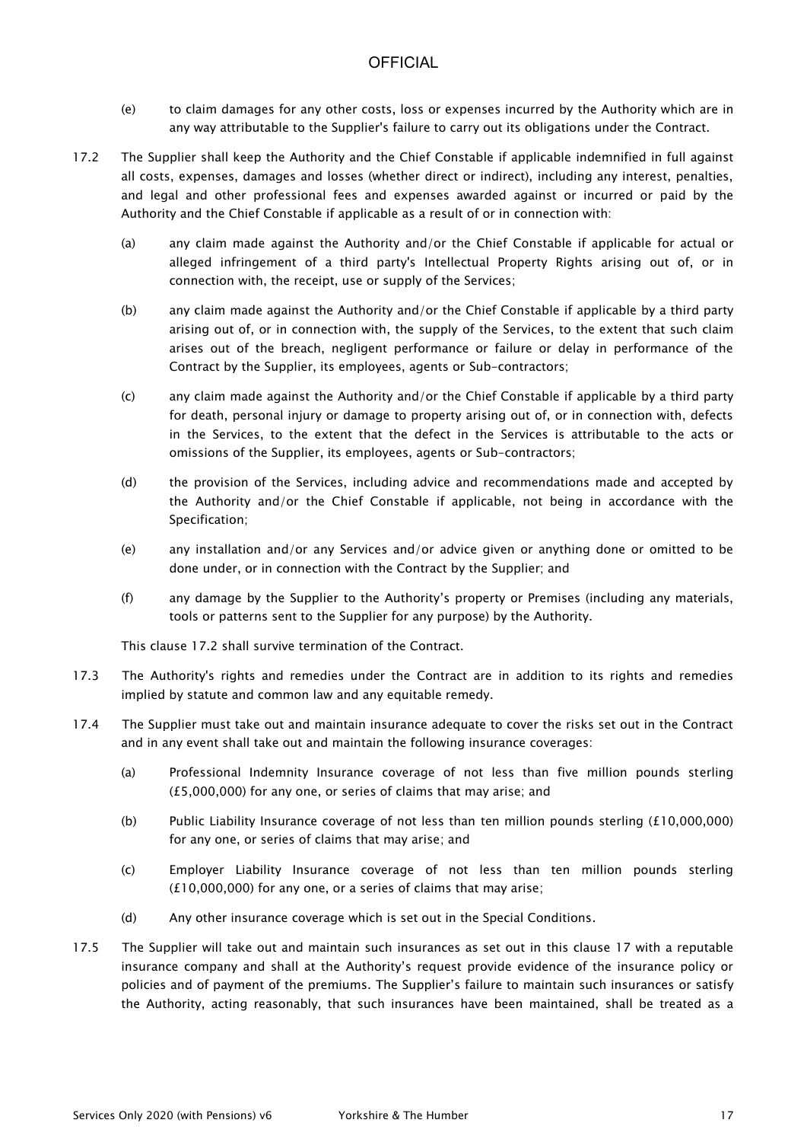- (e) to claim damages for any other costs, loss or expenses incurred by the Authority which are in any way attributable to the Supplier's failure to carry out its obligations under the Contract.
- 17.2 The Supplier shall keep the Authority and the Chief Constable if applicable indemnified in full against all costs, expenses, damages and losses (whether direct or indirect), including any interest, penalties, and legal and other professional fees and expenses awarded against or incurred or paid by the Authority and the Chief Constable if applicable as a result of or in connection with:
	- (a) any claim made against the Authority and/or the Chief Constable if applicable for actual or alleged infringement of a third party's Intellectual Property Rights arising out of, or in connection with, the receipt, use or supply of the Services;
	- (b) any claim made against the Authority and/or the Chief Constable if applicable by a third party arising out of, or in connection with, the supply of the Services, to the extent that such claim arises out of the breach, negligent performance or failure or delay in performance of the Contract by the Supplier, its employees, agents or Sub-contractors;
	- (c) any claim made against the Authority and/or the Chief Constable if applicable by a third party for death, personal injury or damage to property arising out of, or in connection with, defects in the Services, to the extent that the defect in the Services is attributable to the acts or omissions of the Supplier, its employees, agents or Sub-contractors;
	- (d) the provision of the Services, including advice and recommendations made and accepted by the Authority and/or the Chief Constable if applicable, not being in accordance with the Specification;
	- (e) any installation and/or any Services and/or advice given or anything done or omitted to be done under, or in connection with the Contract by the Supplier; and
	- (f) any damage by the Supplier to the Authority's property or Premises (including any materials, tools or patterns sent to the Supplier for any purpose) by the Authority.

This clause 17.2 shall survive termination of the Contract.

- 17.3 The Authority's rights and remedies under the Contract are in addition to its rights and remedies implied by statute and common law and any equitable remedy.
- 17.4 The Supplier must take out and maintain insurance adequate to cover the risks set out in the Contract and in any event shall take out and maintain the following insurance coverages:
	- (a) Professional Indemnity Insurance coverage of not less than five million pounds sterling (£5,000,000) for any one, or series of claims that may arise; and
	- (b) Public Liability Insurance coverage of not less than ten million pounds sterling (£10,000,000) for any one, or series of claims that may arise; and
	- (c) Employer Liability Insurance coverage of not less than ten million pounds sterling (£10,000,000) for any one, or a series of claims that may arise;
	- (d) Any other insurance coverage which is set out in the Special Conditions.
- 17.5 The Supplier will take out and maintain such insurances as set out in this clause 17 with a reputable insurance company and shall at the Authority's request provide evidence of the insurance policy or policies and of payment of the premiums. The Supplier's failure to maintain such insurances or satisfy the Authority, acting reasonably, that such insurances have been maintained, shall be treated as a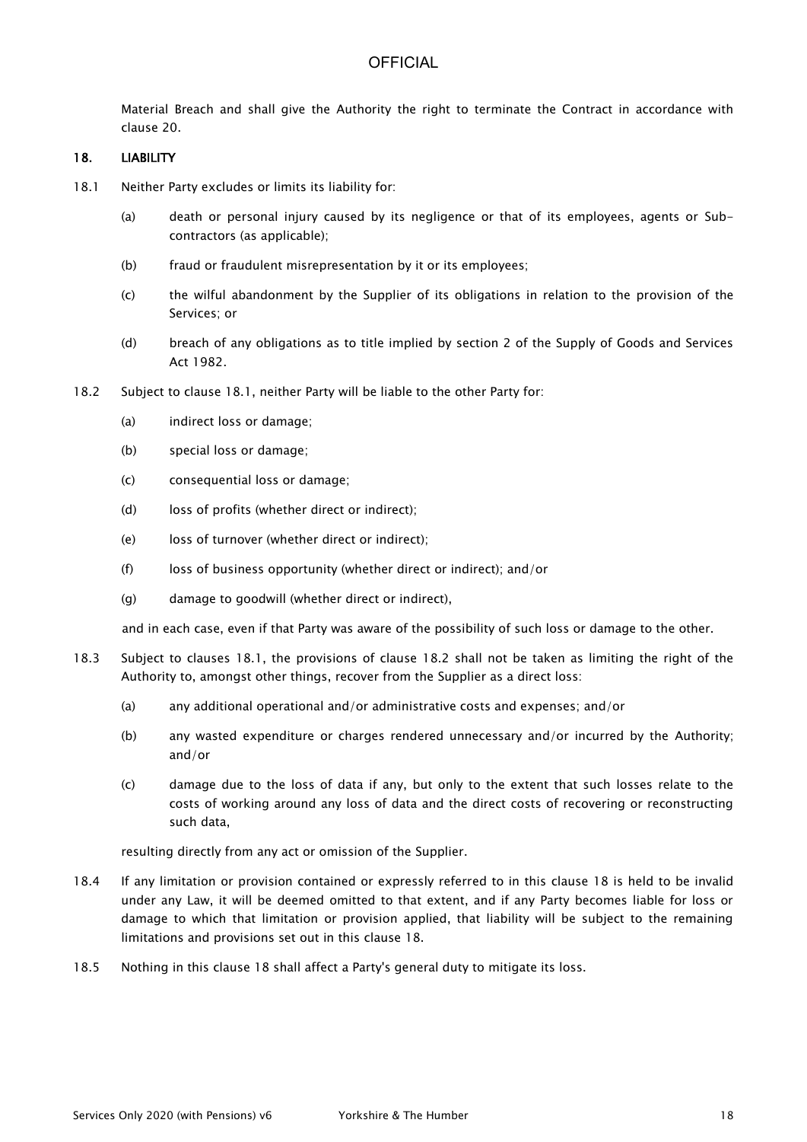Material Breach and shall give the Authority the right to terminate the Contract in accordance with clause 20.

#### 18. LIABILITY

- 18.1 Neither Party excludes or limits its liability for:
	- (a) death or personal injury caused by its negligence or that of its employees, agents or Subcontractors (as applicable);
	- (b) fraud or fraudulent misrepresentation by it or its employees;
	- (c) the wilful abandonment by the Supplier of its obligations in relation to the provision of the Services; or
	- (d) breach of any obligations as to title implied by section 2 of the Supply of Goods and Services Act 1982.
- 18.2 Subject to clause 18.1, neither Party will be liable to the other Party for:
	- (a) indirect loss or damage;
	- (b) special loss or damage;
	- (c) consequential loss or damage;
	- (d) loss of profits (whether direct or indirect);
	- (e) loss of turnover (whether direct or indirect);
	- (f) loss of business opportunity (whether direct or indirect); and/or
	- (g) damage to goodwill (whether direct or indirect),

and in each case, even if that Party was aware of the possibility of such loss or damage to the other.

- 18.3 Subject to clauses 18.1, the provisions of clause 18.2 shall not be taken as limiting the right of the Authority to, amongst other things, recover from the Supplier as a direct loss:
	- (a) any additional operational and/or administrative costs and expenses; and/or
	- (b) any wasted expenditure or charges rendered unnecessary and/or incurred by the Authority; and/or
	- (c) damage due to the loss of data if any, but only to the extent that such losses relate to the costs of working around any loss of data and the direct costs of recovering or reconstructing such data,

resulting directly from any act or omission of the Supplier.

- 18.4 If any limitation or provision contained or expressly referred to in this clause 18 is held to be invalid under any Law, it will be deemed omitted to that extent, and if any Party becomes liable for loss or damage to which that limitation or provision applied, that liability will be subject to the remaining limitations and provisions set out in this clause 18.
- 18.5 Nothing in this clause 18 shall affect a Party's general duty to mitigate its loss.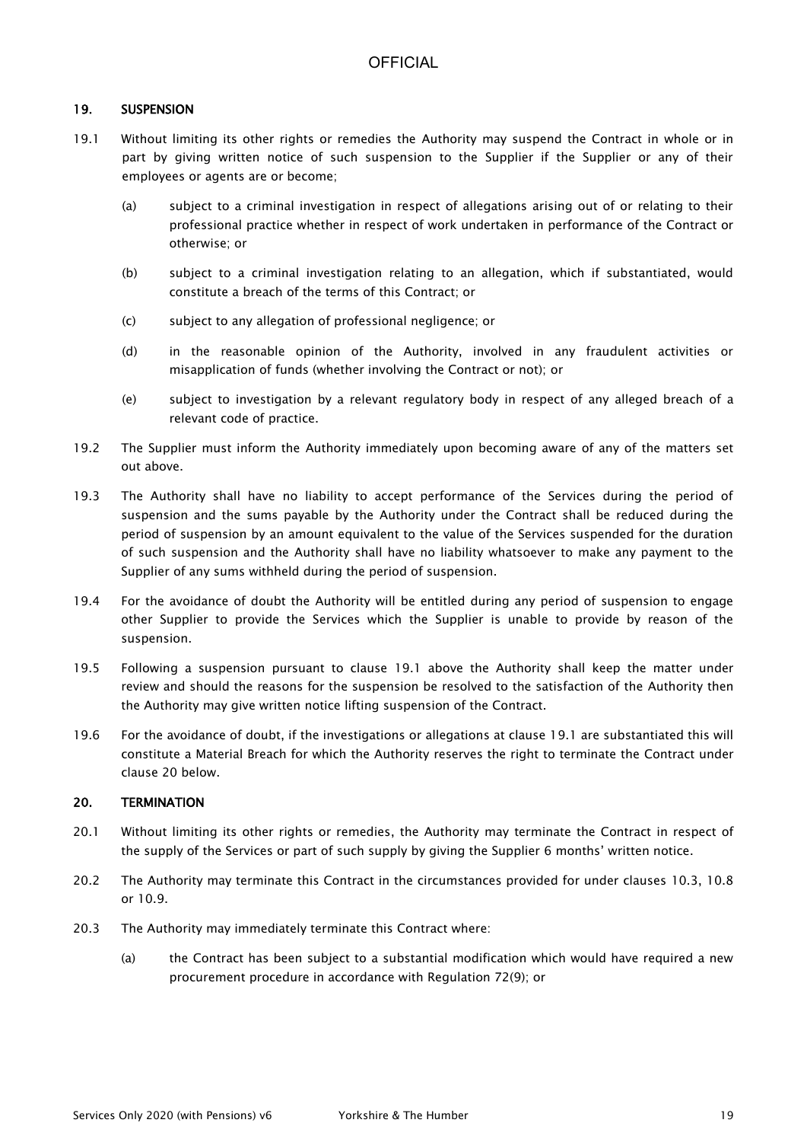### 19. SUSPENSION

- 19.1 Without limiting its other rights or remedies the Authority may suspend the Contract in whole or in part by giving written notice of such suspension to the Supplier if the Supplier or any of their employees or agents are or become;
	- (a) subject to a criminal investigation in respect of allegations arising out of or relating to their professional practice whether in respect of work undertaken in performance of the Contract or otherwise; or
	- (b) subject to a criminal investigation relating to an allegation, which if substantiated, would constitute a breach of the terms of this Contract; or
	- (c) subject to any allegation of professional negligence; or
	- (d) in the reasonable opinion of the Authority, involved in any fraudulent activities or misapplication of funds (whether involving the Contract or not); or
	- (e) subject to investigation by a relevant regulatory body in respect of any alleged breach of a relevant code of practice.
- 19.2 The Supplier must inform the Authority immediately upon becoming aware of any of the matters set out above.
- 19.3 The Authority shall have no liability to accept performance of the Services during the period of suspension and the sums payable by the Authority under the Contract shall be reduced during the period of suspension by an amount equivalent to the value of the Services suspended for the duration of such suspension and the Authority shall have no liability whatsoever to make any payment to the Supplier of any sums withheld during the period of suspension.
- 19.4 For the avoidance of doubt the Authority will be entitled during any period of suspension to engage other Supplier to provide the Services which the Supplier is unable to provide by reason of the suspension.
- 19.5 Following a suspension pursuant to clause 19.1 above the Authority shall keep the matter under review and should the reasons for the suspension be resolved to the satisfaction of the Authority then the Authority may give written notice lifting suspension of the Contract.
- 19.6 For the avoidance of doubt, if the investigations or allegations at clause 19.1 are substantiated this will constitute a Material Breach for which the Authority reserves the right to terminate the Contract under clause 20 below.

### 20. TERMINATION

- 20.1 Without limiting its other rights or remedies, the Authority may terminate the Contract in respect of the supply of the Services or part of such supply by giving the Supplier 6 months' written notice.
- 20.2 The Authority may terminate this Contract in the circumstances provided for under clauses 10.3, 10.8 or 10.9.
- 20.3 The Authority may immediately terminate this Contract where:
	- (a) the Contract has been subject to a substantial modification which would have required a new procurement procedure in accordance with Regulation 72(9); or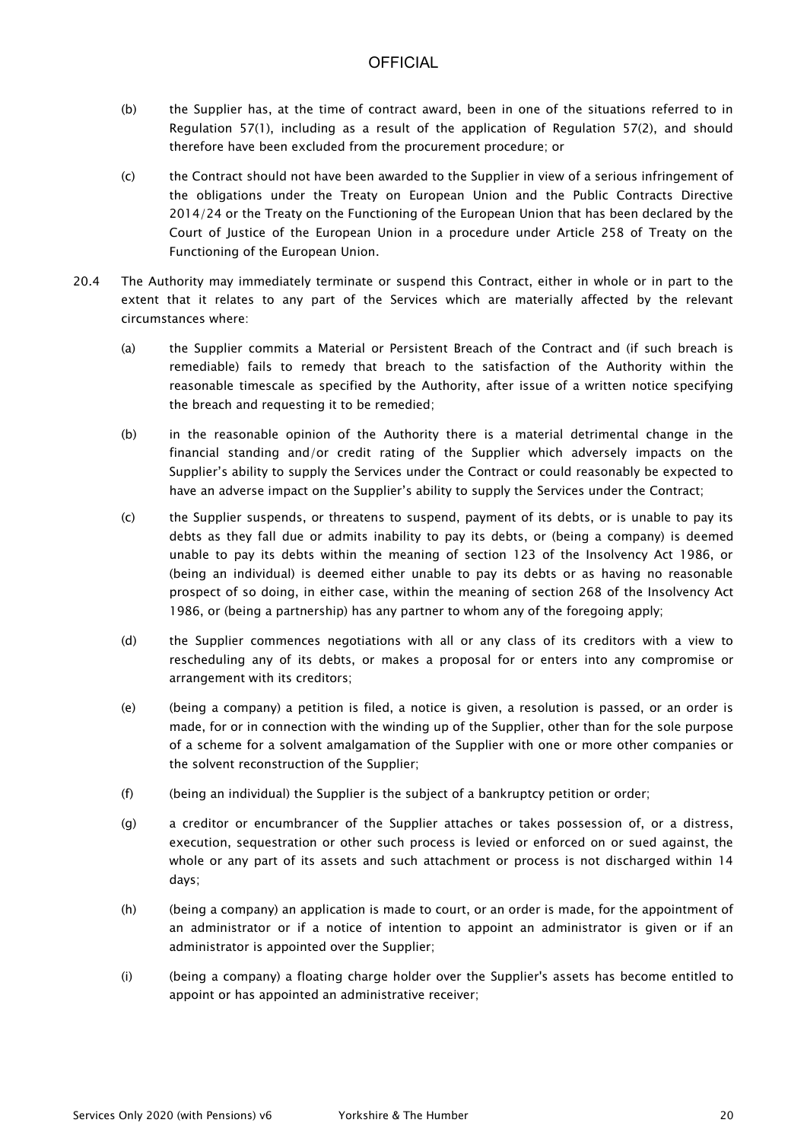- (b) the Supplier has, at the time of contract award, been in one of the situations referred to in Regulation 57(1), including as a result of the application of Regulation 57(2), and should therefore have been excluded from the procurement procedure; or
- (c) the Contract should not have been awarded to the Supplier in view of a serious infringement of the obligations under the Treaty on European Union and the Public Contracts Directive 2014/24 or the Treaty on the Functioning of the European Union that has been declared by the Court of Justice of the European Union in a procedure under Article 258 of Treaty on the Functioning of the European Union.
- 20.4 The Authority may immediately terminate or suspend this Contract, either in whole or in part to the extent that it relates to any part of the Services which are materially affected by the relevant circumstances where:
	- (a) the Supplier commits a Material or Persistent Breach of the Contract and (if such breach is remediable) fails to remedy that breach to the satisfaction of the Authority within the reasonable timescale as specified by the Authority, after issue of a written notice specifying the breach and requesting it to be remedied;
	- (b) in the reasonable opinion of the Authority there is a material detrimental change in the financial standing and/or credit rating of the Supplier which adversely impacts on the Supplier's ability to supply the Services under the Contract or could reasonably be expected to have an adverse impact on the Supplier's ability to supply the Services under the Contract;
	- (c) the Supplier suspends, or threatens to suspend, payment of its debts, or is unable to pay its debts as they fall due or admits inability to pay its debts, or (being a company) is deemed unable to pay its debts within the meaning of section 123 of the Insolvency Act 1986, or (being an individual) is deemed either unable to pay its debts or as having no reasonable prospect of so doing, in either case, within the meaning of section 268 of the Insolvency Act 1986, or (being a partnership) has any partner to whom any of the foregoing apply;
	- (d) the Supplier commences negotiations with all or any class of its creditors with a view to rescheduling any of its debts, or makes a proposal for or enters into any compromise or arrangement with its creditors;
	- (e) (being a company) a petition is filed, a notice is given, a resolution is passed, or an order is made, for or in connection with the winding up of the Supplier, other than for the sole purpose of a scheme for a solvent amalgamation of the Supplier with one or more other companies or the solvent reconstruction of the Supplier;
	- (f) (being an individual) the Supplier is the subject of a bankruptcy petition or order;
	- (g) a creditor or encumbrancer of the Supplier attaches or takes possession of, or a distress, execution, sequestration or other such process is levied or enforced on or sued against, the whole or any part of its assets and such attachment or process is not discharged within 14 days;
	- (h) (being a company) an application is made to court, or an order is made, for the appointment of an administrator or if a notice of intention to appoint an administrator is given or if an administrator is appointed over the Supplier;
	- (i) (being a company) a floating charge holder over the Supplier's assets has become entitled to appoint or has appointed an administrative receiver;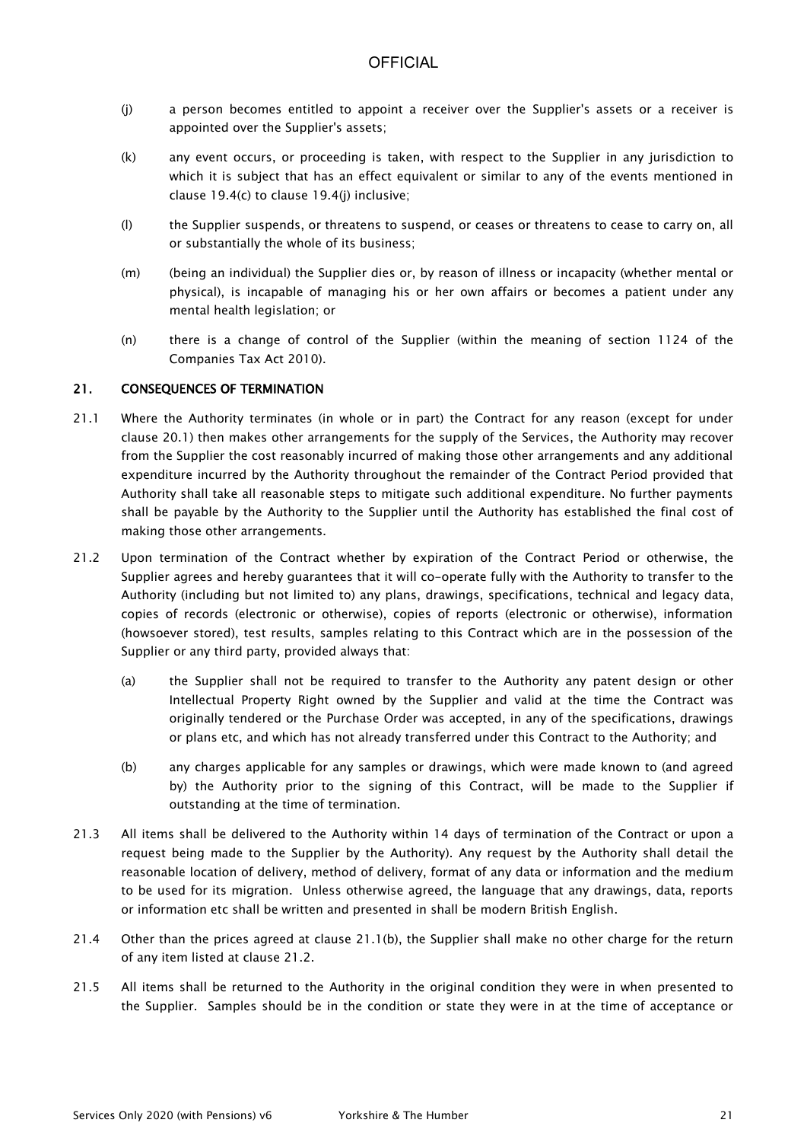- (j) a person becomes entitled to appoint a receiver over the Supplier's assets or a receiver is appointed over the Supplier's assets;
- (k) any event occurs, or proceeding is taken, with respect to the Supplier in any jurisdiction to which it is subject that has an effect equivalent or similar to any of the events mentioned in clause 19.4(c) to clause 19.4(j) inclusive;
- (l) the Supplier suspends, or threatens to suspend, or ceases or threatens to cease to carry on, all or substantially the whole of its business;
- (m) (being an individual) the Supplier dies or, by reason of illness or incapacity (whether mental or physical), is incapable of managing his or her own affairs or becomes a patient under any mental health legislation; or
- (n) there is a change of control of the Supplier (within the meaning of section 1124 of the Companies Tax Act 2010).

### 21. CONSEQUENCES OF TERMINATION

- 21.1 Where the Authority terminates (in whole or in part) the Contract for any reason (except for under clause 20.1) then makes other arrangements for the supply of the Services, the Authority may recover from the Supplier the cost reasonably incurred of making those other arrangements and any additional expenditure incurred by the Authority throughout the remainder of the Contract Period provided that Authority shall take all reasonable steps to mitigate such additional expenditure. No further payments shall be payable by the Authority to the Supplier until the Authority has established the final cost of making those other arrangements.
- 21.2 Upon termination of the Contract whether by expiration of the Contract Period or otherwise, the Supplier agrees and hereby guarantees that it will co-operate fully with the Authority to transfer to the Authority (including but not limited to) any plans, drawings, specifications, technical and legacy data, copies of records (electronic or otherwise), copies of reports (electronic or otherwise), information (howsoever stored), test results, samples relating to this Contract which are in the possession of the Supplier or any third party, provided always that:
	- (a) the Supplier shall not be required to transfer to the Authority any patent design or other Intellectual Property Right owned by the Supplier and valid at the time the Contract was originally tendered or the Purchase Order was accepted, in any of the specifications, drawings or plans etc, and which has not already transferred under this Contract to the Authority; and
	- (b) any charges applicable for any samples or drawings, which were made known to (and agreed by) the Authority prior to the signing of this Contract, will be made to the Supplier if outstanding at the time of termination.
- 21.3 All items shall be delivered to the Authority within 14 days of termination of the Contract or upon a request being made to the Supplier by the Authority). Any request by the Authority shall detail the reasonable location of delivery, method of delivery, format of any data or information and the medium to be used for its migration. Unless otherwise agreed, the language that any drawings, data, reports or information etc shall be written and presented in shall be modern British English.
- 21.4 Other than the prices agreed at clause 21.1(b), the Supplier shall make no other charge for the return of any item listed at clause 21.2.
- 21.5 All items shall be returned to the Authority in the original condition they were in when presented to the Supplier. Samples should be in the condition or state they were in at the time of acceptance or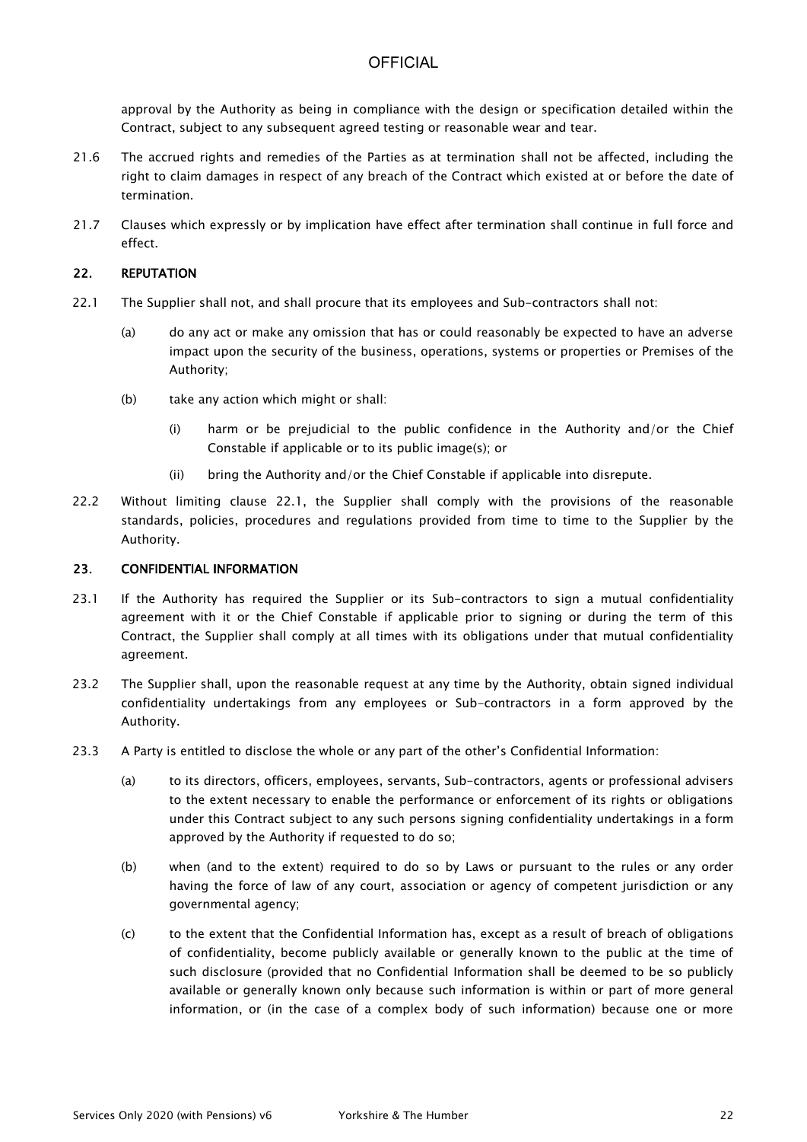approval by the Authority as being in compliance with the design or specification detailed within the Contract, subject to any subsequent agreed testing or reasonable wear and tear.

- 21.6 The accrued rights and remedies of the Parties as at termination shall not be affected, including the right to claim damages in respect of any breach of the Contract which existed at or before the date of termination.
- 21.7 Clauses which expressly or by implication have effect after termination shall continue in full force and effect.

### 22. REPUTATION

- 22.1 The Supplier shall not, and shall procure that its employees and Sub-contractors shall not:
	- (a) do any act or make any omission that has or could reasonably be expected to have an adverse impact upon the security of the business, operations, systems or properties or Premises of the Authority;
	- (b) take any action which might or shall:
		- (i) harm or be prejudicial to the public confidence in the Authority and/or the Chief Constable if applicable or to its public image(s); or
		- (ii) bring the Authority and/or the Chief Constable if applicable into disrepute.
- 22.2 Without limiting clause 22.1, the Supplier shall comply with the provisions of the reasonable standards, policies, procedures and regulations provided from time to time to the Supplier by the Authority.

#### 23. CONFIDENTIAL INFORMATION

- 23.1 If the Authority has required the Supplier or its Sub-contractors to sign a mutual confidentiality agreement with it or the Chief Constable if applicable prior to signing or during the term of this Contract, the Supplier shall comply at all times with its obligations under that mutual confidentiality agreement.
- 23.2 The Supplier shall, upon the reasonable request at any time by the Authority, obtain signed individual confidentiality undertakings from any employees or Sub-contractors in a form approved by the Authority.
- 23.3 A Party is entitled to disclose the whole or any part of the other's Confidential Information:
	- (a) to its directors, officers, employees, servants, Sub-contractors, agents or professional advisers to the extent necessary to enable the performance or enforcement of its rights or obligations under this Contract subject to any such persons signing confidentiality undertakings in a form approved by the Authority if requested to do so;
	- (b) when (and to the extent) required to do so by Laws or pursuant to the rules or any order having the force of law of any court, association or agency of competent jurisdiction or any governmental agency;
	- (c) to the extent that the Confidential Information has, except as a result of breach of obligations of confidentiality, become publicly available or generally known to the public at the time of such disclosure (provided that no Confidential Information shall be deemed to be so publicly available or generally known only because such information is within or part of more general information, or (in the case of a complex body of such information) because one or more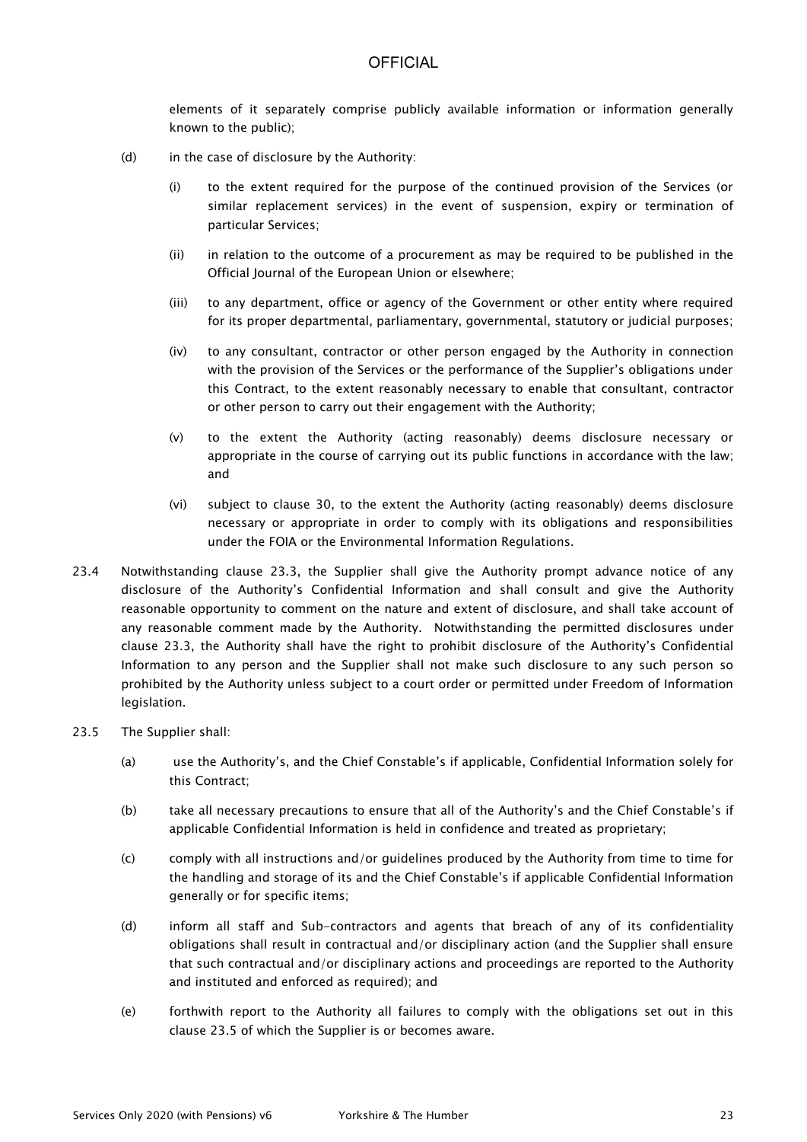elements of it separately comprise publicly available information or information generally known to the public);

- (d) in the case of disclosure by the Authority:
	- (i) to the extent required for the purpose of the continued provision of the Services (or similar replacement services) in the event of suspension, expiry or termination of particular Services;
	- (ii) in relation to the outcome of a procurement as may be required to be published in the Official Journal of the European Union or elsewhere;
	- (iii) to any department, office or agency of the Government or other entity where required for its proper departmental, parliamentary, governmental, statutory or judicial purposes;
	- (iv) to any consultant, contractor or other person engaged by the Authority in connection with the provision of the Services or the performance of the Supplier's obligations under this Contract, to the extent reasonably necessary to enable that consultant, contractor or other person to carry out their engagement with the Authority;
	- (v) to the extent the Authority (acting reasonably) deems disclosure necessary or appropriate in the course of carrying out its public functions in accordance with the law; and
	- (vi) subject to clause 30, to the extent the Authority (acting reasonably) deems disclosure necessary or appropriate in order to comply with its obligations and responsibilities under the FOIA or the Environmental Information Regulations.
- 23.4 Notwithstanding clause 23.3, the Supplier shall give the Authority prompt advance notice of any disclosure of the Authority's Confidential Information and shall consult and give the Authority reasonable opportunity to comment on the nature and extent of disclosure, and shall take account of any reasonable comment made by the Authority. Notwithstanding the permitted disclosures under clause 23.3, the Authority shall have the right to prohibit disclosure of the Authority's Confidential Information to any person and the Supplier shall not make such disclosure to any such person so prohibited by the Authority unless subject to a court order or permitted under Freedom of Information legislation.

#### 23.5 The Supplier shall:

- (a) use the Authority's, and the Chief Constable's if applicable, Confidential Information solely for this Contract;
- (b) take all necessary precautions to ensure that all of the Authority's and the Chief Constable's if applicable Confidential Information is held in confidence and treated as proprietary;
- (c) comply with all instructions and/or guidelines produced by the Authority from time to time for the handling and storage of its and the Chief Constable's if applicable Confidential Information generally or for specific items;
- (d) inform all staff and Sub-contractors and agents that breach of any of its confidentiality obligations shall result in contractual and/or disciplinary action (and the Supplier shall ensure that such contractual and/or disciplinary actions and proceedings are reported to the Authority and instituted and enforced as required); and
- (e) forthwith report to the Authority all failures to comply with the obligations set out in this clause 23.5 of which the Supplier is or becomes aware.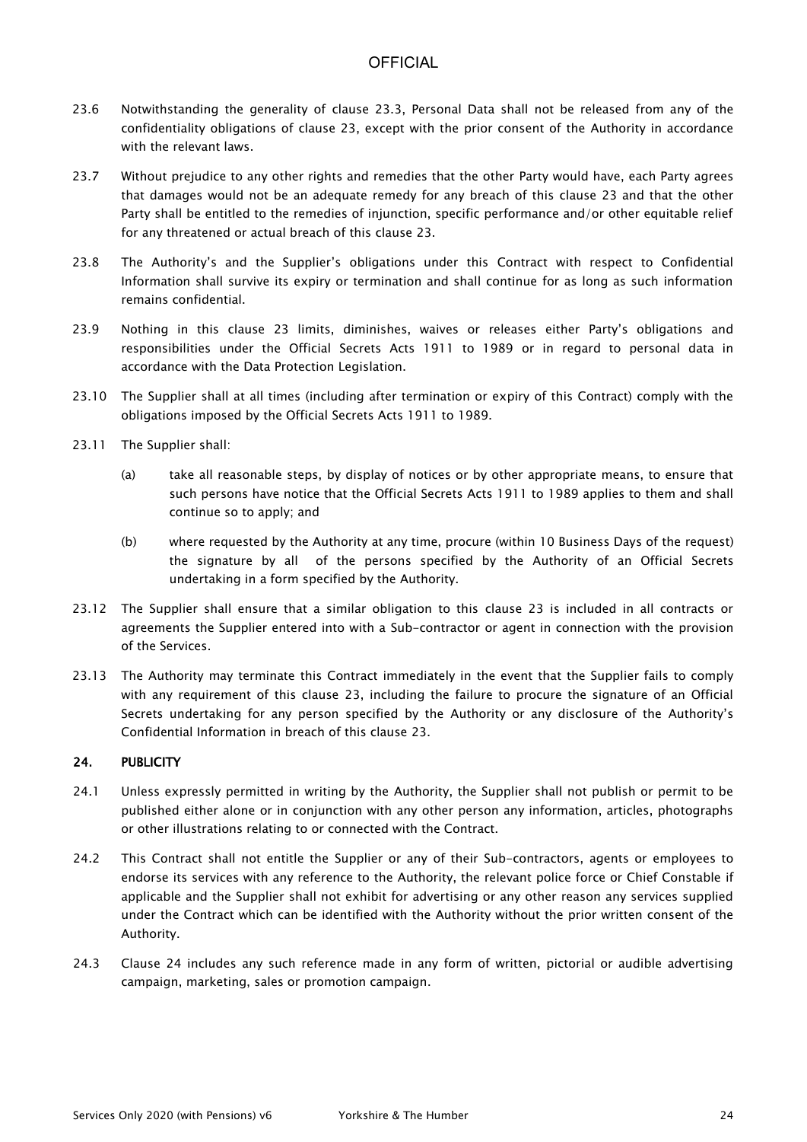- 23.6 Notwithstanding the generality of clause 23.3, Personal Data shall not be released from any of the confidentiality obligations of clause 23, except with the prior consent of the Authority in accordance with the relevant laws.
- 23.7 Without prejudice to any other rights and remedies that the other Party would have, each Party agrees that damages would not be an adequate remedy for any breach of this clause 23 and that the other Party shall be entitled to the remedies of injunction, specific performance and/or other equitable relief for any threatened or actual breach of this clause 23.
- 23.8 The Authority's and the Supplier's obligations under this Contract with respect to Confidential Information shall survive its expiry or termination and shall continue for as long as such information remains confidential.
- 23.9 Nothing in this clause 23 limits, diminishes, waives or releases either Party's obligations and responsibilities under the Official Secrets Acts 1911 to 1989 or in regard to personal data in accordance with the Data Protection Legislation.
- 23.10 The Supplier shall at all times (including after termination or expiry of this Contract) comply with the obligations imposed by the Official Secrets Acts 1911 to 1989.
- 23.11 The Supplier shall:
	- (a) take all reasonable steps, by display of notices or by other appropriate means, to ensure that such persons have notice that the Official Secrets Acts 1911 to 1989 applies to them and shall continue so to apply; and
	- (b) where requested by the Authority at any time, procure (within 10 Business Days of the request) the signature by all of the persons specified by the Authority of an Official Secrets undertaking in a form specified by the Authority.
- 23.12 The Supplier shall ensure that a similar obligation to this clause 23 is included in all contracts or agreements the Supplier entered into with a Sub-contractor or agent in connection with the provision of the Services.
- 23.13 The Authority may terminate this Contract immediately in the event that the Supplier fails to comply with any requirement of this clause 23, including the failure to procure the signature of an Official Secrets undertaking for any person specified by the Authority or any disclosure of the Authority's Confidential Information in breach of this clause 23.

### 24. PUBLICITY

- 24.1 Unless expressly permitted in writing by the Authority, the Supplier shall not publish or permit to be published either alone or in conjunction with any other person any information, articles, photographs or other illustrations relating to or connected with the Contract.
- 24.2 This Contract shall not entitle the Supplier or any of their Sub-contractors, agents or employees to endorse its services with any reference to the Authority, the relevant police force or Chief Constable if applicable and the Supplier shall not exhibit for advertising or any other reason any services supplied under the Contract which can be identified with the Authority without the prior written consent of the Authority.
- 24.3 Clause 24 includes any such reference made in any form of written, pictorial or audible advertising campaign, marketing, sales or promotion campaign.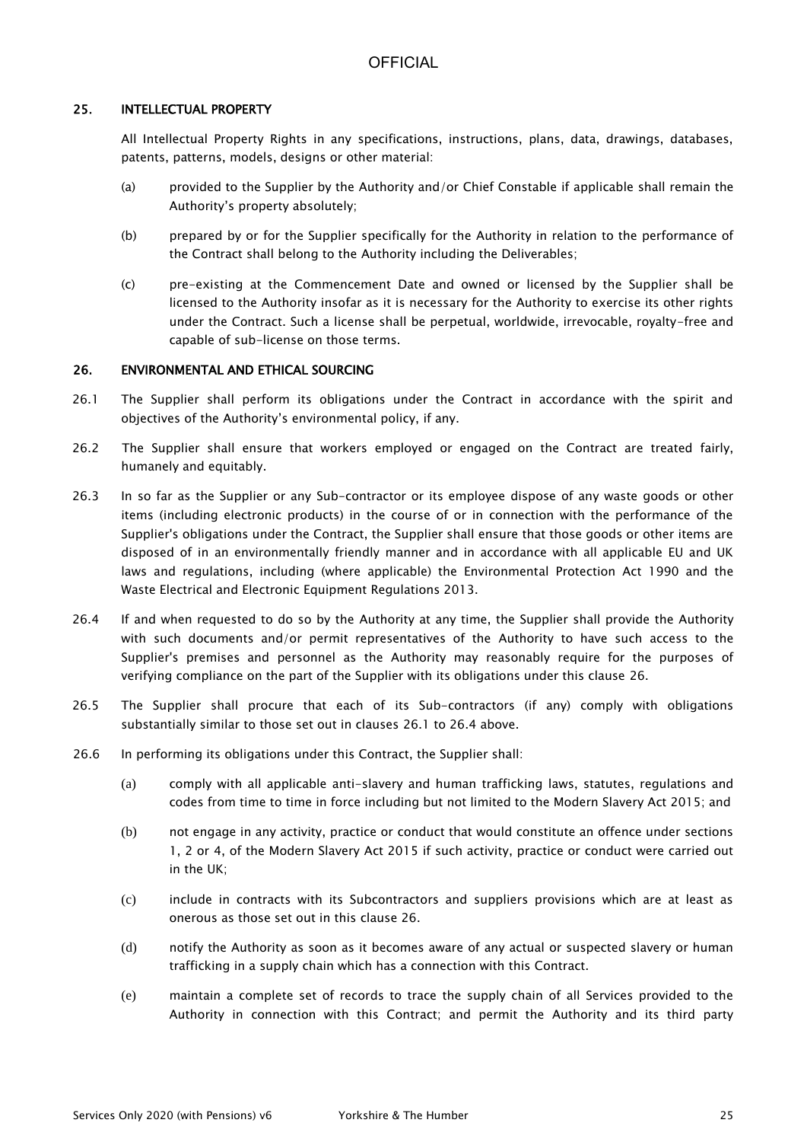### 25. INTELLECTUAL PROPERTY

All Intellectual Property Rights in any specifications, instructions, plans, data, drawings, databases, patents, patterns, models, designs or other material:

- (a) provided to the Supplier by the Authority and/or Chief Constable if applicable shall remain the Authority's property absolutely;
- (b) prepared by or for the Supplier specifically for the Authority in relation to the performance of the Contract shall belong to the Authority including the Deliverables;
- (c) pre-existing at the Commencement Date and owned or licensed by the Supplier shall be licensed to the Authority insofar as it is necessary for the Authority to exercise its other rights under the Contract. Such a license shall be perpetual, worldwide, irrevocable, royalty-free and capable of sub-license on those terms.

#### 26. ENVIRONMENTAL AND ETHICAL SOURCING

- 26.1 The Supplier shall perform its obligations under the Contract in accordance with the spirit and objectives of the Authority's environmental policy, if any.
- 26.2 The Supplier shall ensure that workers employed or engaged on the Contract are treated fairly, humanely and equitably.
- 26.3 In so far as the Supplier or any Sub-contractor or its employee dispose of any waste goods or other items (including electronic products) in the course of or in connection with the performance of the Supplier's obligations under the Contract, the Supplier shall ensure that those goods or other items are disposed of in an environmentally friendly manner and in accordance with all applicable EU and UK laws and regulations, including (where applicable) the Environmental Protection Act 1990 and the Waste Electrical and Electronic Equipment Regulations 2013.
- 26.4 If and when requested to do so by the Authority at any time, the Supplier shall provide the Authority with such documents and/or permit representatives of the Authority to have such access to the Supplier's premises and personnel as the Authority may reasonably require for the purposes of verifying compliance on the part of the Supplier with its obligations under this clause 26.
- 26.5 The Supplier shall procure that each of its Sub-contractors (if any) comply with obligations substantially similar to those set out in clauses 26.1 to 26.4 above.
- 26.6 In performing its obligations under this Contract, the Supplier shall:
	- (a) comply with all applicable anti-slavery and human trafficking laws, statutes, regulations and codes from time to time in force including but not limited to the Modern Slavery Act 2015; and
	- (b) not engage in any activity, practice or conduct that would constitute an offence under sections 1, 2 or 4, of the Modern Slavery Act 2015 if such activity, practice or conduct were carried out in the UK;
	- (c) include in contracts with its Subcontractors and suppliers provisions which are at least as onerous as those set out in this clause 26.
	- (d) notify the Authority as soon as it becomes aware of any actual or suspected slavery or human trafficking in a supply chain which has a connection with this Contract.
	- (e) maintain a complete set of records to trace the supply chain of all Services provided to the Authority in connection with this Contract; and permit the Authority and its third party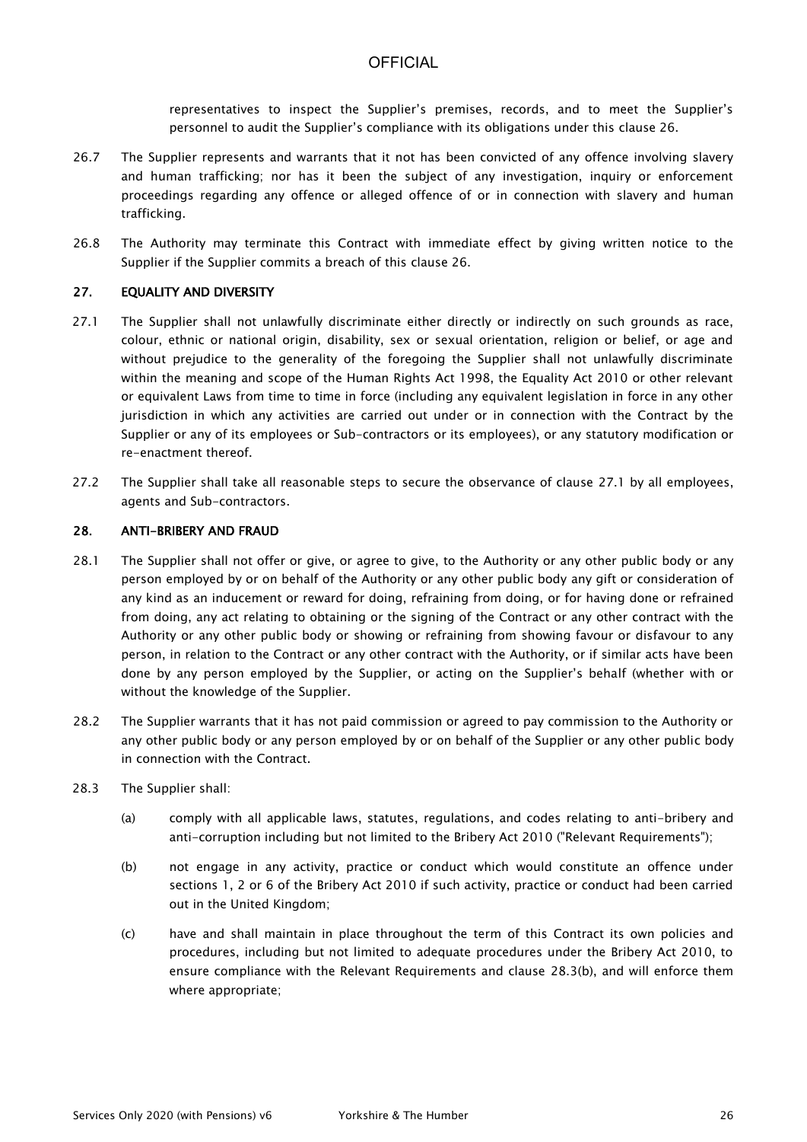representatives to inspect the Supplier's premises, records, and to meet the Supplier's personnel to audit the Supplier's compliance with its obligations under this clause 26.

- 26.7 The Supplier represents and warrants that it not has been convicted of any offence involving slavery and human trafficking; nor has it been the subject of any investigation, inquiry or enforcement proceedings regarding any offence or alleged offence of or in connection with slavery and human trafficking.
- 26.8 The Authority may terminate this Contract with immediate effect by giving written notice to the Supplier if the Supplier commits a breach of this clause 26.

#### 27. EQUALITY AND DIVERSITY

- 27.1 The Supplier shall not unlawfully discriminate either directly or indirectly on such grounds as race, colour, ethnic or national origin, disability, sex or sexual orientation, religion or belief, or age and without prejudice to the generality of the foregoing the Supplier shall not unlawfully discriminate within the meaning and scope of the Human Rights Act 1998, the Equality Act 2010 or other relevant or equivalent Laws from time to time in force (including any equivalent legislation in force in any other jurisdiction in which any activities are carried out under or in connection with the Contract by the Supplier or any of its employees or Sub-contractors or its employees), or any statutory modification or re-enactment thereof.
- 27.2 The Supplier shall take all reasonable steps to secure the observance of clause 27.1 by all employees, agents and Sub-contractors.

#### 28. ANTI-BRIBERY AND FRAUD

- 28.1 The Supplier shall not offer or give, or agree to give, to the Authority or any other public body or any person employed by or on behalf of the Authority or any other public body any gift or consideration of any kind as an inducement or reward for doing, refraining from doing, or for having done or refrained from doing, any act relating to obtaining or the signing of the Contract or any other contract with the Authority or any other public body or showing or refraining from showing favour or disfavour to any person, in relation to the Contract or any other contract with the Authority, or if similar acts have been done by any person employed by the Supplier, or acting on the Supplier's behalf (whether with or without the knowledge of the Supplier.
- 28.2 The Supplier warrants that it has not paid commission or agreed to pay commission to the Authority or any other public body or any person employed by or on behalf of the Supplier or any other public body in connection with the Contract.
- 28.3 The Supplier shall:
	- (a) comply with all applicable laws, statutes, regulations, and codes relating to anti-bribery and anti-corruption including but not limited to the Bribery Act 2010 ("Relevant Requirements");
	- (b) not engage in any activity, practice or conduct which would constitute an offence under sections 1, 2 or 6 of the Bribery Act 2010 if such activity, practice or conduct had been carried out in the United Kingdom;
	- (c) have and shall maintain in place throughout the term of this Contract its own policies and procedures, including but not limited to adequate procedures under the Bribery Act 2010, to ensure compliance with the Relevant Requirements and clause 28.3(b), and will enforce them where appropriate;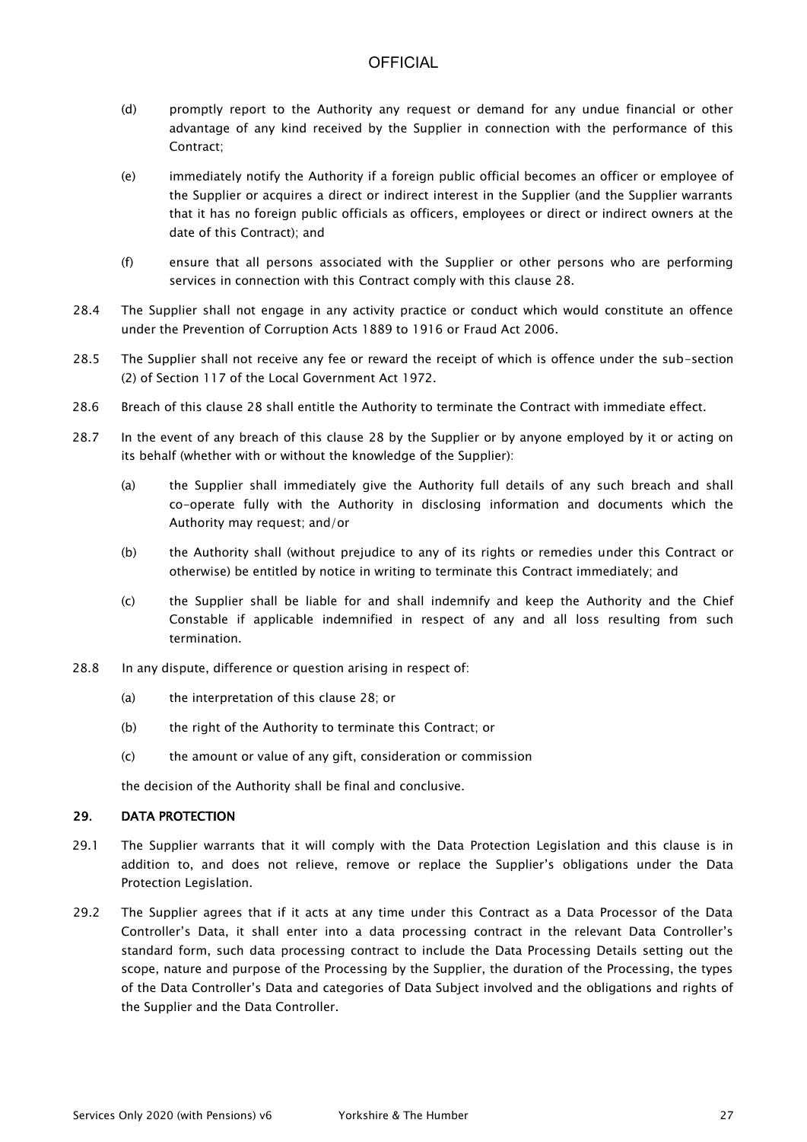- (d) promptly report to the Authority any request or demand for any undue financial or other advantage of any kind received by the Supplier in connection with the performance of this Contract;
- (e) immediately notify the Authority if a foreign public official becomes an officer or employee of the Supplier or acquires a direct or indirect interest in the Supplier (and the Supplier warrants that it has no foreign public officials as officers, employees or direct or indirect owners at the date of this Contract); and
- (f) ensure that all persons associated with the Supplier or other persons who are performing services in connection with this Contract comply with this clause 28.
- 28.4 The Supplier shall not engage in any activity practice or conduct which would constitute an offence under the Prevention of Corruption Acts 1889 to 1916 or Fraud Act 2006.
- 28.5 The Supplier shall not receive any fee or reward the receipt of which is offence under the sub-section (2) of Section 117 of the Local Government Act 1972.
- 28.6 Breach of this clause 28 shall entitle the Authority to terminate the Contract with immediate effect.
- 28.7 In the event of any breach of this clause 28 by the Supplier or by anyone employed by it or acting on its behalf (whether with or without the knowledge of the Supplier):
	- (a) the Supplier shall immediately give the Authority full details of any such breach and shall co-operate fully with the Authority in disclosing information and documents which the Authority may request; and/or
	- (b) the Authority shall (without prejudice to any of its rights or remedies under this Contract or otherwise) be entitled by notice in writing to terminate this Contract immediately; and
	- (c) the Supplier shall be liable for and shall indemnify and keep the Authority and the Chief Constable if applicable indemnified in respect of any and all loss resulting from such termination.
- 28.8 In any dispute, difference or question arising in respect of:
	- (a) the interpretation of this clause 28; or
	- (b) the right of the Authority to terminate this Contract; or
	- (c) the amount or value of any gift, consideration or commission

the decision of the Authority shall be final and conclusive.

### 29. DATA PROTECTION

- 29.1 The Supplier warrants that it will comply with the Data Protection Legislation and this clause is in addition to, and does not relieve, remove or replace the Supplier's obligations under the Data Protection Legislation.
- 29.2 The Supplier agrees that if it acts at any time under this Contract as a Data Processor of the Data Controller's Data, it shall enter into a data processing contract in the relevant Data Controller's standard form, such data processing contract to include the Data Processing Details setting out the scope, nature and purpose of the Processing by the Supplier, the duration of the Processing, the types of the Data Controller's Data and categories of Data Subject involved and the obligations and rights of the Supplier and the Data Controller.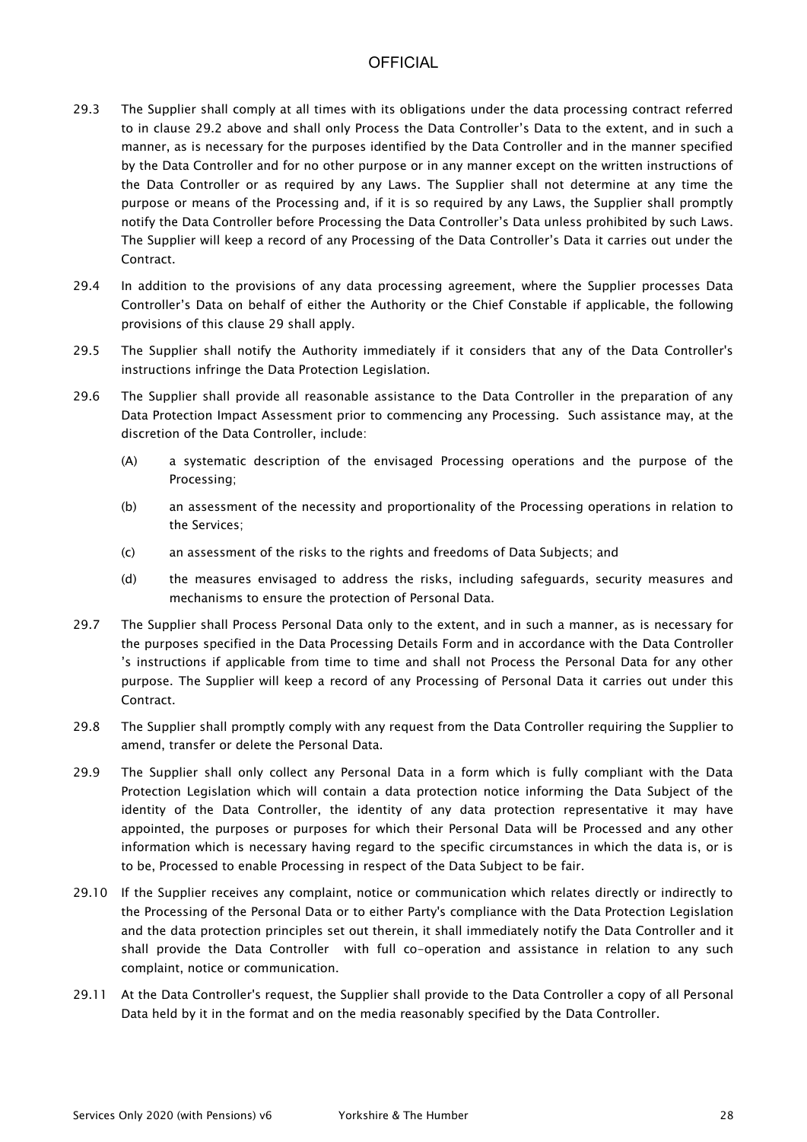- 29.3 The Supplier shall comply at all times with its obligations under the data processing contract referred to in clause 29.2 above and shall only Process the Data Controller's Data to the extent, and in such a manner, as is necessary for the purposes identified by the Data Controller and in the manner specified by the Data Controller and for no other purpose or in any manner except on the written instructions of the Data Controller or as required by any Laws. The Supplier shall not determine at any time the purpose or means of the Processing and, if it is so required by any Laws, the Supplier shall promptly notify the Data Controller before Processing the Data Controller's Data unless prohibited by such Laws. The Supplier will keep a record of any Processing of the Data Controller's Data it carries out under the Contract.
- 29.4 In addition to the provisions of any data processing agreement, where the Supplier processes Data Controller's Data on behalf of either the Authority or the Chief Constable if applicable, the following provisions of this clause 29 shall apply.
- 29.5 The Supplier shall notify the Authority immediately if it considers that any of the Data Controller's instructions infringe the Data Protection Legislation.
- 29.6 The Supplier shall provide all reasonable assistance to the Data Controller in the preparation of any Data Protection Impact Assessment prior to commencing any Processing. Such assistance may, at the discretion of the Data Controller, include:
	- (A) a systematic description of the envisaged Processing operations and the purpose of the Processing;
	- (b) an assessment of the necessity and proportionality of the Processing operations in relation to the Services;
	- (c) an assessment of the risks to the rights and freedoms of Data Subjects; and
	- (d) the measures envisaged to address the risks, including safeguards, security measures and mechanisms to ensure the protection of Personal Data.
- 29.7 The Supplier shall Process Personal Data only to the extent, and in such a manner, as is necessary for the purposes specified in the Data Processing Details Form and in accordance with the Data Controller 's instructions if applicable from time to time and shall not Process the Personal Data for any other purpose. The Supplier will keep a record of any Processing of Personal Data it carries out under this Contract.
- 29.8 The Supplier shall promptly comply with any request from the Data Controller requiring the Supplier to amend, transfer or delete the Personal Data.
- 29.9 The Supplier shall only collect any Personal Data in a form which is fully compliant with the Data Protection Legislation which will contain a data protection notice informing the Data Subject of the identity of the Data Controller, the identity of any data protection representative it may have appointed, the purposes or purposes for which their Personal Data will be Processed and any other information which is necessary having regard to the specific circumstances in which the data is, or is to be, Processed to enable Processing in respect of the Data Subject to be fair.
- 29.10 If the Supplier receives any complaint, notice or communication which relates directly or indirectly to the Processing of the Personal Data or to either Party's compliance with the Data Protection Legislation and the data protection principles set out therein, it shall immediately notify the Data Controller and it shall provide the Data Controller with full co-operation and assistance in relation to any such complaint, notice or communication.
- 29.11 At the Data Controller's request, the Supplier shall provide to the Data Controller a copy of all Personal Data held by it in the format and on the media reasonably specified by the Data Controller.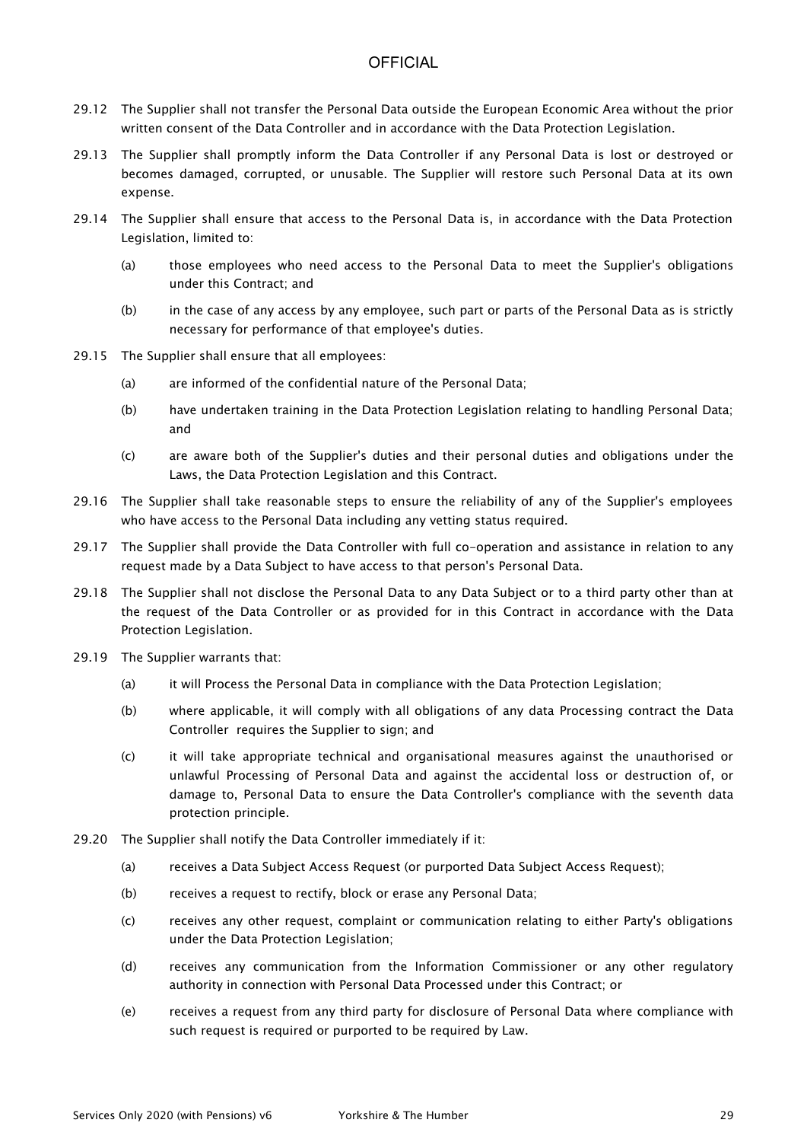- 29.12 The Supplier shall not transfer the Personal Data outside the European Economic Area without the prior written consent of the Data Controller and in accordance with the Data Protection Legislation.
- 29.13 The Supplier shall promptly inform the Data Controller if any Personal Data is lost or destroyed or becomes damaged, corrupted, or unusable. The Supplier will restore such Personal Data at its own expense.
- 29.14 The Supplier shall ensure that access to the Personal Data is, in accordance with the Data Protection Legislation, limited to:
	- (a) those employees who need access to the Personal Data to meet the Supplier's obligations under this Contract; and
	- (b) in the case of any access by any employee, such part or parts of the Personal Data as is strictly necessary for performance of that employee's duties.
- 29.15 The Supplier shall ensure that all employees:
	- (a) are informed of the confidential nature of the Personal Data;
	- (b) have undertaken training in the Data Protection Legislation relating to handling Personal Data; and
	- (c) are aware both of the Supplier's duties and their personal duties and obligations under the Laws, the Data Protection Legislation and this Contract.
- 29.16 The Supplier shall take reasonable steps to ensure the reliability of any of the Supplier's employees who have access to the Personal Data including any vetting status required.
- 29.17 The Supplier shall provide the Data Controller with full co-operation and assistance in relation to any request made by a Data Subject to have access to that person's Personal Data.
- 29.18 The Supplier shall not disclose the Personal Data to any Data Subject or to a third party other than at the request of the Data Controller or as provided for in this Contract in accordance with the Data Protection Legislation.
- 29.19 The Supplier warrants that:
	- (a) it will Process the Personal Data in compliance with the Data Protection Legislation;
	- (b) where applicable, it will comply with all obligations of any data Processing contract the Data Controller requires the Supplier to sign; and
	- (c) it will take appropriate technical and organisational measures against the unauthorised or unlawful Processing of Personal Data and against the accidental loss or destruction of, or damage to, Personal Data to ensure the Data Controller's compliance with the seventh data protection principle.
- 29.20 The Supplier shall notify the Data Controller immediately if it:
	- (a) receives a Data Subject Access Request (or purported Data Subject Access Request);
	- (b) receives a request to rectify, block or erase any Personal Data;
	- (c) receives any other request, complaint or communication relating to either Party's obligations under the Data Protection Legislation;
	- (d) receives any communication from the Information Commissioner or any other regulatory authority in connection with Personal Data Processed under this Contract; or
	- (e) receives a request from any third party for disclosure of Personal Data where compliance with such request is required or purported to be required by Law.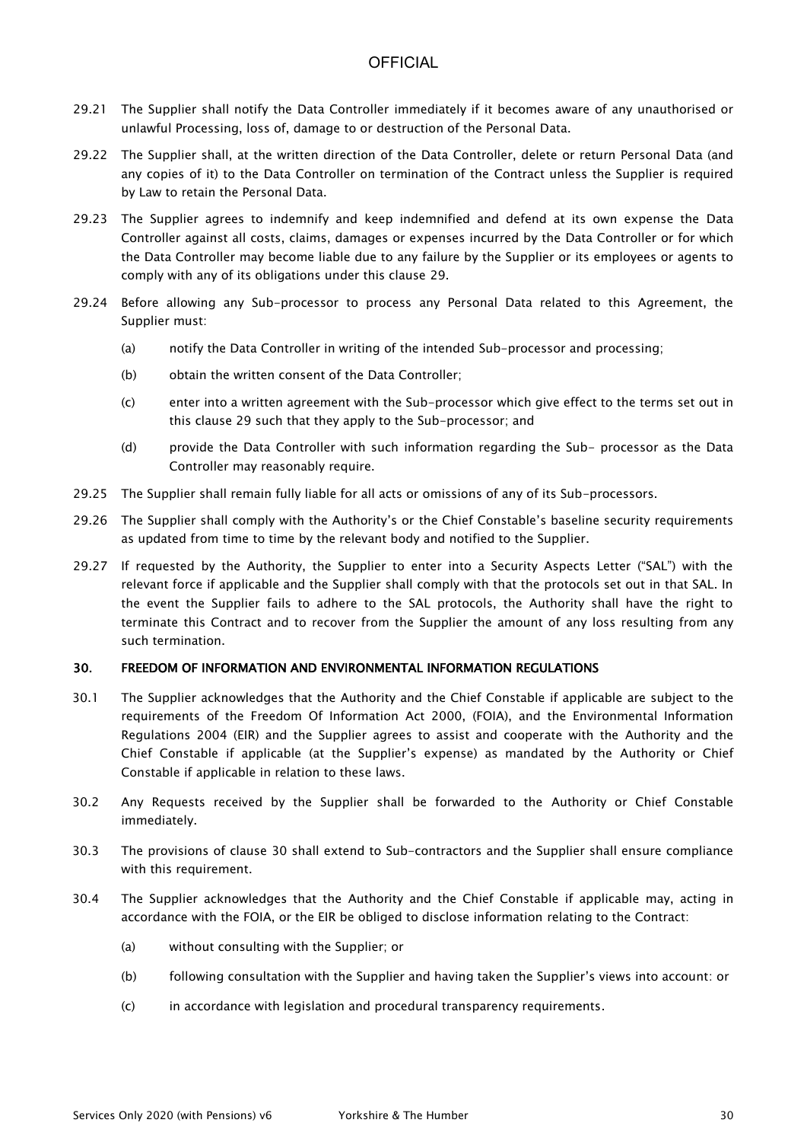- 29.21 The Supplier shall notify the Data Controller immediately if it becomes aware of any unauthorised or unlawful Processing, loss of, damage to or destruction of the Personal Data.
- 29.22 The Supplier shall, at the written direction of the Data Controller, delete or return Personal Data (and any copies of it) to the Data Controller on termination of the Contract unless the Supplier is required by Law to retain the Personal Data.
- 29.23 The Supplier agrees to indemnify and keep indemnified and defend at its own expense the Data Controller against all costs, claims, damages or expenses incurred by the Data Controller or for which the Data Controller may become liable due to any failure by the Supplier or its employees or agents to comply with any of its obligations under this clause 29.
- 29.24 Before allowing any Sub-processor to process any Personal Data related to this Agreement, the Supplier must:
	- (a) notify the Data Controller in writing of the intended Sub-processor and processing;
	- (b) obtain the written consent of the Data Controller;
	- (c) enter into a written agreement with the Sub-processor which give effect to the terms set out in this clause 29 such that they apply to the Sub-processor; and
	- (d) provide the Data Controller with such information regarding the Sub- processor as the Data Controller may reasonably require.
- 29.25 The Supplier shall remain fully liable for all acts or omissions of any of its Sub-processors.
- 29.26 The Supplier shall comply with the Authority's or the Chief Constable's baseline security requirements as updated from time to time by the relevant body and notified to the Supplier.
- 29.27 If requested by the Authority, the Supplier to enter into a Security Aspects Letter ("SAL") with the relevant force if applicable and the Supplier shall comply with that the protocols set out in that SAL. In the event the Supplier fails to adhere to the SAL protocols, the Authority shall have the right to terminate this Contract and to recover from the Supplier the amount of any loss resulting from any such termination.

### 30. FREEDOM OF INFORMATION AND ENVIRONMENTAL INFORMATION REGULATIONS

- 30.1 The Supplier acknowledges that the Authority and the Chief Constable if applicable are subject to the requirements of the Freedom Of Information Act 2000, (FOIA), and the Environmental Information Regulations 2004 (EIR) and the Supplier agrees to assist and cooperate with the Authority and the Chief Constable if applicable (at the Supplier's expense) as mandated by the Authority or Chief Constable if applicable in relation to these laws.
- 30.2 Any Requests received by the Supplier shall be forwarded to the Authority or Chief Constable immediately.
- 30.3 The provisions of clause 30 shall extend to Sub-contractors and the Supplier shall ensure compliance with this requirement.
- 30.4 The Supplier acknowledges that the Authority and the Chief Constable if applicable may, acting in accordance with the FOIA, or the EIR be obliged to disclose information relating to the Contract:
	- (a) without consulting with the Supplier; or
	- (b) following consultation with the Supplier and having taken the Supplier's views into account: or
	- (c) in accordance with legislation and procedural transparency requirements.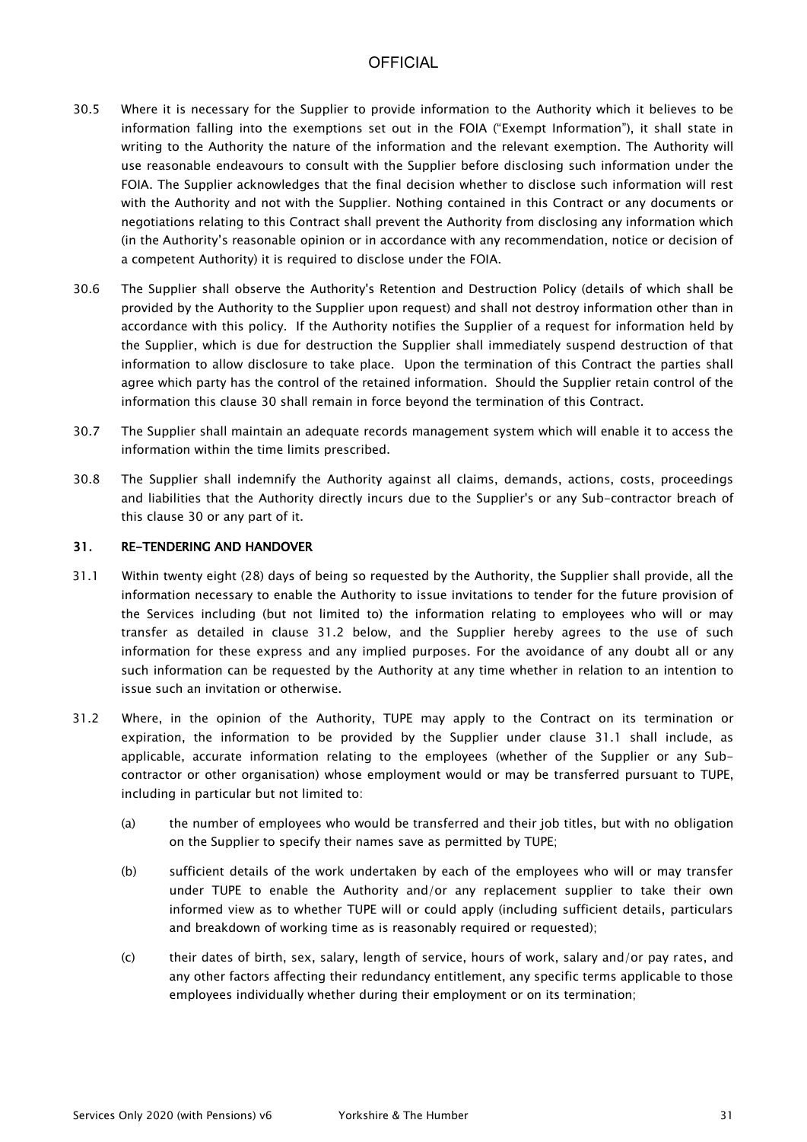- 30.5 Where it is necessary for the Supplier to provide information to the Authority which it believes to be information falling into the exemptions set out in the FOIA ("Exempt Information"), it shall state in writing to the Authority the nature of the information and the relevant exemption. The Authority will use reasonable endeavours to consult with the Supplier before disclosing such information under the FOIA. The Supplier acknowledges that the final decision whether to disclose such information will rest with the Authority and not with the Supplier. Nothing contained in this Contract or any documents or negotiations relating to this Contract shall prevent the Authority from disclosing any information which (in the Authority's reasonable opinion or in accordance with any recommendation, notice or decision of a competent Authority) it is required to disclose under the FOIA.
- 30.6 The Supplier shall observe the Authority's Retention and Destruction Policy (details of which shall be provided by the Authority to the Supplier upon request) and shall not destroy information other than in accordance with this policy. If the Authority notifies the Supplier of a request for information held by the Supplier, which is due for destruction the Supplier shall immediately suspend destruction of that information to allow disclosure to take place. Upon the termination of this Contract the parties shall agree which party has the control of the retained information. Should the Supplier retain control of the information this clause 30 shall remain in force beyond the termination of this Contract.
- 30.7 The Supplier shall maintain an adequate records management system which will enable it to access the information within the time limits prescribed.
- 30.8 The Supplier shall indemnify the Authority against all claims, demands, actions, costs, proceedings and liabilities that the Authority directly incurs due to the Supplier's or any Sub-contractor breach of this clause 30 or any part of it.

### 31. RE-TENDERING AND HANDOVER

- 31.1 Within twenty eight (28) days of being so requested by the Authority, the Supplier shall provide, all the information necessary to enable the Authority to issue invitations to tender for the future provision of the Services including (but not limited to) the information relating to employees who will or may transfer as detailed in clause 31.2 below, and the Supplier hereby agrees to the use of such information for these express and any implied purposes. For the avoidance of any doubt all or any such information can be requested by the Authority at any time whether in relation to an intention to issue such an invitation or otherwise.
- 31.2 Where, in the opinion of the Authority, TUPE may apply to the Contract on its termination or expiration, the information to be provided by the Supplier under clause 31.1 shall include, as applicable, accurate information relating to the employees (whether of the Supplier or any Subcontractor or other organisation) whose employment would or may be transferred pursuant to TUPE, including in particular but not limited to:
	- (a) the number of employees who would be transferred and their job titles, but with no obligation on the Supplier to specify their names save as permitted by TUPE;
	- (b) sufficient details of the work undertaken by each of the employees who will or may transfer under TUPE to enable the Authority and/or any replacement supplier to take their own informed view as to whether TUPE will or could apply (including sufficient details, particulars and breakdown of working time as is reasonably required or requested);
	- (c) their dates of birth, sex, salary, length of service, hours of work, salary and/or pay rates, and any other factors affecting their redundancy entitlement, any specific terms applicable to those employees individually whether during their employment or on its termination;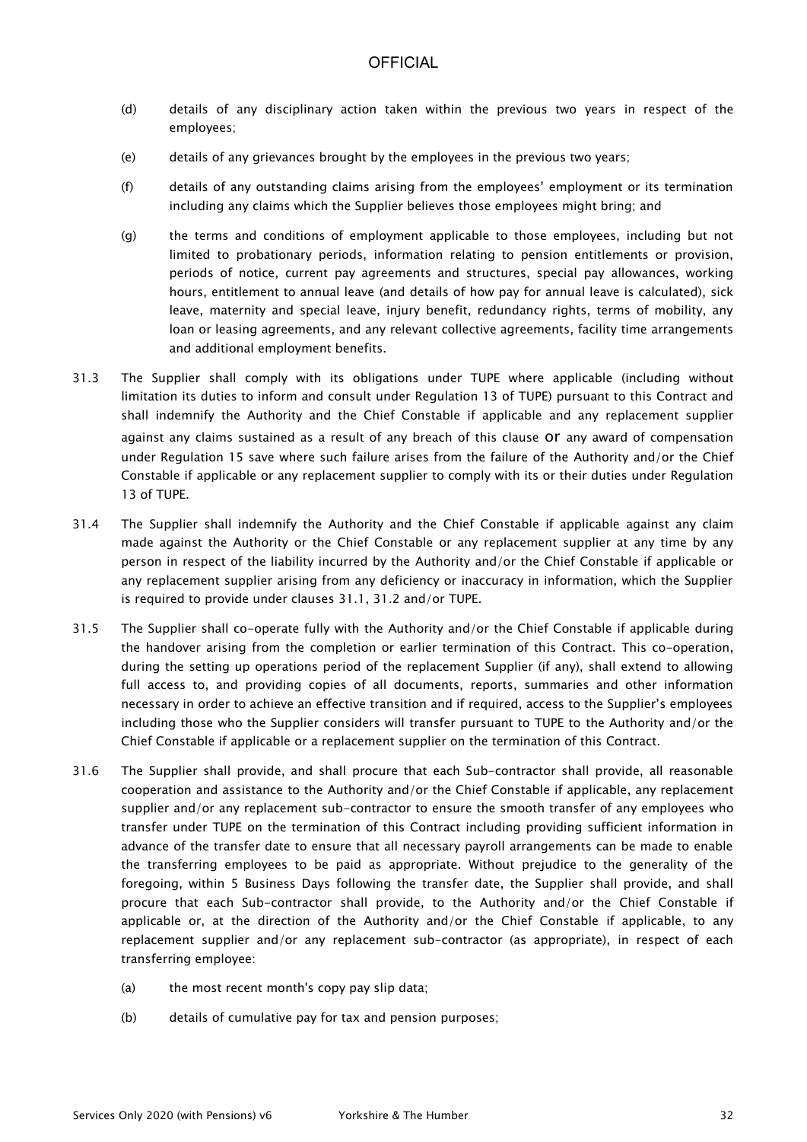- (d) details of any disciplinary action taken within the previous two years in respect of the employees;
- (e) details of any grievances brought by the employees in the previous two years;
- (f) details of any outstanding claims arising from the employees' employment or its termination including any claims which the Supplier believes those employees might bring; and
- (g) the terms and conditions of employment applicable to those employees, including but not limited to probationary periods, information relating to pension entitlements or provision, periods of notice, current pay agreements and structures, special pay allowances, working hours, entitlement to annual leave (and details of how pay for annual leave is calculated), sick leave, maternity and special leave, injury benefit, redundancy rights, terms of mobility, any loan or leasing agreements, and any relevant collective agreements, facility time arrangements and additional employment benefits.
- 31.3 The Supplier shall comply with its obligations under TUPE where applicable (including without limitation its duties to inform and consult under Regulation 13 of TUPE) pursuant to this Contract and shall indemnify the Authority and the Chief Constable if applicable and any replacement supplier against any claims sustained as a result of any breach of this clause or any award of compensation under Regulation 15 save where such failure arises from the failure of the Authority and/or the Chief Constable if applicable or any replacement supplier to comply with its or their duties under Regulation 13 of TUPE.
- 31.4 The Supplier shall indemnify the Authority and the Chief Constable if applicable against any claim made against the Authority or the Chief Constable or any replacement supplier at any time by any person in respect of the liability incurred by the Authority and/or the Chief Constable if applicable or any replacement supplier arising from any deficiency or inaccuracy in information, which the Supplier is required to provide under clauses 31.1, 31.2 and/or TUPE.
- 31.5 The Supplier shall co-operate fully with the Authority and/or the Chief Constable if applicable during the handover arising from the completion or earlier termination of this Contract. This co-operation, during the setting up operations period of the replacement Supplier (if any), shall extend to allowing full access to, and providing copies of all documents, reports, summaries and other information necessary in order to achieve an effective transition and if required, access to the Supplier's employees including those who the Supplier considers will transfer pursuant to TUPE to the Authority and/or the Chief Constable if applicable or a replacement supplier on the termination of this Contract.
- 31.6 The Supplier shall provide, and shall procure that each Sub-contractor shall provide, all reasonable cooperation and assistance to the Authority and/or the Chief Constable if applicable, any replacement supplier and/or any replacement sub-contractor to ensure the smooth transfer of any employees who transfer under TUPE on the termination of this Contract including providing sufficient information in advance of the transfer date to ensure that all necessary payroll arrangements can be made to enable the transferring employees to be paid as appropriate. Without prejudice to the generality of the foregoing, within 5 Business Days following the transfer date, the Supplier shall provide, and shall procure that each Sub-contractor shall provide, to the Authority and/or the Chief Constable if applicable or, at the direction of the Authority and/or the Chief Constable if applicable, to any replacement supplier and/or any replacement sub-contractor (as appropriate), in respect of each transferring employee:
	- (a) the most recent month's copy pay slip data;
	- (b) details of cumulative pay for tax and pension purposes;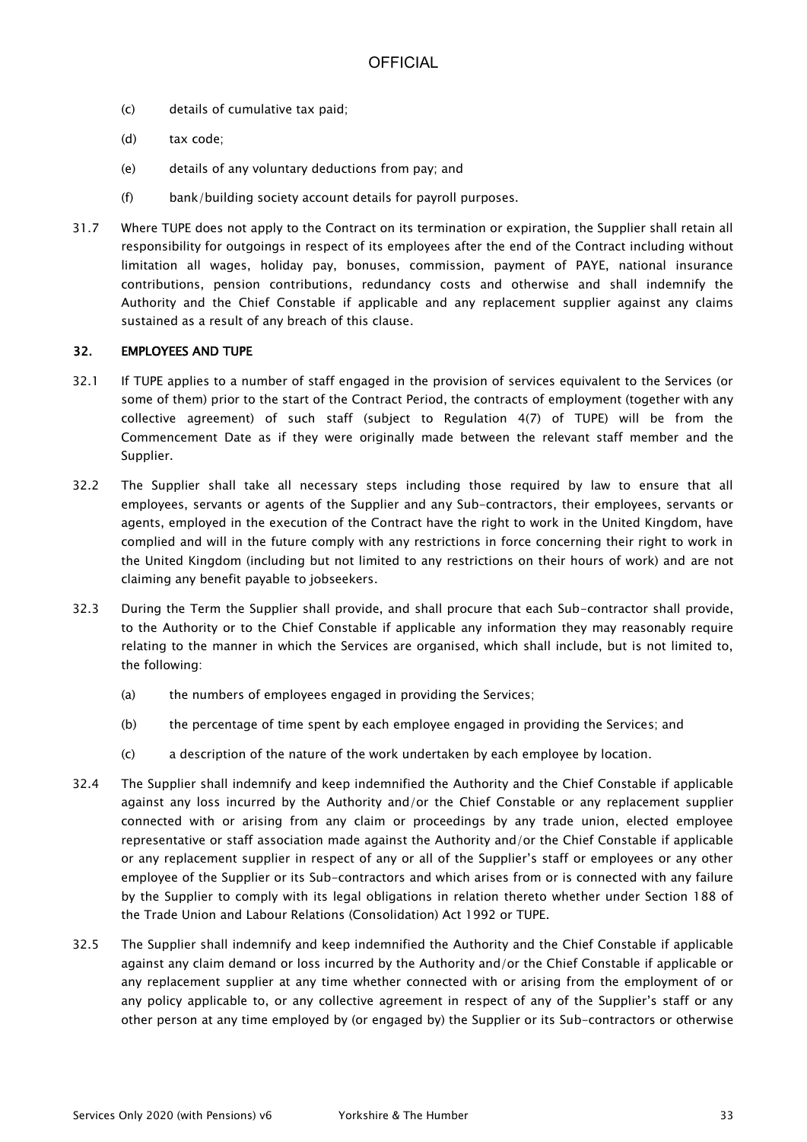- (c) details of cumulative tax paid;
- (d) tax code;
- (e) details of any voluntary deductions from pay; and
- (f) bank/building society account details for payroll purposes.
- 31.7 Where TUPE does not apply to the Contract on its termination or expiration, the Supplier shall retain all responsibility for outgoings in respect of its employees after the end of the Contract including without limitation all wages, holiday pay, bonuses, commission, payment of PAYE, national insurance contributions, pension contributions, redundancy costs and otherwise and shall indemnify the Authority and the Chief Constable if applicable and any replacement supplier against any claims sustained as a result of any breach of this clause.

#### 32. EMPLOYEES AND TUPE

- 32.1 If TUPE applies to a number of staff engaged in the provision of services equivalent to the Services (or some of them) prior to the start of the Contract Period, the contracts of employment (together with any collective agreement) of such staff (subject to Regulation 4(7) of TUPE) will be from the Commencement Date as if they were originally made between the relevant staff member and the Supplier.
- 32.2 The Supplier shall take all necessary steps including those required by law to ensure that all employees, servants or agents of the Supplier and any Sub-contractors, their employees, servants or agents, employed in the execution of the Contract have the right to work in the United Kingdom, have complied and will in the future comply with any restrictions in force concerning their right to work in the United Kingdom (including but not limited to any restrictions on their hours of work) and are not claiming any benefit payable to jobseekers.
- 32.3 During the Term the Supplier shall provide, and shall procure that each Sub-contractor shall provide, to the Authority or to the Chief Constable if applicable any information they may reasonably require relating to the manner in which the Services are organised, which shall include, but is not limited to, the following:
	- (a) the numbers of employees engaged in providing the Services;
	- (b) the percentage of time spent by each employee engaged in providing the Services; and
	- (c) a description of the nature of the work undertaken by each employee by location.
- 32.4 The Supplier shall indemnify and keep indemnified the Authority and the Chief Constable if applicable against any loss incurred by the Authority and/or the Chief Constable or any replacement supplier connected with or arising from any claim or proceedings by any trade union, elected employee representative or staff association made against the Authority and/or the Chief Constable if applicable or any replacement supplier in respect of any or all of the Supplier's staff or employees or any other employee of the Supplier or its Sub-contractors and which arises from or is connected with any failure by the Supplier to comply with its legal obligations in relation thereto whether under Section 188 of the Trade Union and Labour Relations (Consolidation) Act 1992 or TUPE.
- 32.5 The Supplier shall indemnify and keep indemnified the Authority and the Chief Constable if applicable against any claim demand or loss incurred by the Authority and/or the Chief Constable if applicable or any replacement supplier at any time whether connected with or arising from the employment of or any policy applicable to, or any collective agreement in respect of any of the Supplier's staff or any other person at any time employed by (or engaged by) the Supplier or its Sub-contractors or otherwise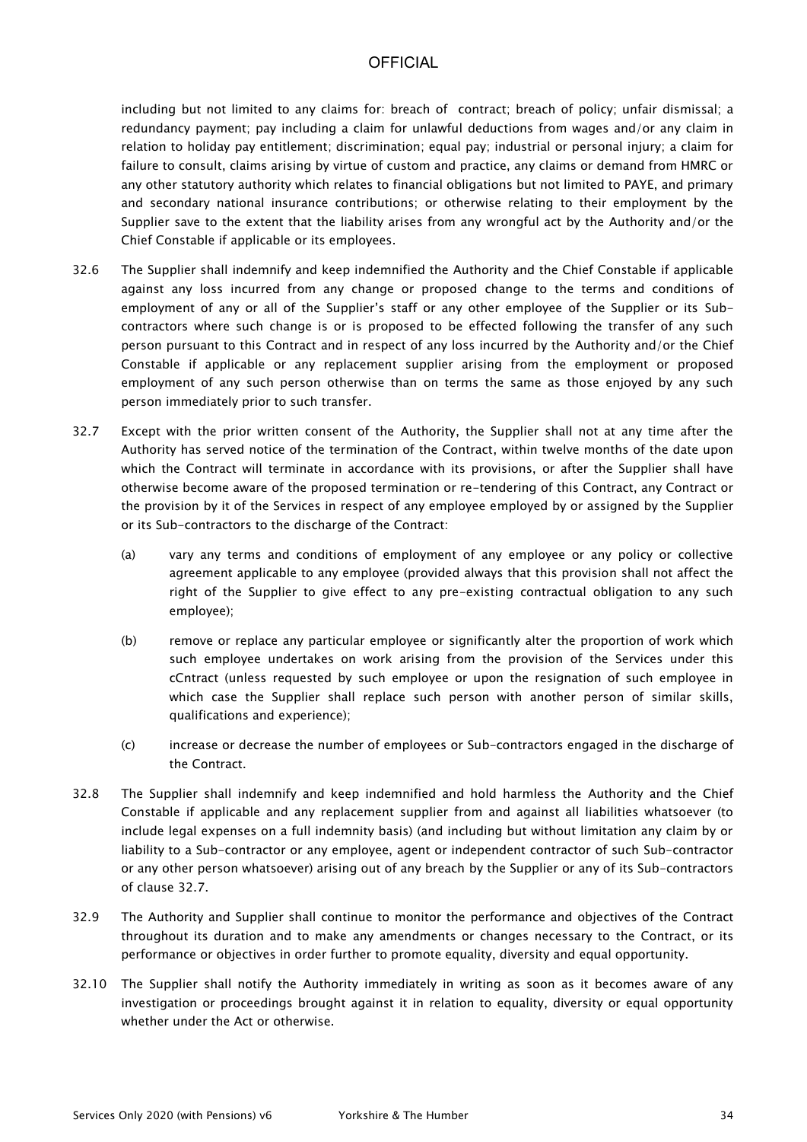including but not limited to any claims for: breach of contract; breach of policy; unfair dismissal; a redundancy payment; pay including a claim for unlawful deductions from wages and/or any claim in relation to holiday pay entitlement; discrimination; equal pay; industrial or personal injury; a claim for failure to consult, claims arising by virtue of custom and practice, any claims or demand from HMRC or any other statutory authority which relates to financial obligations but not limited to PAYE, and primary and secondary national insurance contributions; or otherwise relating to their employment by the Supplier save to the extent that the liability arises from any wrongful act by the Authority and/or the Chief Constable if applicable or its employees.

- 32.6 The Supplier shall indemnify and keep indemnified the Authority and the Chief Constable if applicable against any loss incurred from any change or proposed change to the terms and conditions of employment of any or all of the Supplier's staff or any other employee of the Supplier or its Subcontractors where such change is or is proposed to be effected following the transfer of any such person pursuant to this Contract and in respect of any loss incurred by the Authority and/or the Chief Constable if applicable or any replacement supplier arising from the employment or proposed employment of any such person otherwise than on terms the same as those enjoyed by any such person immediately prior to such transfer.
- 32.7 Except with the prior written consent of the Authority, the Supplier shall not at any time after the Authority has served notice of the termination of the Contract, within twelve months of the date upon which the Contract will terminate in accordance with its provisions, or after the Supplier shall have otherwise become aware of the proposed termination or re-tendering of this Contract, any Contract or the provision by it of the Services in respect of any employee employed by or assigned by the Supplier or its Sub-contractors to the discharge of the Contract:
	- (a) vary any terms and conditions of employment of any employee or any policy or collective agreement applicable to any employee (provided always that this provision shall not affect the right of the Supplier to give effect to any pre-existing contractual obligation to any such employee);
	- (b) remove or replace any particular employee or significantly alter the proportion of work which such employee undertakes on work arising from the provision of the Services under this cCntract (unless requested by such employee or upon the resignation of such employee in which case the Supplier shall replace such person with another person of similar skills, qualifications and experience);
	- (c) increase or decrease the number of employees or Sub-contractors engaged in the discharge of the Contract.
- 32.8 The Supplier shall indemnify and keep indemnified and hold harmless the Authority and the Chief Constable if applicable and any replacement supplier from and against all liabilities whatsoever (to include legal expenses on a full indemnity basis) (and including but without limitation any claim by or liability to a Sub-contractor or any employee, agent or independent contractor of such Sub-contractor or any other person whatsoever) arising out of any breach by the Supplier or any of its Sub-contractors of clause 32.7.
- 32.9 The Authority and Supplier shall continue to monitor the performance and objectives of the Contract throughout its duration and to make any amendments or changes necessary to the Contract, or its performance or objectives in order further to promote equality, diversity and equal opportunity.
- 32.10 The Supplier shall notify the Authority immediately in writing as soon as it becomes aware of any investigation or proceedings brought against it in relation to equality, diversity or equal opportunity whether under the Act or otherwise.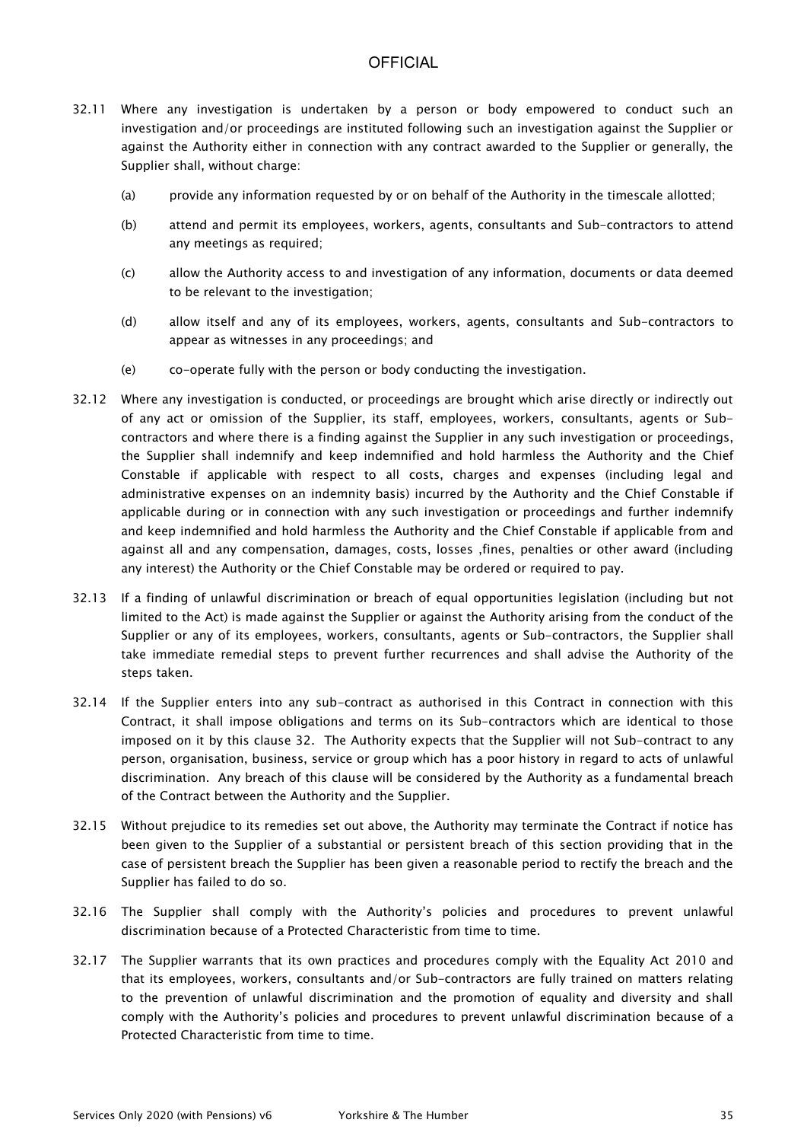- 32.11 Where any investigation is undertaken by a person or body empowered to conduct such an investigation and/or proceedings are instituted following such an investigation against the Supplier or against the Authority either in connection with any contract awarded to the Supplier or generally, the Supplier shall, without charge:
	- (a) provide any information requested by or on behalf of the Authority in the timescale allotted;
	- (b) attend and permit its employees, workers, agents, consultants and Sub-contractors to attend any meetings as required;
	- (c) allow the Authority access to and investigation of any information, documents or data deemed to be relevant to the investigation;
	- (d) allow itself and any of its employees, workers, agents, consultants and Sub-contractors to appear as witnesses in any proceedings; and
	- (e) co-operate fully with the person or body conducting the investigation.
- 32.12 Where any investigation is conducted, or proceedings are brought which arise directly or indirectly out of any act or omission of the Supplier, its staff, employees, workers, consultants, agents or Subcontractors and where there is a finding against the Supplier in any such investigation or proceedings, the Supplier shall indemnify and keep indemnified and hold harmless the Authority and the Chief Constable if applicable with respect to all costs, charges and expenses (including legal and administrative expenses on an indemnity basis) incurred by the Authority and the Chief Constable if applicable during or in connection with any such investigation or proceedings and further indemnify and keep indemnified and hold harmless the Authority and the Chief Constable if applicable from and against all and any compensation, damages, costs, losses ,fines, penalties or other award (including any interest) the Authority or the Chief Constable may be ordered or required to pay.
- 32.13 If a finding of unlawful discrimination or breach of equal opportunities legislation (including but not limited to the Act) is made against the Supplier or against the Authority arising from the conduct of the Supplier or any of its employees, workers, consultants, agents or Sub-contractors, the Supplier shall take immediate remedial steps to prevent further recurrences and shall advise the Authority of the steps taken.
- 32.14 If the Supplier enters into any sub-contract as authorised in this Contract in connection with this Contract, it shall impose obligations and terms on its Sub-contractors which are identical to those imposed on it by this clause 32. The Authority expects that the Supplier will not Sub-contract to any person, organisation, business, service or group which has a poor history in regard to acts of unlawful discrimination. Any breach of this clause will be considered by the Authority as a fundamental breach of the Contract between the Authority and the Supplier.
- 32.15 Without prejudice to its remedies set out above, the Authority may terminate the Contract if notice has been given to the Supplier of a substantial or persistent breach of this section providing that in the case of persistent breach the Supplier has been given a reasonable period to rectify the breach and the Supplier has failed to do so.
- 32.16 The Supplier shall comply with the Authority's policies and procedures to prevent unlawful discrimination because of a Protected Characteristic from time to time.
- 32.17 The Supplier warrants that its own practices and procedures comply with the Equality Act 2010 and that its employees, workers, consultants and/or Sub-contractors are fully trained on matters relating to the prevention of unlawful discrimination and the promotion of equality and diversity and shall comply with the Authority's policies and procedures to prevent unlawful discrimination because of a Protected Characteristic from time to time.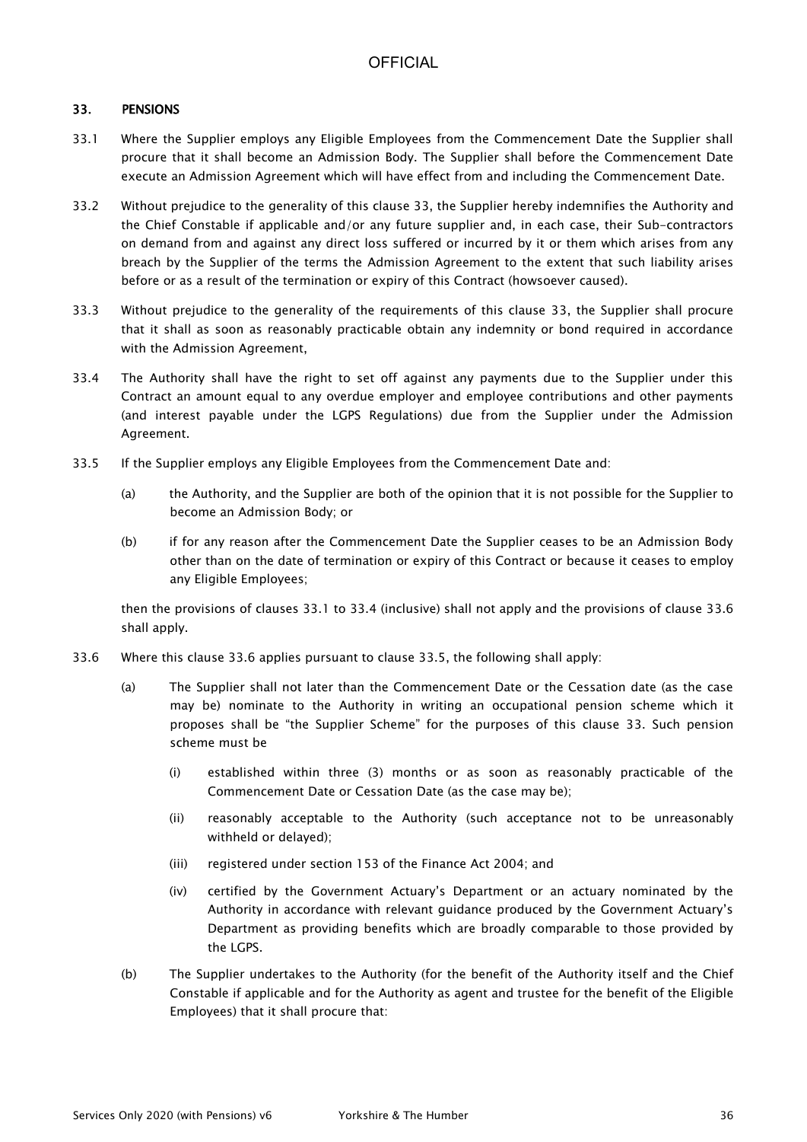### 33. PENSIONS

- 33.1 Where the Supplier employs any Eligible Employees from the Commencement Date the Supplier shall procure that it shall become an Admission Body. The Supplier shall before the Commencement Date execute an Admission Agreement which will have effect from and including the Commencement Date.
- 33.2 Without prejudice to the generality of this clause 33, the Supplier hereby indemnifies the Authority and the Chief Constable if applicable and/or any future supplier and, in each case, their Sub-contractors on demand from and against any direct loss suffered or incurred by it or them which arises from any breach by the Supplier of the terms the Admission Agreement to the extent that such liability arises before or as a result of the termination or expiry of this Contract (howsoever caused).
- 33.3 Without prejudice to the generality of the requirements of this clause 33, the Supplier shall procure that it shall as soon as reasonably practicable obtain any indemnity or bond required in accordance with the Admission Agreement,
- 33.4 The Authority shall have the right to set off against any payments due to the Supplier under this Contract an amount equal to any overdue employer and employee contributions and other payments (and interest payable under the LGPS Regulations) due from the Supplier under the Admission Agreement.
- 33.5 If the Supplier employs any Eligible Employees from the Commencement Date and:
	- (a) the Authority, and the Supplier are both of the opinion that it is not possible for the Supplier to become an Admission Body; or
	- (b) if for any reason after the Commencement Date the Supplier ceases to be an Admission Body other than on the date of termination or expiry of this Contract or because it ceases to employ any Eligible Employees;

then the provisions of clauses 33.1 to 33.4 (inclusive) shall not apply and the provisions of clause 33.6 shall apply.

- 33.6 Where this clause 33.6 applies pursuant to clause 33.5, the following shall apply:
	- (a) The Supplier shall not later than the Commencement Date or the Cessation date (as the case may be) nominate to the Authority in writing an occupational pension scheme which it proposes shall be "the Supplier Scheme" for the purposes of this clause 33. Such pension scheme must be
		- (i) established within three (3) months or as soon as reasonably practicable of the Commencement Date or Cessation Date (as the case may be);
		- (ii) reasonably acceptable to the Authority (such acceptance not to be unreasonably withheld or delayed);
		- (iii) registered under section 153 of the Finance Act 2004; and
		- (iv) certified by the Government Actuary's Department or an actuary nominated by the Authority in accordance with relevant guidance produced by the Government Actuary's Department as providing benefits which are broadly comparable to those provided by the LGPS.
	- (b) The Supplier undertakes to the Authority (for the benefit of the Authority itself and the Chief Constable if applicable and for the Authority as agent and trustee for the benefit of the Eligible Employees) that it shall procure that: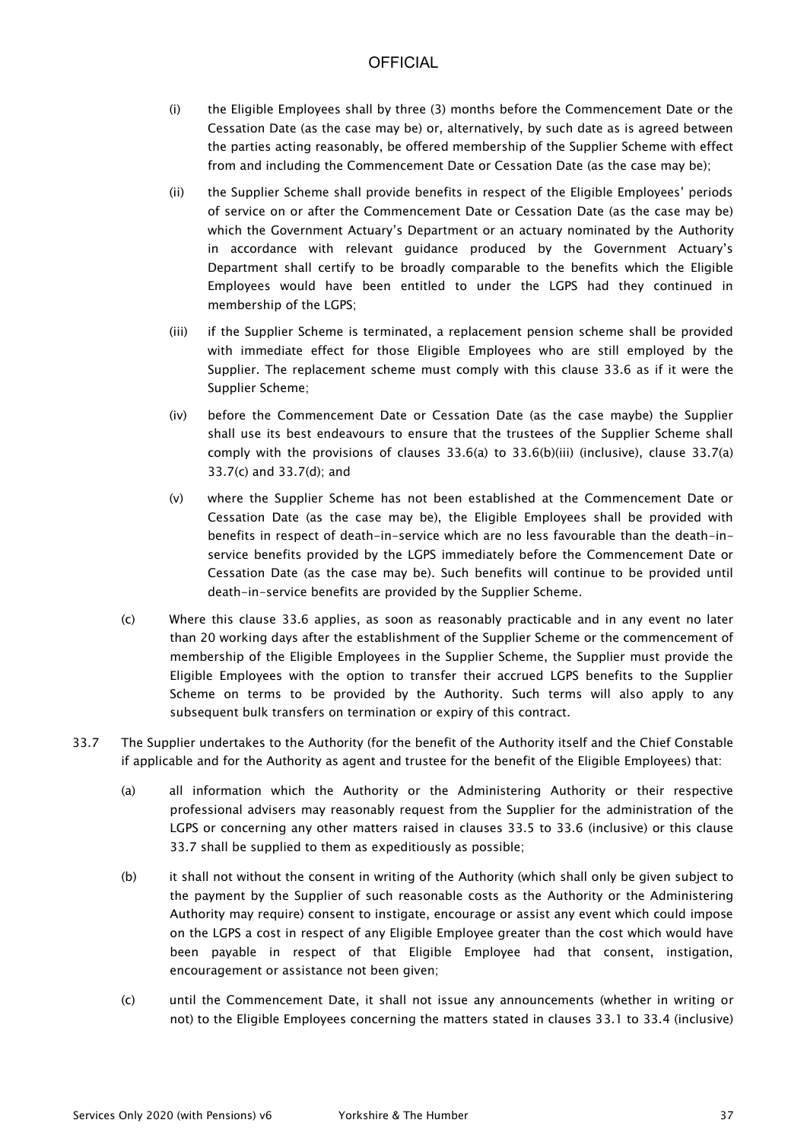- (i) the Eligible Employees shall by three (3) months before the Commencement Date or the Cessation Date (as the case may be) or, alternatively, by such date as is agreed between the parties acting reasonably, be offered membership of the Supplier Scheme with effect from and including the Commencement Date or Cessation Date (as the case may be);
- (ii) the Supplier Scheme shall provide benefits in respect of the Eligible Employees' periods of service on or after the Commencement Date or Cessation Date (as the case may be) which the Government Actuary's Department or an actuary nominated by the Authority in accordance with relevant guidance produced by the Government Actuary's Department shall certify to be broadly comparable to the benefits which the Eligible Employees would have been entitled to under the LGPS had they continued in membership of the LGPS;
- (iii) if the Supplier Scheme is terminated, a replacement pension scheme shall be provided with immediate effect for those Eligible Employees who are still employed by the Supplier. The replacement scheme must comply with this clause 33.6 as if it were the Supplier Scheme;
- (iv) before the Commencement Date or Cessation Date (as the case maybe) the Supplier shall use its best endeavours to ensure that the trustees of the Supplier Scheme shall comply with the provisions of clauses 33.6(a) to 33.6(b)(iii) (inclusive), clause 33.7(a) 33.7(c) and 33.7(d); and
- (v) where the Supplier Scheme has not been established at the Commencement Date or Cessation Date (as the case may be), the Eligible Employees shall be provided with benefits in respect of death-in-service which are no less favourable than the death-inservice benefits provided by the LGPS immediately before the Commencement Date or Cessation Date (as the case may be). Such benefits will continue to be provided until death-in-service benefits are provided by the Supplier Scheme.
- (c) Where this clause 33.6 applies, as soon as reasonably practicable and in any event no later than 20 working days after the establishment of the Supplier Scheme or the commencement of membership of the Eligible Employees in the Supplier Scheme, the Supplier must provide the Eligible Employees with the option to transfer their accrued LGPS benefits to the Supplier Scheme on terms to be provided by the Authority. Such terms will also apply to any subsequent bulk transfers on termination or expiry of this contract.
- 33.7 The Supplier undertakes to the Authority (for the benefit of the Authority itself and the Chief Constable if applicable and for the Authority as agent and trustee for the benefit of the Eligible Employees) that:
	- (a) all information which the Authority or the Administering Authority or their respective professional advisers may reasonably request from the Supplier for the administration of the LGPS or concerning any other matters raised in clauses 33.5 to 33.6 (inclusive) or this clause 33.7 shall be supplied to them as expeditiously as possible;
	- (b) it shall not without the consent in writing of the Authority (which shall only be given subject to the payment by the Supplier of such reasonable costs as the Authority or the Administering Authority may require) consent to instigate, encourage or assist any event which could impose on the LGPS a cost in respect of any Eligible Employee greater than the cost which would have been payable in respect of that Eligible Employee had that consent, instigation, encouragement or assistance not been given;
	- (c) until the Commencement Date, it shall not issue any announcements (whether in writing or not) to the Eligible Employees concerning the matters stated in clauses 33.1 to 33.4 (inclusive)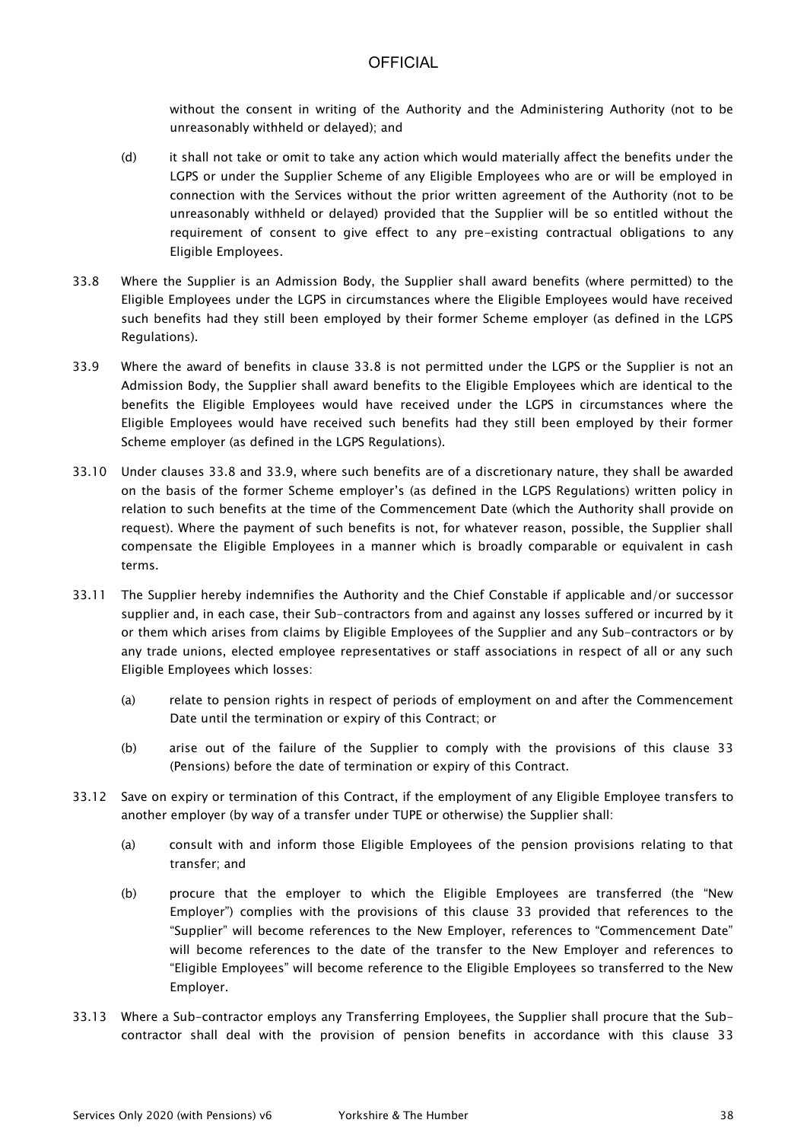without the consent in writing of the Authority and the Administering Authority (not to be unreasonably withheld or delayed); and

- (d) it shall not take or omit to take any action which would materially affect the benefits under the LGPS or under the Supplier Scheme of any Eligible Employees who are or will be employed in connection with the Services without the prior written agreement of the Authority (not to be unreasonably withheld or delayed) provided that the Supplier will be so entitled without the requirement of consent to give effect to any pre-existing contractual obligations to any Eligible Employees.
- 33.8 Where the Supplier is an Admission Body, the Supplier shall award benefits (where permitted) to the Eligible Employees under the LGPS in circumstances where the Eligible Employees would have received such benefits had they still been employed by their former Scheme employer (as defined in the LGPS Regulations).
- 33.9 Where the award of benefits in clause 33.8 is not permitted under the LGPS or the Supplier is not an Admission Body, the Supplier shall award benefits to the Eligible Employees which are identical to the benefits the Eligible Employees would have received under the LGPS in circumstances where the Eligible Employees would have received such benefits had they still been employed by their former Scheme employer (as defined in the LGPS Regulations).
- 33.10 Under clauses 33.8 and 33.9, where such benefits are of a discretionary nature, they shall be awarded on the basis of the former Scheme employer's (as defined in the LGPS Regulations) written policy in relation to such benefits at the time of the Commencement Date (which the Authority shall provide on request). Where the payment of such benefits is not, for whatever reason, possible, the Supplier shall compensate the Eligible Employees in a manner which is broadly comparable or equivalent in cash terms.
- 33.11 The Supplier hereby indemnifies the Authority and the Chief Constable if applicable and/or successor supplier and, in each case, their Sub-contractors from and against any losses suffered or incurred by it or them which arises from claims by Eligible Employees of the Supplier and any Sub-contractors or by any trade unions, elected employee representatives or staff associations in respect of all or any such Eligible Employees which losses:
	- (a) relate to pension rights in respect of periods of employment on and after the Commencement Date until the termination or expiry of this Contract; or
	- (b) arise out of the failure of the Supplier to comply with the provisions of this clause 33 (Pensions) before the date of termination or expiry of this Contract.
- 33.12 Save on expiry or termination of this Contract, if the employment of any Eligible Employee transfers to another employer (by way of a transfer under TUPE or otherwise) the Supplier shall:
	- (a) consult with and inform those Eligible Employees of the pension provisions relating to that transfer; and
	- (b) procure that the employer to which the Eligible Employees are transferred (the "New Employer") complies with the provisions of this clause 33 provided that references to the "Supplier" will become references to the New Employer, references to "Commencement Date" will become references to the date of the transfer to the New Employer and references to "Eligible Employees" will become reference to the Eligible Employees so transferred to the New Employer.
- 33.13 Where a Sub-contractor employs any Transferring Employees, the Supplier shall procure that the Subcontractor shall deal with the provision of pension benefits in accordance with this clause 33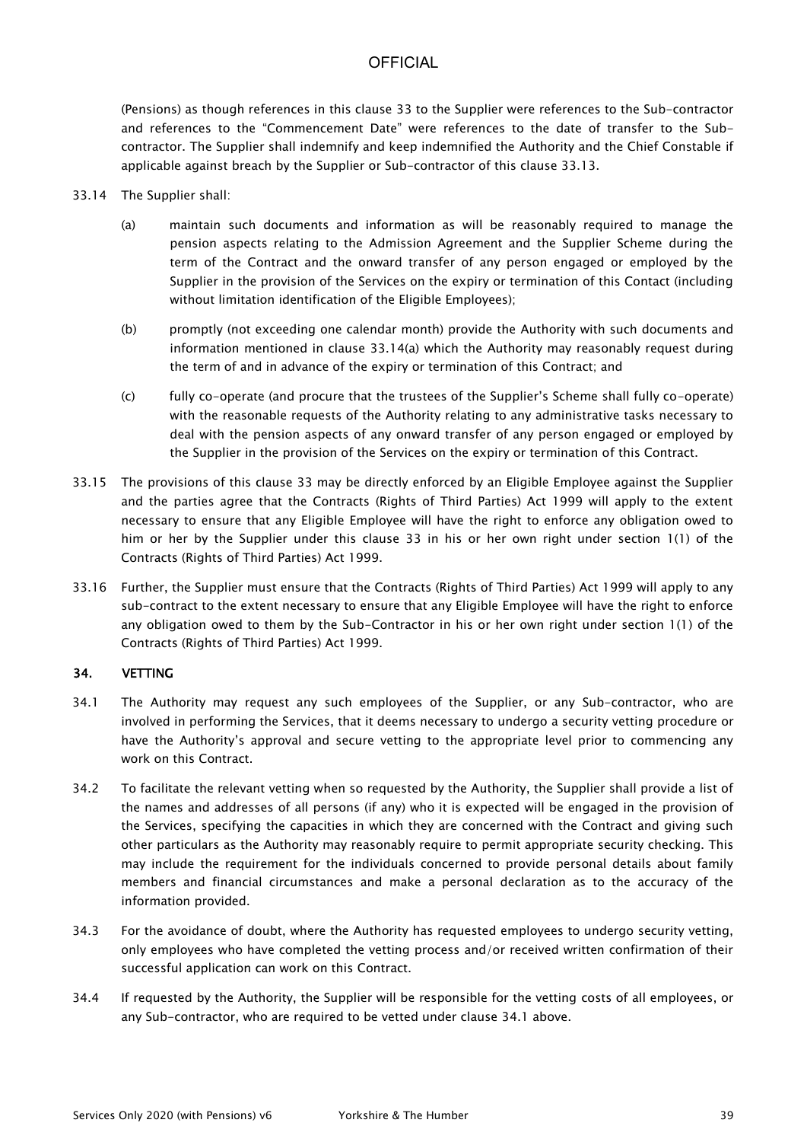(Pensions) as though references in this clause 33 to the Supplier were references to the Sub-contractor and references to the "Commencement Date" were references to the date of transfer to the Subcontractor. The Supplier shall indemnify and keep indemnified the Authority and the Chief Constable if applicable against breach by the Supplier or Sub-contractor of this clause 33.13.

- 33.14 The Supplier shall:
	- (a) maintain such documents and information as will be reasonably required to manage the pension aspects relating to the Admission Agreement and the Supplier Scheme during the term of the Contract and the onward transfer of any person engaged or employed by the Supplier in the provision of the Services on the expiry or termination of this Contact (including without limitation identification of the Eligible Employees);
	- (b) promptly (not exceeding one calendar month) provide the Authority with such documents and information mentioned in clause 33.14(a) which the Authority may reasonably request during the term of and in advance of the expiry or termination of this Contract; and
	- (c) fully co-operate (and procure that the trustees of the Supplier's Scheme shall fully co-operate) with the reasonable requests of the Authority relating to any administrative tasks necessary to deal with the pension aspects of any onward transfer of any person engaged or employed by the Supplier in the provision of the Services on the expiry or termination of this Contract.
- 33.15 The provisions of this clause 33 may be directly enforced by an Eligible Employee against the Supplier and the parties agree that the Contracts (Rights of Third Parties) Act 1999 will apply to the extent necessary to ensure that any Eligible Employee will have the right to enforce any obligation owed to him or her by the Supplier under this clause 33 in his or her own right under section 1(1) of the Contracts (Rights of Third Parties) Act 1999.
- 33.16 Further, the Supplier must ensure that the Contracts (Rights of Third Parties) Act 1999 will apply to any sub-contract to the extent necessary to ensure that any Eligible Employee will have the right to enforce any obligation owed to them by the Sub-Contractor in his or her own right under section 1(1) of the Contracts (Rights of Third Parties) Act 1999.

### 34. VETTING

- 34.1 The Authority may request any such employees of the Supplier, or any Sub-contractor, who are involved in performing the Services, that it deems necessary to undergo a security vetting procedure or have the Authority's approval and secure vetting to the appropriate level prior to commencing any work on this Contract.
- 34.2 To facilitate the relevant vetting when so requested by the Authority, the Supplier shall provide a list of the names and addresses of all persons (if any) who it is expected will be engaged in the provision of the Services, specifying the capacities in which they are concerned with the Contract and giving such other particulars as the Authority may reasonably require to permit appropriate security checking. This may include the requirement for the individuals concerned to provide personal details about family members and financial circumstances and make a personal declaration as to the accuracy of the information provided.
- 34.3 For the avoidance of doubt, where the Authority has requested employees to undergo security vetting, only employees who have completed the vetting process and/or received written confirmation of their successful application can work on this Contract.
- 34.4 If requested by the Authority, the Supplier will be responsible for the vetting costs of all employees, or any Sub-contractor, who are required to be vetted under clause 34.1 above.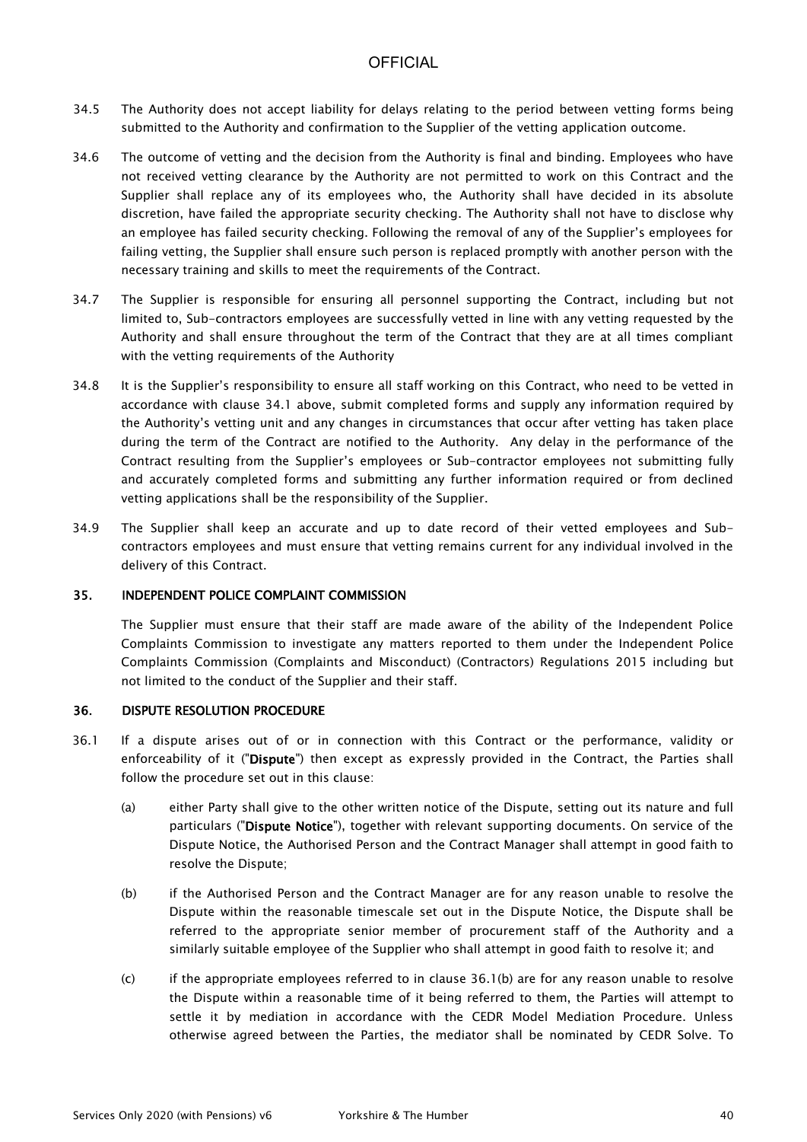- 34.5 The Authority does not accept liability for delays relating to the period between vetting forms being submitted to the Authority and confirmation to the Supplier of the vetting application outcome.
- 34.6 The outcome of vetting and the decision from the Authority is final and binding. Employees who have not received vetting clearance by the Authority are not permitted to work on this Contract and the Supplier shall replace any of its employees who, the Authority shall have decided in its absolute discretion, have failed the appropriate security checking. The Authority shall not have to disclose why an employee has failed security checking. Following the removal of any of the Supplier's employees for failing vetting, the Supplier shall ensure such person is replaced promptly with another person with the necessary training and skills to meet the requirements of the Contract.
- 34.7 The Supplier is responsible for ensuring all personnel supporting the Contract, including but not limited to, Sub-contractors employees are successfully vetted in line with any vetting requested by the Authority and shall ensure throughout the term of the Contract that they are at all times compliant with the vetting requirements of the Authority
- 34.8 It is the Supplier's responsibility to ensure all staff working on this Contract, who need to be vetted in accordance with clause 34.1 above, submit completed forms and supply any information required by the Authority's vetting unit and any changes in circumstances that occur after vetting has taken place during the term of the Contract are notified to the Authority. Any delay in the performance of the Contract resulting from the Supplier's employees or Sub-contractor employees not submitting fully and accurately completed forms and submitting any further information required or from declined vetting applications shall be the responsibility of the Supplier.
- 34.9 The Supplier shall keep an accurate and up to date record of their vetted employees and Subcontractors employees and must ensure that vetting remains current for any individual involved in the delivery of this Contract.

### 35. INDEPENDENT POLICE COMPLAINT COMMISSION

The Supplier must ensure that their staff are made aware of the ability of the Independent Police Complaints Commission to investigate any matters reported to them under the Independent Police Complaints Commission (Complaints and Misconduct) (Contractors) Regulations 2015 including but not limited to the conduct of the Supplier and their staff.

#### 36. DISPUTE RESOLUTION PROCEDURE

- 36.1 If a dispute arises out of or in connection with this Contract or the performance, validity or enforceability of it ("Dispute") then except as expressly provided in the Contract, the Parties shall follow the procedure set out in this clause:
	- (a) either Party shall give to the other written notice of the Dispute, setting out its nature and full particulars ("Dispute Notice"), together with relevant supporting documents. On service of the Dispute Notice, the Authorised Person and the Contract Manager shall attempt in good faith to resolve the Dispute;
	- (b) if the Authorised Person and the Contract Manager are for any reason unable to resolve the Dispute within the reasonable timescale set out in the Dispute Notice, the Dispute shall be referred to the appropriate senior member of procurement staff of the Authority and a similarly suitable employee of the Supplier who shall attempt in good faith to resolve it; and
	- (c) if the appropriate employees referred to in clause 36.1(b) are for any reason unable to resolve the Dispute within a reasonable time of it being referred to them, the Parties will attempt to settle it by mediation in accordance with the CEDR Model Mediation Procedure. Unless otherwise agreed between the Parties, the mediator shall be nominated by CEDR Solve. To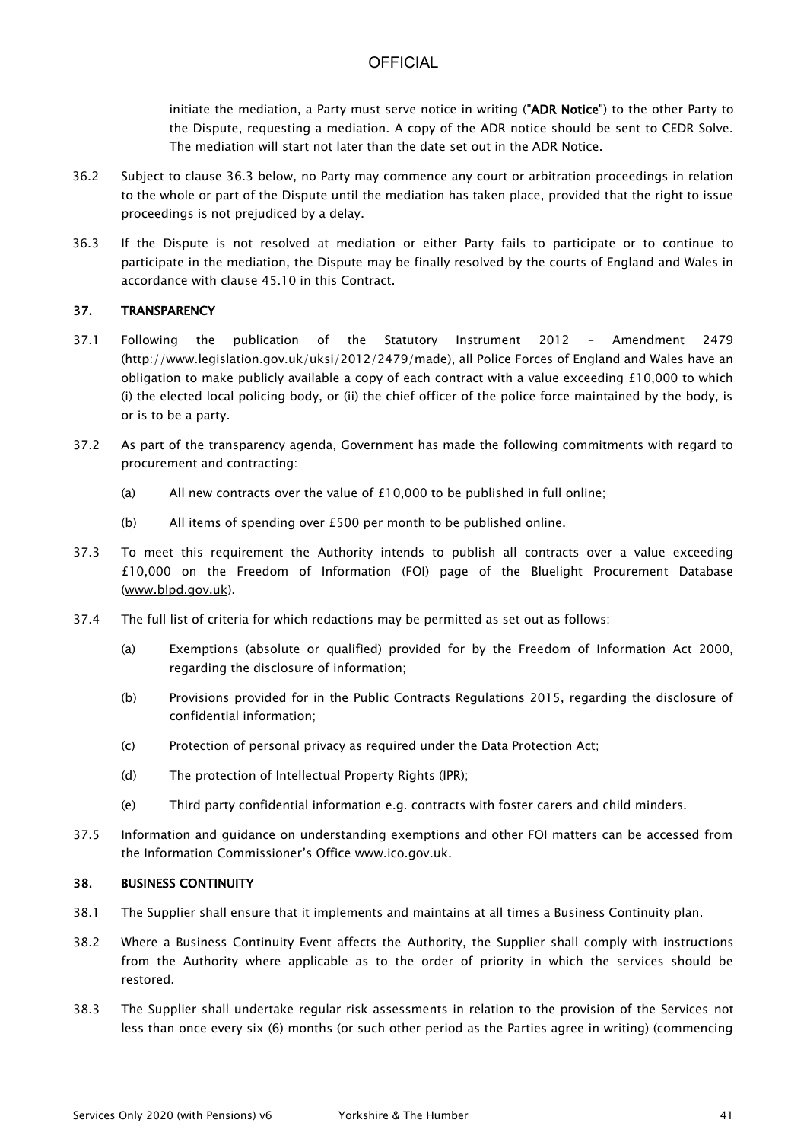initiate the mediation, a Party must serve notice in writing ("ADR Notice") to the other Party to the Dispute, requesting a mediation. A copy of the ADR notice should be sent to CEDR Solve. The mediation will start not later than the date set out in the ADR Notice.

- 36.2 Subject to clause 36.3 below, no Party may commence any court or arbitration proceedings in relation to the whole or part of the Dispute until the mediation has taken place, provided that the right to issue proceedings is not prejudiced by a delay.
- 36.3 If the Dispute is not resolved at mediation or either Party fails to participate or to continue to participate in the mediation, the Dispute may be finally resolved by the courts of England and Wales in accordance with clause 45.10 in this Contract.

### 37. TRANSPARENCY

- 37.1 Following the publication of the Statutory Instrument 2012 Amendment 2479 [\(http://www.legislation.gov.uk/uksi/2012/2479/made\)](http://www.legislation.gov.uk/uksi/2012/2479/made), all Police Forces of England and Wales have an obligation to make publicly available a copy of each contract with a value exceeding £10,000 to which (i) the elected local policing body, or (ii) the chief officer of the police force maintained by the body, is or is to be a party.
- 37.2 As part of the transparency agenda, Government has made the following commitments with regard to procurement and contracting:
	- (a) All new contracts over the value of £10,000 to be published in full online;
	- (b) All items of spending over £500 per month to be published online.
- 37.3 To meet this requirement the Authority intends to publish all contracts over a value exceeding £10,000 on the Freedom of Information (FOI) page of the Bluelight Procurement Database [\(www.blpd.gov.uk\)](http://www.blpd.gov.uk/).
- 37.4 The full list of criteria for which redactions may be permitted as set out as follows:
	- (a) Exemptions (absolute or qualified) provided for by the Freedom of Information Act 2000, regarding the disclosure of information;
	- (b) Provisions provided for in the Public Contracts Regulations 2015, regarding the disclosure of confidential information;
	- (c) Protection of personal privacy as required under the Data Protection Act;
	- (d) The protection of Intellectual Property Rights (IPR);
	- (e) Third party confidential information e.g. contracts with foster carers and child minders.
- 37.5 Information and guidance on understanding exemptions and other FOI matters can be accessed from the Information Commissioner's Office [www.ico.gov.uk.](http://www.ico.gov.uk/)

### 38. BUSINESS CONTINUITY

- 38.1 The Supplier shall ensure that it implements and maintains at all times a Business Continuity plan.
- 38.2 Where a Business Continuity Event affects the Authority, the Supplier shall comply with instructions from the Authority where applicable as to the order of priority in which the services should be restored.
- 38.3 The Supplier shall undertake regular risk assessments in relation to the provision of the Services not less than once every six (6) months (or such other period as the Parties agree in writing) (commencing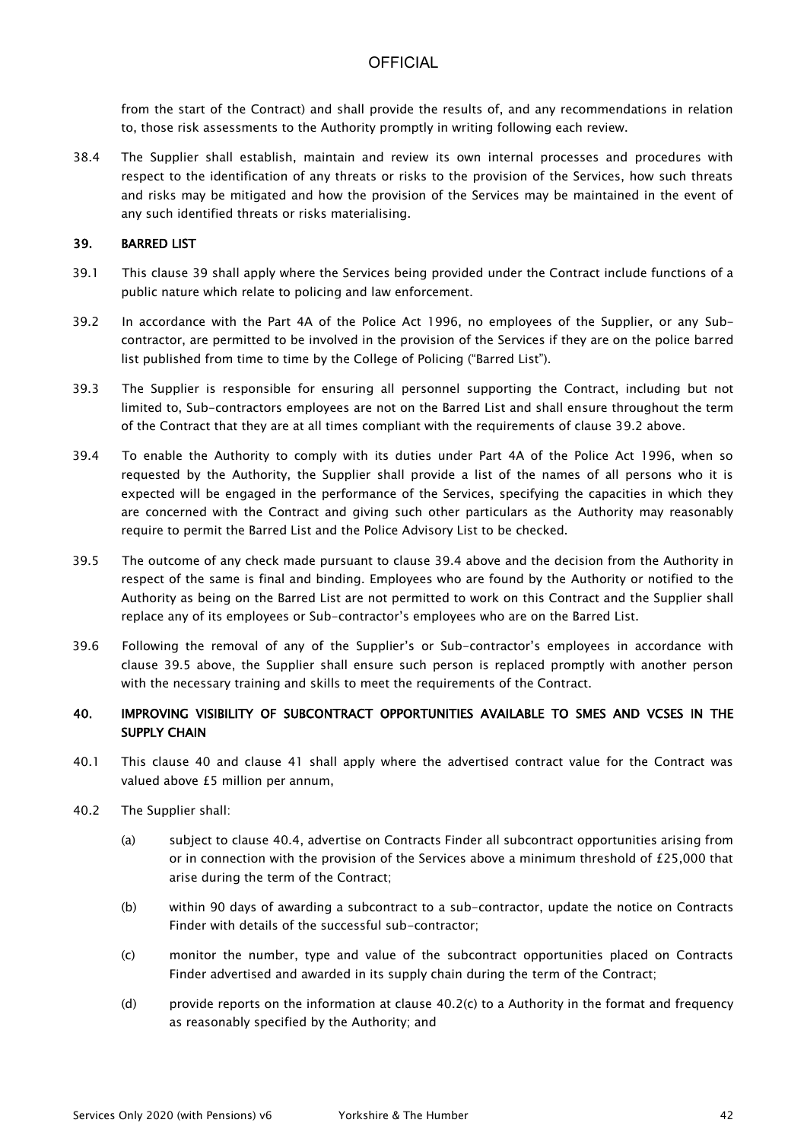from the start of the Contract) and shall provide the results of, and any recommendations in relation to, those risk assessments to the Authority promptly in writing following each review.

38.4 The Supplier shall establish, maintain and review its own internal processes and procedures with respect to the identification of any threats or risks to the provision of the Services, how such threats and risks may be mitigated and how the provision of the Services may be maintained in the event of any such identified threats or risks materialising.

#### 39. BARRED LIST

- 39.1 This clause 39 shall apply where the Services being provided under the Contract include functions of a public nature which relate to policing and law enforcement.
- 39.2 In accordance with the Part 4A of the Police Act 1996, no employees of the Supplier, or any Subcontractor, are permitted to be involved in the provision of the Services if they are on the police barred list published from time to time by the College of Policing ("Barred List").
- 39.3 The Supplier is responsible for ensuring all personnel supporting the Contract, including but not limited to, Sub-contractors employees are not on the Barred List and shall ensure throughout the term of the Contract that they are at all times compliant with the requirements of clause 39.2 above.
- 39.4 To enable the Authority to comply with its duties under Part 4A of the Police Act 1996, when so requested by the Authority, the Supplier shall provide a list of the names of all persons who it is expected will be engaged in the performance of the Services, specifying the capacities in which they are concerned with the Contract and giving such other particulars as the Authority may reasonably require to permit the Barred List and the Police Advisory List to be checked.
- 39.5 The outcome of any check made pursuant to clause 39.4 above and the decision from the Authority in respect of the same is final and binding. Employees who are found by the Authority or notified to the Authority as being on the Barred List are not permitted to work on this Contract and the Supplier shall replace any of its employees or Sub-contractor's employees who are on the Barred List.
- 39.6 Following the removal of any of the Supplier's or Sub-contractor's employees in accordance with clause 39.5 above, the Supplier shall ensure such person is replaced promptly with another person with the necessary training and skills to meet the requirements of the Contract.

### 40. IMPROVING VISIBILITY OF SUBCONTRACT OPPORTUNITIES AVAILABLE TO SMES AND VCSES IN THE SUPPLY CHAIN

- 40.1 This clause 40 and clause 41 shall apply where the advertised contract value for the Contract was valued above £5 million per annum,
- 40.2 The Supplier shall:
	- (a) subject to clause 40.4, advertise on Contracts Finder all subcontract opportunities arising from or in connection with the provision of the Services above a minimum threshold of  $E25,000$  that arise during the term of the Contract;
	- (b) within 90 days of awarding a subcontract to a sub-contractor, update the notice on Contracts Finder with details of the successful sub-contractor;
	- (c) monitor the number, type and value of the subcontract opportunities placed on Contracts Finder advertised and awarded in its supply chain during the term of the Contract;
	- (d) provide reports on the information at clause  $40.2(c)$  to a Authority in the format and frequency as reasonably specified by the Authority; and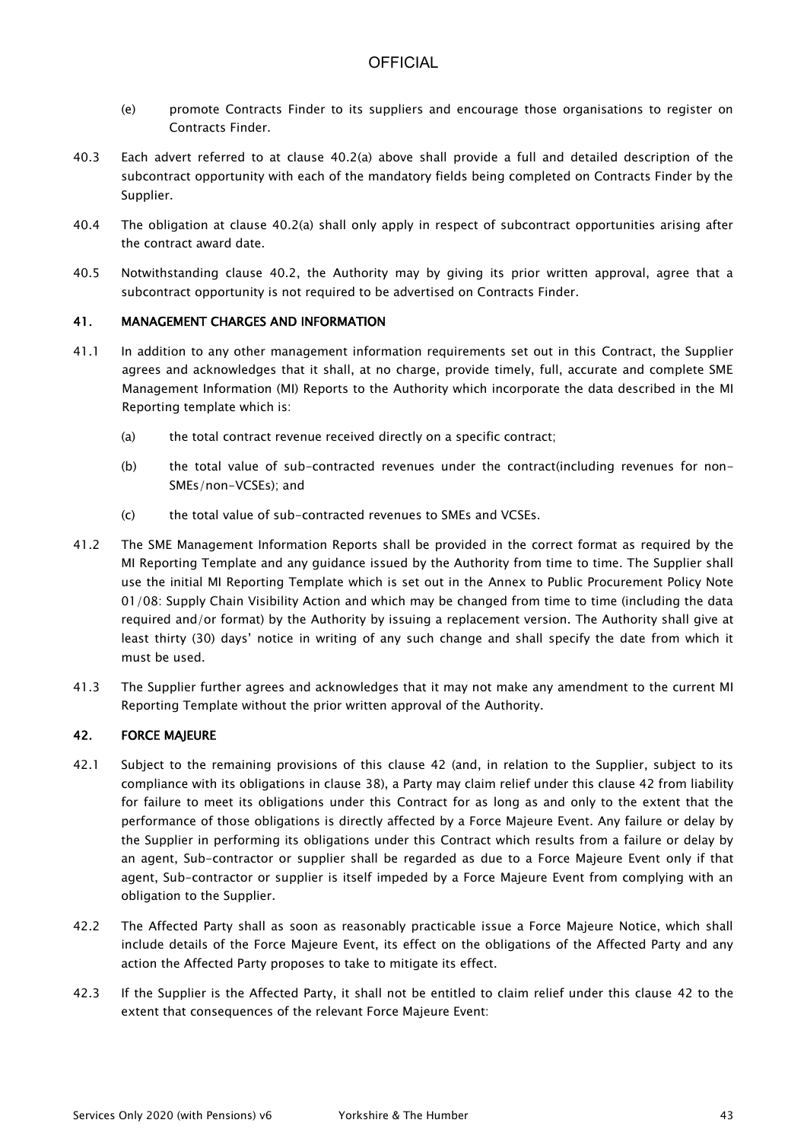- (e) promote Contracts Finder to its suppliers and encourage those organisations to register on Contracts Finder.
- 40.3 Each advert referred to at clause 40.2(a) above shall provide a full and detailed description of the subcontract opportunity with each of the mandatory fields being completed on Contracts Finder by the Supplier.
- 40.4 The obligation at clause 40.2(a) shall only apply in respect of subcontract opportunities arising after the contract award date.
- 40.5 Notwithstanding clause 40.2, the Authority may by giving its prior written approval, agree that a subcontract opportunity is not required to be advertised on Contracts Finder.

### 41. MANAGEMENT CHARGES AND INFORMATION

- 41.1 In addition to any other management information requirements set out in this Contract, the Supplier agrees and acknowledges that it shall, at no charge, provide timely, full, accurate and complete SME Management Information (MI) Reports to the Authority which incorporate the data described in the MI Reporting template which is:
	- (a) the total contract revenue received directly on a specific contract;
	- (b) the total value of sub-contracted revenues under the contract(including revenues for non-SMEs/non-VCSEs); and
	- (c) the total value of sub-contracted revenues to SMEs and VCSEs.
- 41.2 The SME Management Information Reports shall be provided in the correct format as required by the MI Reporting Template and any guidance issued by the Authority from time to time. The Supplier shall use the initial MI Reporting Template which is set out in the Annex to Public Procurement Policy Note 01/08: Supply Chain Visibility Action and which may be changed from time to time (including the data required and/or format) by the Authority by issuing a replacement version. The Authority shall give at least thirty (30) days' notice in writing of any such change and shall specify the date from which it must be used.
- 41.3 The Supplier further agrees and acknowledges that it may not make any amendment to the current MI Reporting Template without the prior written approval of the Authority.

### 42. FORCE MAJEURE

- 42.1 Subject to the remaining provisions of this clause 42 (and, in relation to the Supplier, subject to its compliance with its obligations in clause 38), a Party may claim relief under this clause 42 from liability for failure to meet its obligations under this Contract for as long as and only to the extent that the performance of those obligations is directly affected by a Force Majeure Event. Any failure or delay by the Supplier in performing its obligations under this Contract which results from a failure or delay by an agent, Sub-contractor or supplier shall be regarded as due to a Force Majeure Event only if that agent, Sub-contractor or supplier is itself impeded by a Force Majeure Event from complying with an obligation to the Supplier.
- 42.2 The Affected Party shall as soon as reasonably practicable issue a Force Majeure Notice, which shall include details of the Force Majeure Event, its effect on the obligations of the Affected Party and any action the Affected Party proposes to take to mitigate its effect.
- 42.3 If the Supplier is the Affected Party, it shall not be entitled to claim relief under this clause 42 to the extent that consequences of the relevant Force Majeure Event: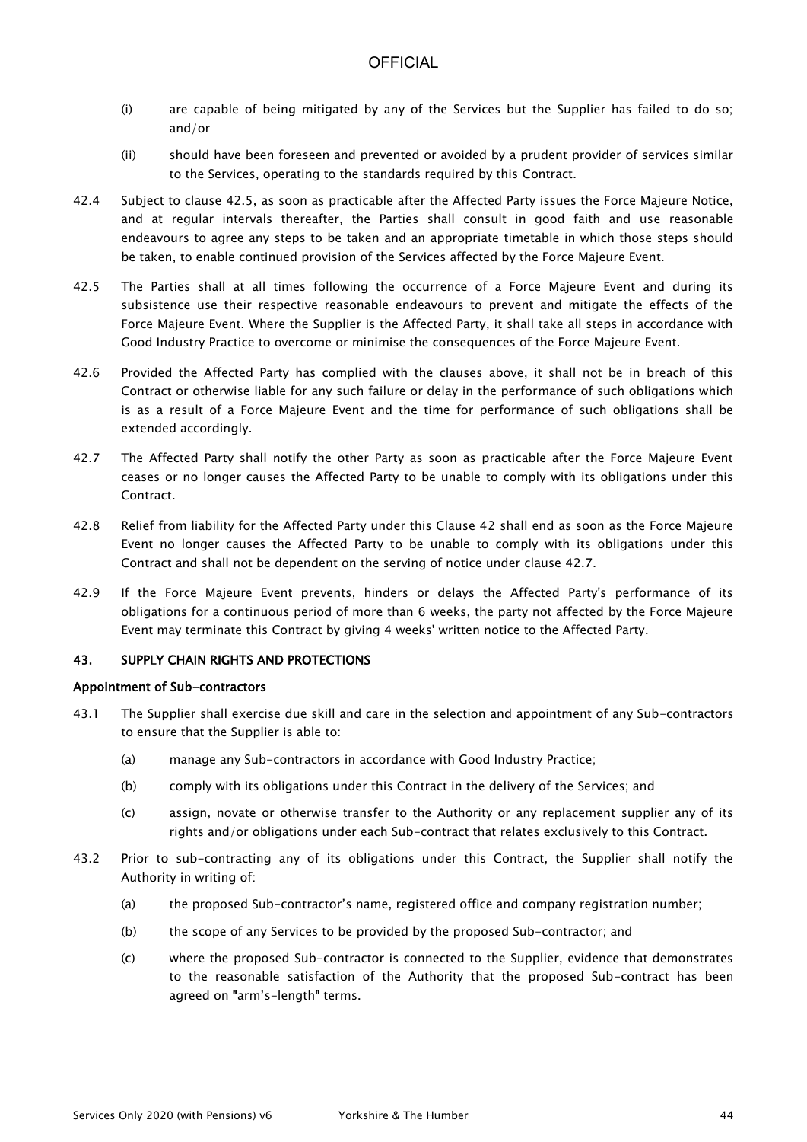- (i) are capable of being mitigated by any of the Services but the Supplier has failed to do so; and/or
- (ii) should have been foreseen and prevented or avoided by a prudent provider of services similar to the Services, operating to the standards required by this Contract.
- 42.4 Subject to clause 42.5, as soon as practicable after the Affected Party issues the Force Majeure Notice, and at regular intervals thereafter, the Parties shall consult in good faith and use reasonable endeavours to agree any steps to be taken and an appropriate timetable in which those steps should be taken, to enable continued provision of the Services affected by the Force Majeure Event.
- 42.5 The Parties shall at all times following the occurrence of a Force Majeure Event and during its subsistence use their respective reasonable endeavours to prevent and mitigate the effects of the Force Majeure Event. Where the Supplier is the Affected Party, it shall take all steps in accordance with Good Industry Practice to overcome or minimise the consequences of the Force Majeure Event.
- 42.6 Provided the Affected Party has complied with the clauses above, it shall not be in breach of this Contract or otherwise liable for any such failure or delay in the performance of such obligations which is as a result of a Force Majeure Event and the time for performance of such obligations shall be extended accordingly.
- 42.7 The Affected Party shall notify the other Party as soon as practicable after the Force Majeure Event ceases or no longer causes the Affected Party to be unable to comply with its obligations under this Contract.
- 42.8 Relief from liability for the Affected Party under this Clause 42 shall end as soon as the Force Majeure Event no longer causes the Affected Party to be unable to comply with its obligations under this Contract and shall not be dependent on the serving of notice under clause 42.7.
- 42.9 If the Force Majeure Event prevents, hinders or delays the Affected Party's performance of its obligations for a continuous period of more than 6 weeks, the party not affected by the Force Majeure Event may terminate this Contract by giving 4 weeks' written notice to the Affected Party.

### 43. SUPPLY CHAIN RIGHTS AND PROTECTIONS

### Appointment of Sub-contractors

- 43.1 The Supplier shall exercise due skill and care in the selection and appointment of any Sub-contractors to ensure that the Supplier is able to:
	- (a) manage any Sub-contractors in accordance with Good Industry Practice;
	- (b) comply with its obligations under this Contract in the delivery of the Services; and
	- (c) assign, novate or otherwise transfer to the Authority or any replacement supplier any of its rights and/or obligations under each Sub-contract that relates exclusively to this Contract.
- 43.2 Prior to sub-contracting any of its obligations under this Contract, the Supplier shall notify the Authority in writing of:
	- (a) the proposed Sub-contractor's name, registered office and company registration number;
	- (b) the scope of any Services to be provided by the proposed Sub-contractor; and
	- (c) where the proposed Sub-contractor is connected to the Supplier, evidence that demonstrates to the reasonable satisfaction of the Authority that the proposed Sub-contract has been agreed on "arm's-length" terms.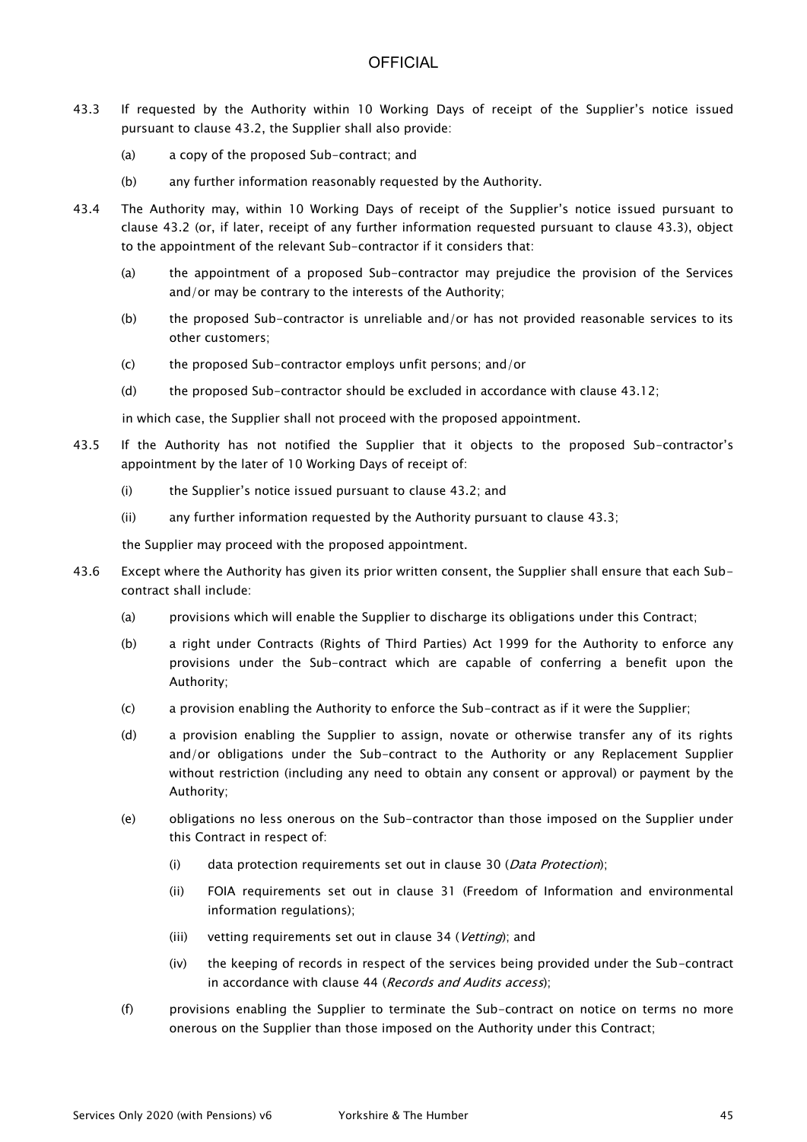- 43.3 If requested by the Authority within 10 Working Days of receipt of the Supplier's notice issued pursuant to clause 43.2, the Supplier shall also provide:
	- (a) a copy of the proposed Sub-contract; and
	- (b) any further information reasonably requested by the Authority.
- 43.4 The Authority may, within 10 Working Days of receipt of the Supplier's notice issued pursuant to clause 43.2 (or, if later, receipt of any further information requested pursuant to clause 43.3), object to the appointment of the relevant Sub-contractor if it considers that:
	- (a) the appointment of a proposed Sub-contractor may prejudice the provision of the Services and/or may be contrary to the interests of the Authority;
	- (b) the proposed Sub-contractor is unreliable and/or has not provided reasonable services to its other customers;
	- (c) the proposed Sub-contractor employs unfit persons; and/or
	- (d) the proposed Sub-contractor should be excluded in accordance with clause 43.12;

in which case, the Supplier shall not proceed with the proposed appointment.

- 43.5 If the Authority has not notified the Supplier that it objects to the proposed Sub-contractor's appointment by the later of 10 Working Days of receipt of:
	- (i) the Supplier's notice issued pursuant to clause 43.2; and
	- (ii) any further information requested by the Authority pursuant to clause 43.3;

the Supplier may proceed with the proposed appointment.

- 43.6 Except where the Authority has given its prior written consent, the Supplier shall ensure that each Subcontract shall include:
	- (a) provisions which will enable the Supplier to discharge its obligations under this Contract;
	- (b) a right under Contracts (Rights of Third Parties) Act 1999 for the Authority to enforce any provisions under the Sub-contract which are capable of conferring a benefit upon the Authority;
	- (c) a provision enabling the Authority to enforce the Sub-contract as if it were the Supplier;
	- (d) a provision enabling the Supplier to assign, novate or otherwise transfer any of its rights and/or obligations under the Sub-contract to the Authority or any Replacement Supplier without restriction (including any need to obtain any consent or approval) or payment by the Authority;
	- (e) obligations no less onerous on the Sub-contractor than those imposed on the Supplier under this Contract in respect of:
		- (i) data protection requirements set out in clause 30 (*Data Protection*);
		- (ii) FOIA requirements set out in clause 31 (Freedom of Information and environmental information regulations);
		- (iii) vetting requirements set out in clause 34 (Vetting); and
		- (iv) the keeping of records in respect of the services being provided under the Sub-contract in accordance with clause 44 (Records and Audits access);
	- (f) provisions enabling the Supplier to terminate the Sub-contract on notice on terms no more onerous on the Supplier than those imposed on the Authority under this Contract;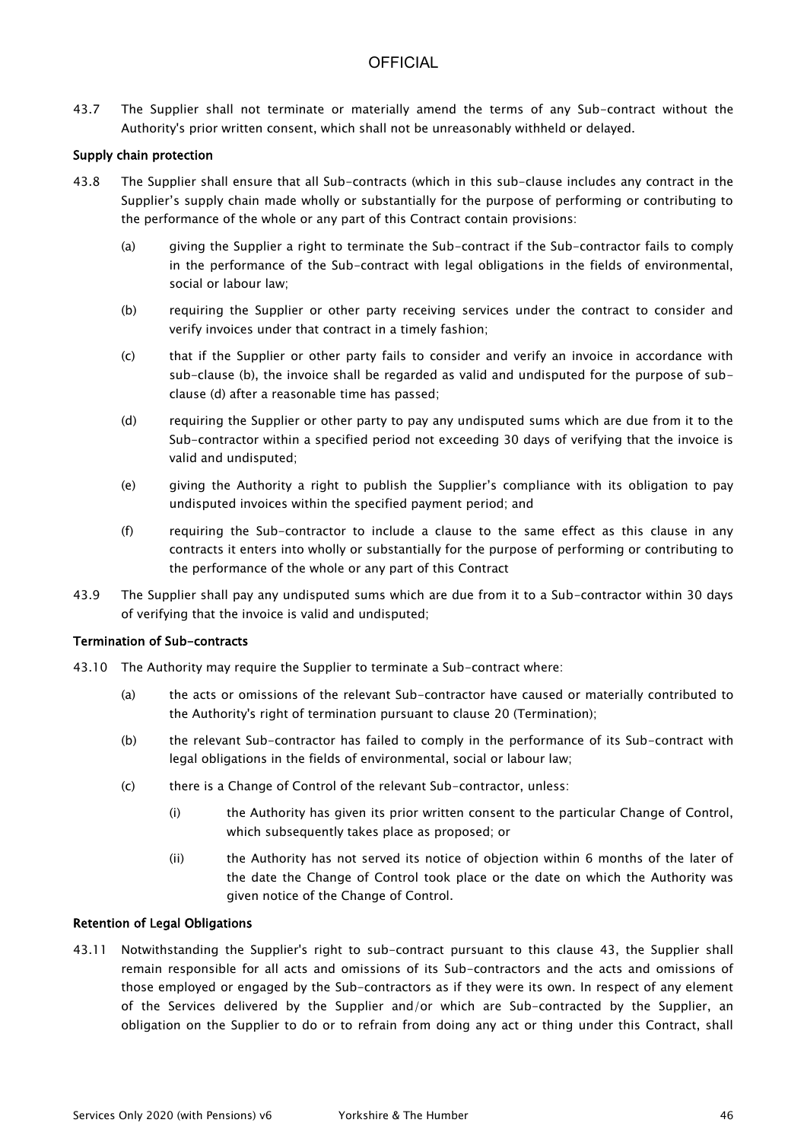43.7 The Supplier shall not terminate or materially amend the terms of any Sub-contract without the Authority's prior written consent, which shall not be unreasonably withheld or delayed.

### Supply chain protection

- 43.8 The Supplier shall ensure that all Sub-contracts (which in this sub-clause includes any contract in the Supplier's supply chain made wholly or substantially for the purpose of performing or contributing to the performance of the whole or any part of this Contract contain provisions:
	- (a) giving the Supplier a right to terminate the Sub-contract if the Sub-contractor fails to comply in the performance of the Sub-contract with legal obligations in the fields of environmental, social or labour law;
	- (b) requiring the Supplier or other party receiving services under the contract to consider and verify invoices under that contract in a timely fashion;
	- (c) that if the Supplier or other party fails to consider and verify an invoice in accordance with sub-clause (b), the invoice shall be regarded as valid and undisputed for the purpose of subclause (d) after a reasonable time has passed;
	- (d) requiring the Supplier or other party to pay any undisputed sums which are due from it to the Sub-contractor within a specified period not exceeding 30 days of verifying that the invoice is valid and undisputed;
	- (e) giving the Authority a right to publish the Supplier's compliance with its obligation to pay undisputed invoices within the specified payment period; and
	- (f) requiring the Sub-contractor to include a clause to the same effect as this clause in any contracts it enters into wholly or substantially for the purpose of performing or contributing to the performance of the whole or any part of this Contract
- 43.9 The Supplier shall pay any undisputed sums which are due from it to a Sub-contractor within 30 days of verifying that the invoice is valid and undisputed;

#### Termination of Sub-contracts

- 43.10 The Authority may require the Supplier to terminate a Sub-contract where:
	- (a) the acts or omissions of the relevant Sub-contractor have caused or materially contributed to the Authority's right of termination pursuant to clause 20 (Termination);
	- (b) the relevant Sub-contractor has failed to comply in the performance of its Sub-contract with legal obligations in the fields of environmental, social or labour law;
	- (c) there is a Change of Control of the relevant Sub-contractor, unless:
		- (i) the Authority has given its prior written consent to the particular Change of Control, which subsequently takes place as proposed; or
		- (ii) the Authority has not served its notice of objection within 6 months of the later of the date the Change of Control took place or the date on which the Authority was given notice of the Change of Control.

### Retention of Legal Obligations

43.11 Notwithstanding the Supplier's right to sub-contract pursuant to this clause 43, the Supplier shall remain responsible for all acts and omissions of its Sub-contractors and the acts and omissions of those employed or engaged by the Sub-contractors as if they were its own. In respect of any element of the Services delivered by the Supplier and/or which are Sub-contracted by the Supplier, an obligation on the Supplier to do or to refrain from doing any act or thing under this Contract, shall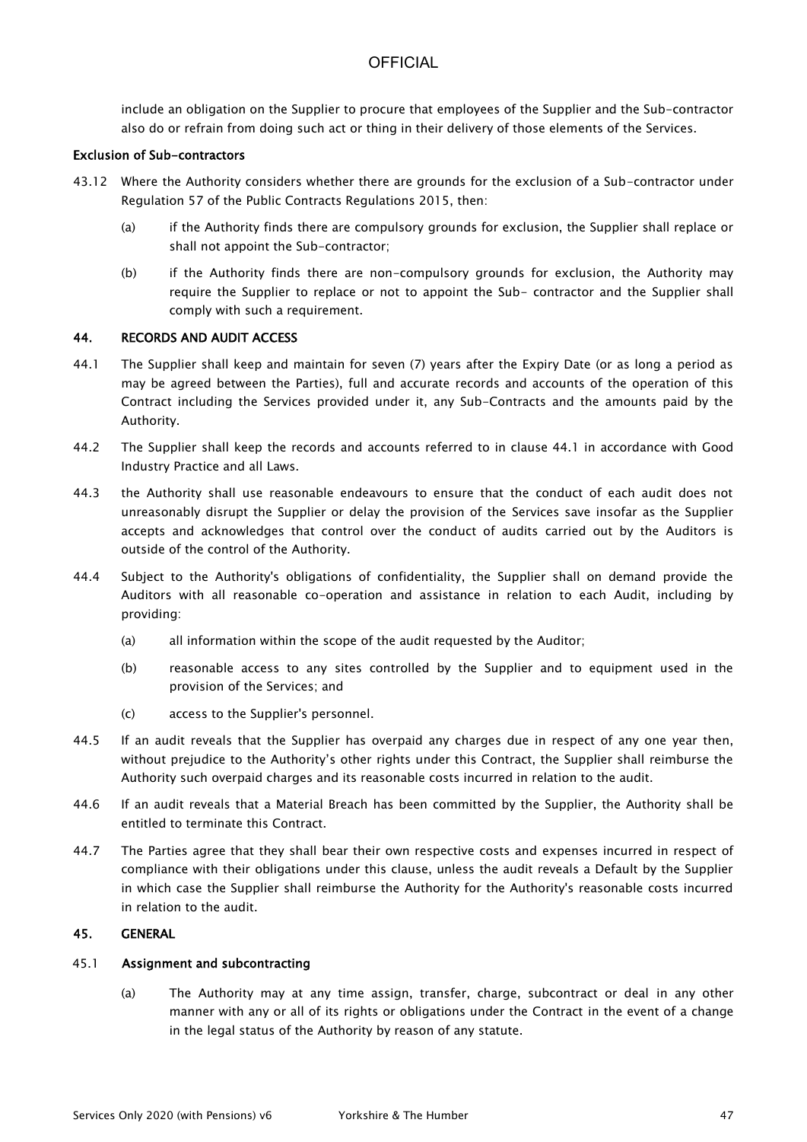include an obligation on the Supplier to procure that employees of the Supplier and the Sub-contractor also do or refrain from doing such act or thing in their delivery of those elements of the Services.

#### Exclusion of Sub-contractors

- 43.12 Where the Authority considers whether there are grounds for the exclusion of a Sub-contractor under Regulation 57 of the Public Contracts Regulations 2015, then:
	- (a) if the Authority finds there are compulsory grounds for exclusion, the Supplier shall replace or shall not appoint the Sub-contractor;
	- (b) if the Authority finds there are non-compulsory grounds for exclusion, the Authority may require the Supplier to replace or not to appoint the Sub- contractor and the Supplier shall comply with such a requirement.

#### 44. RECORDS AND AUDIT ACCESS

- 44.1 The Supplier shall keep and maintain for seven (7) years after the Expiry Date (or as long a period as may be agreed between the Parties), full and accurate records and accounts of the operation of this Contract including the Services provided under it, any Sub-Contracts and the amounts paid by the Authority.
- 44.2 The Supplier shall keep the records and accounts referred to in clause 44.1 in accordance with Good Industry Practice and all Laws.
- 44.3 the Authority shall use reasonable endeavours to ensure that the conduct of each audit does not unreasonably disrupt the Supplier or delay the provision of the Services save insofar as the Supplier accepts and acknowledges that control over the conduct of audits carried out by the Auditors is outside of the control of the Authority.
- 44.4 Subject to the Authority's obligations of confidentiality, the Supplier shall on demand provide the Auditors with all reasonable co-operation and assistance in relation to each Audit, including by providing:
	- (a) all information within the scope of the audit requested by the Auditor;
	- (b) reasonable access to any sites controlled by the Supplier and to equipment used in the provision of the Services; and
	- (c) access to the Supplier's personnel.
- 44.5 If an audit reveals that the Supplier has overpaid any charges due in respect of any one year then, without prejudice to the Authority's other rights under this Contract, the Supplier shall reimburse the Authority such overpaid charges and its reasonable costs incurred in relation to the audit.
- 44.6 If an audit reveals that a Material Breach has been committed by the Supplier, the Authority shall be entitled to terminate this Contract.
- 44.7 The Parties agree that they shall bear their own respective costs and expenses incurred in respect of compliance with their obligations under this clause, unless the audit reveals a Default by the Supplier in which case the Supplier shall reimburse the Authority for the Authority's reasonable costs incurred in relation to the audit.

#### 45. GENERAL

#### 45.1 Assignment and subcontracting

(a) The Authority may at any time assign, transfer, charge, subcontract or deal in any other manner with any or all of its rights or obligations under the Contract in the event of a change in the legal status of the Authority by reason of any statute.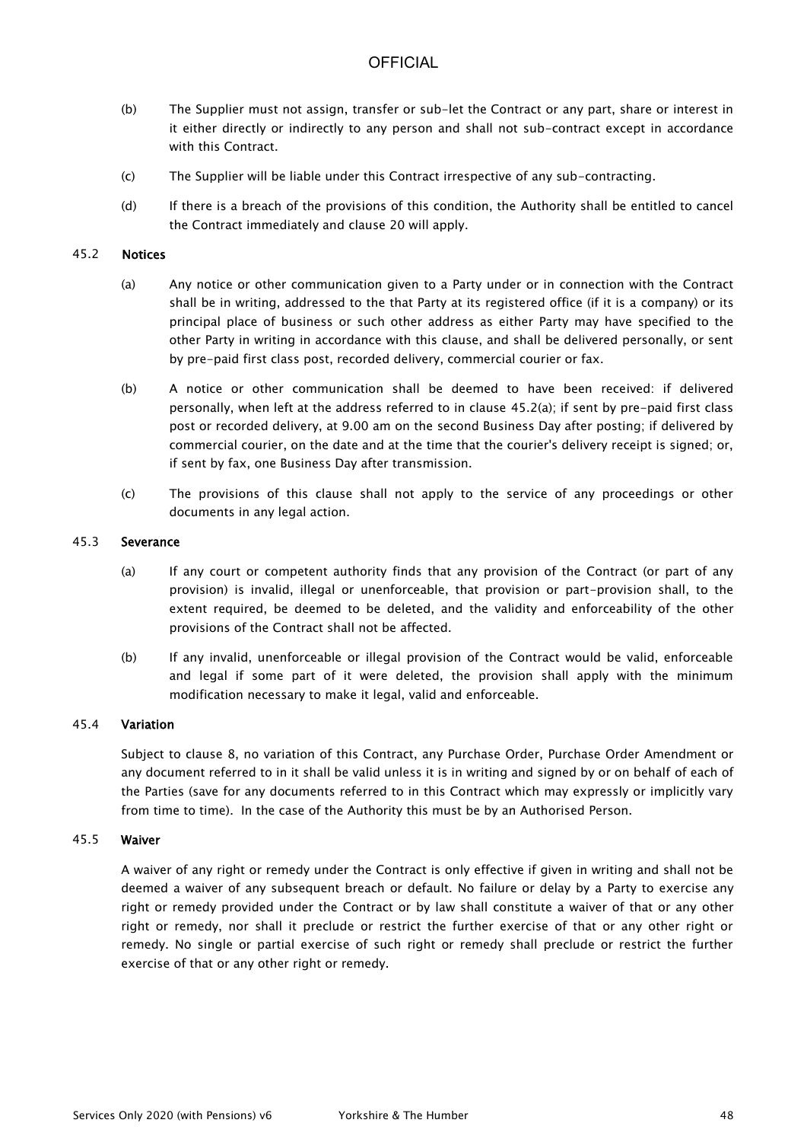- (b) The Supplier must not assign, transfer or sub-let the Contract or any part, share or interest in it either directly or indirectly to any person and shall not sub-contract except in accordance with this Contract.
- (c) The Supplier will be liable under this Contract irrespective of any sub-contracting.
- (d) If there is a breach of the provisions of this condition, the Authority shall be entitled to cancel the Contract immediately and clause 20 will apply.

#### 45.2 Notices

- (a) Any notice or other communication given to a Party under or in connection with the Contract shall be in writing, addressed to the that Party at its registered office (if it is a company) or its principal place of business or such other address as either Party may have specified to the other Party in writing in accordance with this clause, and shall be delivered personally, or sent by pre-paid first class post, recorded delivery, commercial courier or fax.
- (b) A notice or other communication shall be deemed to have been received: if delivered personally, when left at the address referred to in clause 45.2(a); if sent by pre-paid first class post or recorded delivery, at 9.00 am on the second Business Day after posting; if delivered by commercial courier, on the date and at the time that the courier's delivery receipt is signed; or, if sent by fax, one Business Day after transmission.
- (c) The provisions of this clause shall not apply to the service of any proceedings or other documents in any legal action.

#### 45.3 Severance

- (a) If any court or competent authority finds that any provision of the Contract (or part of any provision) is invalid, illegal or unenforceable, that provision or part-provision shall, to the extent required, be deemed to be deleted, and the validity and enforceability of the other provisions of the Contract shall not be affected.
- (b) If any invalid, unenforceable or illegal provision of the Contract would be valid, enforceable and legal if some part of it were deleted, the provision shall apply with the minimum modification necessary to make it legal, valid and enforceable.

#### 45.4 Variation

Subject to clause 8, no variation of this Contract, any Purchase Order, Purchase Order Amendment or any document referred to in it shall be valid unless it is in writing and signed by or on behalf of each of the Parties (save for any documents referred to in this Contract which may expressly or implicitly vary from time to time). In the case of the Authority this must be by an Authorised Person.

#### 45.5 Waiver

A waiver of any right or remedy under the Contract is only effective if given in writing and shall not be deemed a waiver of any subsequent breach or default. No failure or delay by a Party to exercise any right or remedy provided under the Contract or by law shall constitute a waiver of that or any other right or remedy, nor shall it preclude or restrict the further exercise of that or any other right or remedy. No single or partial exercise of such right or remedy shall preclude or restrict the further exercise of that or any other right or remedy.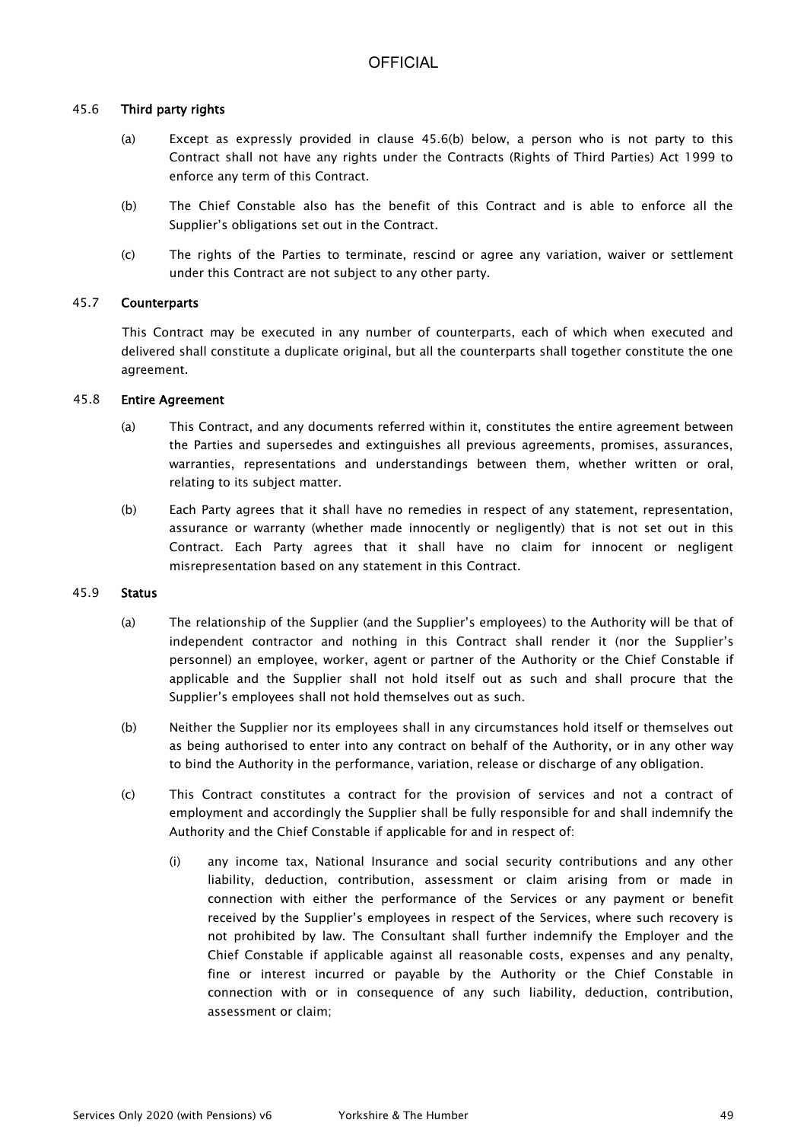### 45.6 Third party rights

- (a) Except as expressly provided in clause 45.6(b) below, a person who is not party to this Contract shall not have any rights under the Contracts (Rights of Third Parties) Act 1999 to enforce any term of this Contract.
- (b) The Chief Constable also has the benefit of this Contract and is able to enforce all the Supplier's obligations set out in the Contract.
- (c) The rights of the Parties to terminate, rescind or agree any variation, waiver or settlement under this Contract are not subject to any other party.

#### 45.7 Counterparts

This Contract may be executed in any number of counterparts, each of which when executed and delivered shall constitute a duplicate original, but all the counterparts shall together constitute the one agreement.

#### 45.8 Entire Agreement

- (a) This Contract, and any documents referred within it, constitutes the entire agreement between the Parties and supersedes and extinguishes all previous agreements, promises, assurances, warranties, representations and understandings between them, whether written or oral, relating to its subject matter.
- (b) Each Party agrees that it shall have no remedies in respect of any statement, representation, assurance or warranty (whether made innocently or negligently) that is not set out in this Contract. Each Party agrees that it shall have no claim for innocent or negligent misrepresentation based on any statement in this Contract.

#### 45.9 Status

- (a) The relationship of the Supplier (and the Supplier's employees) to the Authority will be that of independent contractor and nothing in this Contract shall render it (nor the Supplier's personnel) an employee, worker, agent or partner of the Authority or the Chief Constable if applicable and the Supplier shall not hold itself out as such and shall procure that the Supplier's employees shall not hold themselves out as such.
- (b) Neither the Supplier nor its employees shall in any circumstances hold itself or themselves out as being authorised to enter into any contract on behalf of the Authority, or in any other way to bind the Authority in the performance, variation, release or discharge of any obligation.
- (c) This Contract constitutes a contract for the provision of services and not a contract of employment and accordingly the Supplier shall be fully responsible for and shall indemnify the Authority and the Chief Constable if applicable for and in respect of:
	- (i) any income tax, National Insurance and social security contributions and any other liability, deduction, contribution, assessment or claim arising from or made in connection with either the performance of the Services or any payment or benefit received by the Supplier's employees in respect of the Services, where such recovery is not prohibited by law. The Consultant shall further indemnify the Employer and the Chief Constable if applicable against all reasonable costs, expenses and any penalty, fine or interest incurred or payable by the Authority or the Chief Constable in connection with or in consequence of any such liability, deduction, contribution, assessment or claim;